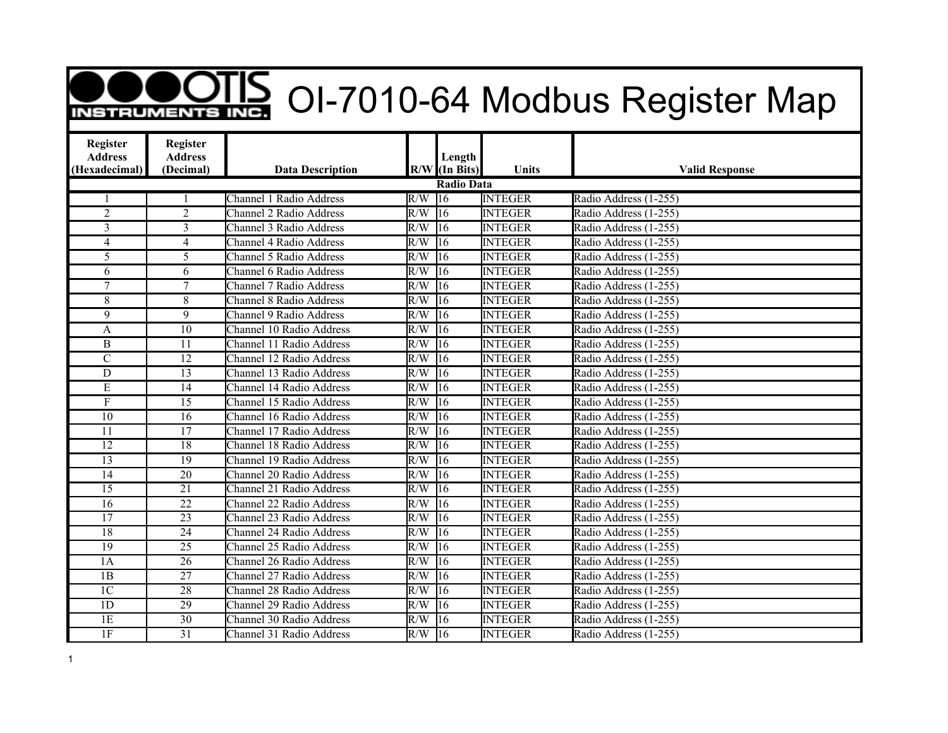## **DOOTIS** OI-7010-64 Modbus Register Map

| Register<br><b>Address</b> | Register<br><b>Address</b> |                                |     | Length          |                |                       |  |  |  |  |  |
|----------------------------|----------------------------|--------------------------------|-----|-----------------|----------------|-----------------------|--|--|--|--|--|
| (Hexadecimal)              | (Decimal)                  | <b>Data Description</b>        |     | $R/W$ (In Bits) | Units          | <b>Valid Response</b> |  |  |  |  |  |
|                            | Radio Data                 |                                |     |                 |                |                       |  |  |  |  |  |
|                            |                            | <b>Channel 1 Radio Address</b> | R/W | $ 16\rangle$    | <b>INTEGER</b> | Radio Address (1-255) |  |  |  |  |  |
| $\overline{2}$             | $\overline{2}$             | <b>Channel 2 Radio Address</b> | R/W | $\overline{16}$ | <b>INTEGER</b> | Radio Address (1-255) |  |  |  |  |  |
| $\overline{3}$             | $\overline{3}$             | Channel 3 Radio Address        | R/W | $\overline{16}$ | <b>INTEGER</b> | Radio Address (1-255) |  |  |  |  |  |
| $\overline{4}$             | $\overline{4}$             | Channel 4 Radio Address        | R/W | $\overline{16}$ | <b>INTEGER</b> | Radio Address (1-255) |  |  |  |  |  |
| 5                          | 5                          | Channel 5 Radio Address        | R/W | 16              | <b>INTEGER</b> | Radio Address (1-255) |  |  |  |  |  |
| 6                          | 6                          | Channel 6 Radio Address        | R/W | $\overline{16}$ | <b>INTEGER</b> | Radio Address (1-255) |  |  |  |  |  |
| 7                          | $\overline{7}$             | Channel 7 Radio Address        | R/W | $\overline{16}$ | <b>INTEGER</b> | Radio Address (1-255) |  |  |  |  |  |
| 8                          | 8                          | Channel 8 Radio Address        | R/W | $\overline{16}$ | <b>INTEGER</b> | Radio Address (1-255) |  |  |  |  |  |
| 9                          | 9                          | <b>Channel 9 Radio Address</b> | R/W | $\overline{16}$ | <b>INTEGER</b> | Radio Address (1-255) |  |  |  |  |  |
| A                          | 10                         | Channel 10 Radio Address       | R/W | $\overline{16}$ | <b>INTEGER</b> | Radio Address (1-255) |  |  |  |  |  |
| $\mathbf{B}$               | 11                         | Channel 11 Radio Address       | R/W | 16              | <b>INTEGER</b> | Radio Address (1-255) |  |  |  |  |  |
| $\overline{C}$             | 12                         | Channel 12 Radio Address       | R/W | $\overline{16}$ | <b>INTEGER</b> | Radio Address (1-255) |  |  |  |  |  |
| $\overline{D}$             | 13                         | Channel 13 Radio Address       | R/W | $\overline{16}$ | <b>INTEGER</b> | Radio Address (1-255) |  |  |  |  |  |
| $\mathbf E$                | 14                         | Channel 14 Radio Address       | R/W | 16              | <b>INTEGER</b> | Radio Address (1-255) |  |  |  |  |  |
| $\boldsymbol{F}$           | 15                         | Channel 15 Radio Address       | R/W | $\overline{16}$ | <b>INTEGER</b> | Radio Address (1-255) |  |  |  |  |  |
| 10                         | 16                         | Channel 16 Radio Address       | R/W | $\overline{16}$ | <b>INTEGER</b> | Radio Address (1-255) |  |  |  |  |  |
| 11                         | 17                         | Channel 17 Radio Address       | R/W | $\overline{16}$ | <b>INTEGER</b> | Radio Address (1-255) |  |  |  |  |  |
| 12                         | $\overline{18}$            | Channel 18 Radio Address       | R/W | $\overline{16}$ | <b>INTEGER</b> | Radio Address (1-255) |  |  |  |  |  |
| 13                         | 19                         | Channel 19 Radio Address       | R/W | $\overline{16}$ | <b>INTEGER</b> | Radio Address (1-255) |  |  |  |  |  |
| 14                         | 20                         | Channel 20 Radio Address       | R/W | $\overline{16}$ | <b>INTEGER</b> | Radio Address (1-255) |  |  |  |  |  |
| $\overline{15}$            | $\overline{21}$            | Channel 21 Radio Address       | R/W | $\overline{16}$ | <b>INTEGER</b> | Radio Address (1-255) |  |  |  |  |  |
| 16                         | 22                         | Channel 22 Radio Address       | R/W | 16              | <b>INTEGER</b> | Radio Address (1-255) |  |  |  |  |  |
| 17                         | 23                         | Channel 23 Radio Address       | R/W | $\overline{16}$ | <b>INTEGER</b> | Radio Address (1-255) |  |  |  |  |  |
| $\overline{18}$            | $\overline{24}$            | Channel 24 Radio Address       | R/W | $\overline{16}$ | <b>INTEGER</b> | Radio Address (1-255) |  |  |  |  |  |
| $\overline{19}$            | 25                         | Channel 25 Radio Address       | R/W | $\overline{16}$ | <b>INTEGER</b> | Radio Address (1-255) |  |  |  |  |  |
| 1A                         | $\overline{26}$            | Channel 26 Radio Address       | R/W | $\overline{16}$ | <b>INTEGER</b> | Radio Address (1-255) |  |  |  |  |  |
| $\overline{1B}$            | $\overline{27}$            | Channel 27 Radio Address       | R/W | $\overline{16}$ | <b>INTEGER</b> | Radio Address (1-255) |  |  |  |  |  |
| $\overline{1C}$            | 28                         | Channel 28 Radio Address       | R/W | 16              | <b>INTEGER</b> | Radio Address (1-255) |  |  |  |  |  |
| 1D                         | 29                         | Channel 29 Radio Address       | R/W | $\overline{16}$ | <b>INTEGER</b> | Radio Address (1-255) |  |  |  |  |  |
| $\overline{1E}$            | $\overline{30}$            | Channel 30 Radio Address       | R/W | 16              | <b>INTEGER</b> | Radio Address (1-255) |  |  |  |  |  |
| 1F                         | $\overline{31}$            | Channel 31 Radio Address       | R/W | $\overline{16}$ | <b>INTEGER</b> | Radio Address (1-255) |  |  |  |  |  |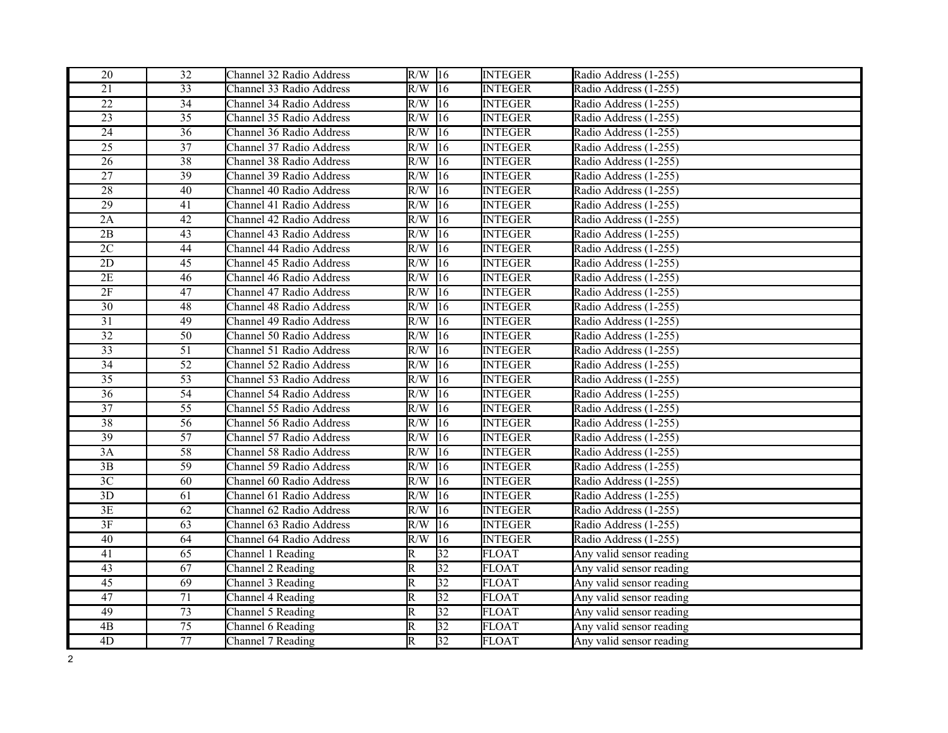| 20              | 32              | Channel 32 Radio Address | $R/W$ 16                |                 | <b>INTEGER</b> | Radio Address (1-255)    |
|-----------------|-----------------|--------------------------|-------------------------|-----------------|----------------|--------------------------|
| $\overline{21}$ | 33              | Channel 33 Radio Address | $R/W$ 16                |                 | <b>INTEGER</b> | Radio Address (1-255)    |
| $\overline{22}$ | $\overline{34}$ | Channel 34 Radio Address | $R/W$ 16                |                 | <b>INTEGER</b> | Radio Address (1-255)    |
| 23              | 35              | Channel 35 Radio Address | R/W                     | 16              | <b>INTEGER</b> | Radio Address (1-255)    |
| $\overline{24}$ | $\overline{36}$ | Channel 36 Radio Address | R/W                     | 16              | <b>INTEGER</b> | Radio Address (1-255)    |
| $\overline{25}$ | 37              | Channel 37 Radio Address | R/W                     | 16              | <b>INTEGER</b> | Radio Address (1-255)    |
| 26              | 38              | Channel 38 Radio Address | R/W                     | 16              | <b>INTEGER</b> | Radio Address (1-255)    |
| $\overline{27}$ | 39              | Channel 39 Radio Address | R/W                     | $ 16\rangle$    | <b>INTEGER</b> | Radio Address (1-255)    |
| $28\,$          | 40              | Channel 40 Radio Address | R/W                     | 16              | <b>INTEGER</b> | Radio Address (1-255)    |
| $\overline{29}$ | 41              | Channel 41 Radio Address | R/W                     | 16              | <b>INTEGER</b> | Radio Address (1-255)    |
| 2A              | 42              | Channel 42 Radio Address | R/W                     | 16              | <b>INTEGER</b> | Radio Address (1-255)    |
| $\overline{2B}$ | 43              | Channel 43 Radio Address | R/W                     | 16              | <b>INTEGER</b> | Radio Address (1-255)    |
| 2C              | 44              | Channel 44 Radio Address | R/W                     | 16              | <b>INTEGER</b> | Radio Address (1-255)    |
| $\overline{2D}$ | 45              | Channel 45 Radio Address | R/W                     | 16              | <b>INTEGER</b> | Radio Address (1-255)    |
| 2E              | 46              | Channel 46 Radio Address | R/W                     | 16              | <b>INTEGER</b> | Radio Address (1-255)    |
| 2F              | 47              | Channel 47 Radio Address | R/W                     | 16              | <b>INTEGER</b> | Radio Address (1-255)    |
| $\overline{30}$ | 48              | Channel 48 Radio Address | R/W                     | 16              | <b>INTEGER</b> | Radio Address (1-255)    |
| $\overline{31}$ | 49              | Channel 49 Radio Address | R/W                     | 16              | <b>INTEGER</b> | Radio Address (1-255)    |
| $\overline{32}$ | 50              | Channel 50 Radio Address | R/W                     | 16              | <b>INTEGER</b> | Radio Address (1-255)    |
| $\overline{33}$ | $\overline{51}$ | Channel 51 Radio Address | R/W                     | 16              | <b>INTEGER</b> | Radio Address (1-255)    |
| $\overline{34}$ | 52              | Channel 52 Radio Address | R/W                     | 16              | <b>INTEGER</b> | Radio Address (1-255)    |
| $\overline{35}$ | $\overline{53}$ | Channel 53 Radio Address | R/W                     | 16              | <b>INTEGER</b> | Radio Address (1-255)    |
| $\overline{36}$ | 54              | Channel 54 Radio Address | R/W                     | 16              | <b>INTEGER</b> | Radio Address (1-255)    |
| $\overline{37}$ | 55              | Channel 55 Radio Address | R/W                     | 16              | <b>INTEGER</b> | Radio Address (1-255)    |
| $\overline{38}$ | $\overline{56}$ | Channel 56 Radio Address | R/W                     | $\overline{16}$ | <b>INTEGER</b> | Radio Address (1-255)    |
| 39              | $\overline{57}$ | Channel 57 Radio Address | R/W                     | 16              | <b>INTEGER</b> | Radio Address (1-255)    |
| 3A              | 58              | Channel 58 Radio Address | R/W                     | 16              | <b>INTEGER</b> | Radio Address (1-255)    |
| $\overline{3B}$ | $\overline{59}$ | Channel 59 Radio Address | R/W                     | 16              | <b>INTEGER</b> | Radio Address (1-255)    |
| $\overline{3C}$ | 60              | Channel 60 Radio Address | R/W                     | 16              | <b>INTEGER</b> | Radio Address (1-255)    |
| 3D              | 61              | Channel 61 Radio Address | R/W                     | 16              | <b>INTEGER</b> | Radio Address (1-255)    |
| 3E              | 62              | Channel 62 Radio Address | R/W                     | 16              | <b>INTEGER</b> | Radio Address (1-255)    |
| 3F              | 63              | Channel 63 Radio Address | R/W                     | 16              | <b>INTEGER</b> | Radio Address (1-255)    |
| 40              | 64              | Channel 64 Radio Address | R/W                     | 16              | <b>INTEGER</b> | Radio Address (1-255)    |
| 41              | 65              | Channel 1 Reading        | R                       | $\overline{32}$ | <b>FLOAT</b>   | Any valid sensor reading |
| 43              | 67              | Channel 2 Reading        | R                       | 32              | <b>FLOAT</b>   | Any valid sensor reading |
| $\overline{45}$ | 69              | Channel 3 Reading        | $\overline{\mathbb{R}}$ | $\overline{32}$ | <b>FLOAT</b>   | Any valid sensor reading |
| 47              | $\overline{71}$ | Channel 4 Reading        | R                       | $\overline{32}$ | <b>FLOAT</b>   | Any valid sensor reading |
| 49              | $\overline{73}$ | Channel 5 Reading        | R                       | 32              | <b>FLOAT</b>   | Any valid sensor reading |
| $\overline{AB}$ | $\overline{75}$ | Channel 6 Reading        | R                       | 32              | <b>FLOAT</b>   | Any valid sensor reading |
| $\overline{4D}$ | $\overline{77}$ | Channel 7 Reading        | $\overline{\mathsf{R}}$ | 32              | <b>FLOAT</b>   | Any valid sensor reading |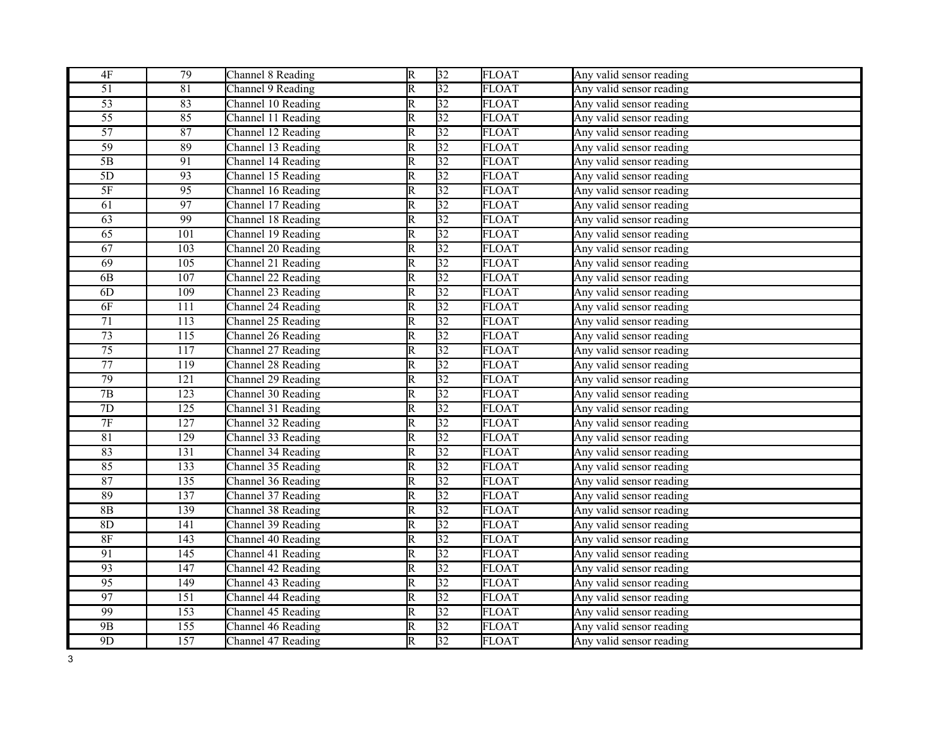| $4F$            | 79               | Channel 8 Reading  | $\overline{R}$          | 32              | <b>FLOAT</b> | Any valid sensor reading |
|-----------------|------------------|--------------------|-------------------------|-----------------|--------------|--------------------------|
| $\overline{51}$ | 81               | Channel 9 Reading  | $\overline{\mathbb{R}}$ | $\overline{32}$ | <b>FLOAT</b> | Any valid sensor reading |
| $\overline{53}$ | 83               | Channel 10 Reading | $\overline{\mathbb{R}}$ | 32              | <b>FLOAT</b> | Any valid sensor reading |
| 55              | 85               | Channel 11 Reading | $\overline{\mathsf{R}}$ | 32              | <b>FLOAT</b> | Any valid sensor reading |
| $\overline{57}$ | 87               | Channel 12 Reading | $\overline{\mathbb{R}}$ | $\overline{32}$ | <b>FLOAT</b> | Any valid sensor reading |
| 59              | 89               | Channel 13 Reading | $\overline{\mathsf{R}}$ | 32              | <b>FLOAT</b> | Any valid sensor reading |
| $\overline{5B}$ | 91               | Channel 14 Reading | R                       | $\overline{32}$ | <b>FLOAT</b> | Any valid sensor reading |
| $\overline{5D}$ | 93               | Channel 15 Reading | $\overline{\mathbb{R}}$ | $\overline{32}$ | <b>FLOAT</b> | Any valid sensor reading |
| $\overline{5F}$ | 95               | Channel 16 Reading | R                       | $\overline{32}$ | <b>FLOAT</b> | Any valid sensor reading |
| 61              | 97               | Channel 17 Reading | $\overline{\mathbb{R}}$ | $\overline{32}$ | <b>FLOAT</b> | Any valid sensor reading |
| 63              | 99               | Channel 18 Reading | R                       | $\overline{32}$ | <b>FLOAT</b> | Any valid sensor reading |
| 65              | 101              | Channel 19 Reading | $\overline{\mathsf{R}}$ | 32              | <b>FLOAT</b> | Any valid sensor reading |
| 67              | 103              | Channel 20 Reading | R                       | $\overline{32}$ | <b>FLOAT</b> | Any valid sensor reading |
| 69              | 105              | Channel 21 Reading | $\overline{\mathbb{R}}$ | $\overline{32}$ | <b>FLOAT</b> | Any valid sensor reading |
| 6B              | 107              | Channel 22 Reading | $\overline{\mathsf{R}}$ | 32              | <b>FLOAT</b> | Any valid sensor reading |
| 6D              | 109              | Channel 23 Reading | $\overline{\mathbb{R}}$ | $\overline{32}$ | <b>FLOAT</b> | Any valid sensor reading |
| 6F              | 111              | Channel 24 Reading | $\overline{\mathbb{R}}$ | $\overline{32}$ | <b>FLOAT</b> | Any valid sensor reading |
| $\overline{71}$ | 113              | Channel 25 Reading | $\overline{\mathsf{R}}$ | 32              | <b>FLOAT</b> | Any valid sensor reading |
| $\overline{73}$ | 115              | Channel 26 Reading | $\overline{\mathbb{R}}$ | $\overline{32}$ | <b>FLOAT</b> | Any valid sensor reading |
| $\overline{75}$ | 117              | Channel 27 Reading | $\overline{\mathbb{R}}$ | $\overline{32}$ | <b>FLOAT</b> | Any valid sensor reading |
| $\overline{77}$ | 119              | Channel 28 Reading | R                       | $\overline{32}$ | <b>FLOAT</b> | Any valid sensor reading |
| 79              | 121              | Channel 29 Reading | $\overline{\mathbb{R}}$ | $\overline{32}$ | <b>FLOAT</b> | Any valid sensor reading |
| $\overline{7B}$ | $\overline{123}$ | Channel 30 Reading | $\overline{\mathbb{R}}$ | 32              | <b>FLOAT</b> | Any valid sensor reading |
| $\overline{7D}$ | 125              | Channel 31 Reading | $\overline{\mathbb{R}}$ | $\overline{32}$ | <b>FLOAT</b> | Any valid sensor reading |
| $\overline{7F}$ | $\overline{127}$ | Channel 32 Reading | $\overline{\mathbb{R}}$ | $\overline{32}$ | <b>FLOAT</b> | Any valid sensor reading |
| 81              | $\overline{129}$ | Channel 33 Reading | $\overline{\mathbb{R}}$ | 32              | <b>FLOAT</b> | Any valid sensor reading |
| 83              | 131              | Channel 34 Reading | R                       | $\overline{32}$ | <b>FLOAT</b> | Any valid sensor reading |
| 85              | 133              | Channel 35 Reading | $\overline{\mathbb{R}}$ | $\overline{32}$ | <b>FLOAT</b> | Any valid sensor reading |
| 87              | 135              | Channel 36 Reading | R                       | $\overline{32}$ | <b>FLOAT</b> | Any valid sensor reading |
| 89              | 137              | Channel 37 Reading | $\overline{\mathbb{R}}$ | 32              | <b>FLOAT</b> | Any valid sensor reading |
| $\overline{8B}$ | 139              | Channel 38 Reading | $\overline{\mathsf{R}}$ | $\overline{32}$ | <b>FLOAT</b> | Any valid sensor reading |
| 8D              | 141              | Channel 39 Reading | R                       | $\overline{32}$ | <b>FLOAT</b> | Any valid sensor reading |
| 8F              | $\overline{143}$ | Channel 40 Reading | $\overline{\mathsf{R}}$ | $\overline{32}$ | <b>FLOAT</b> | Any valid sensor reading |
| 91              | $\overline{145}$ | Channel 41 Reading | $\overline{\mathsf{R}}$ | 32              | <b>FLOAT</b> | Any valid sensor reading |
| 93              | 147              | Channel 42 Reading | $\overline{\mathsf{R}}$ | 32              | <b>FLOAT</b> | Any valid sensor reading |
| $\overline{95}$ | 149              | Channel 43 Reading | R                       | 32              | <b>FLOAT</b> | Any valid sensor reading |
| 97              | $\overline{151}$ | Channel 44 Reading | $\overline{\mathrm{R}}$ | 32              | <b>FLOAT</b> | Any valid sensor reading |
| 99              | 153              | Channel 45 Reading | $\overline{\mathsf{R}}$ | 32              | <b>FLOAT</b> | Any valid sensor reading |
| 9B              | $\overline{155}$ | Channel 46 Reading | $\overline{\mathbb{R}}$ | $\overline{32}$ | <b>FLOAT</b> | Any valid sensor reading |
| 9D              | 157              | Channel 47 Reading | $\overline{\mathsf{R}}$ | 32              | <b>FLOAT</b> | Any valid sensor reading |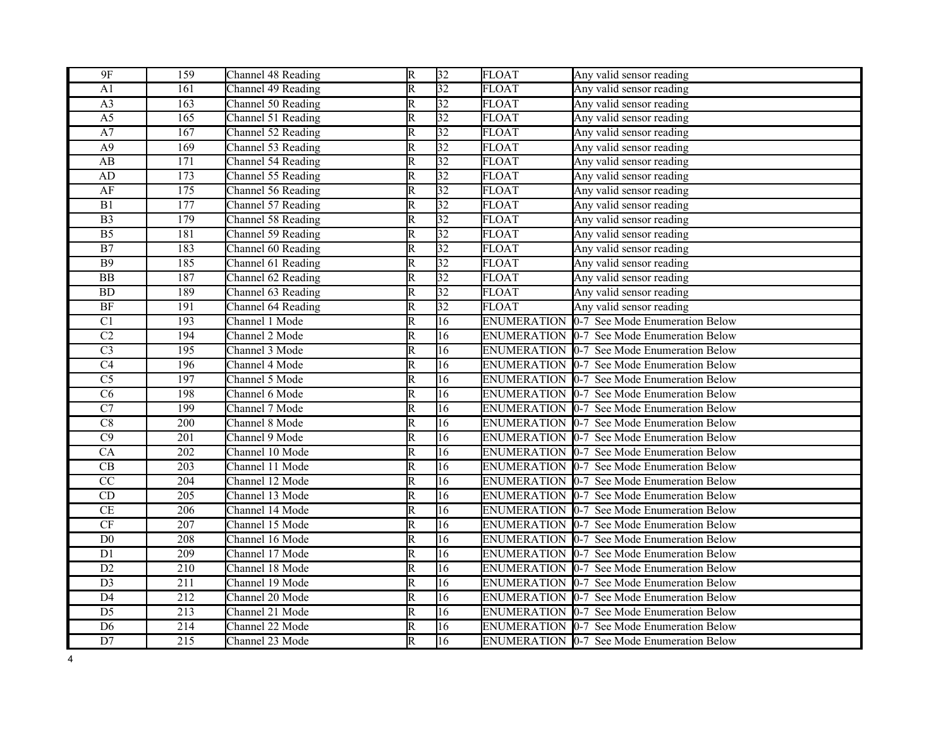| $9F$                   | 159              | Channel 48 Reading | $\overline{R}$          | $\overline{32}$ | <b>FLOAT</b> | Any valid sensor reading                          |
|------------------------|------------------|--------------------|-------------------------|-----------------|--------------|---------------------------------------------------|
| A1                     | 161              | Channel 49 Reading | $\overline{\mathbb{R}}$ | $\overline{32}$ | <b>FLOAT</b> | Any valid sensor reading                          |
| $\overline{A3}$        | $\overline{163}$ | Channel 50 Reading | $\overline{\mathbb{R}}$ | $\overline{32}$ | <b>FLOAT</b> | Any valid sensor reading                          |
| $\overline{A5}$        | $\overline{165}$ | Channel 51 Reading | $\overline{\mathsf{R}}$ | 32              | <b>FLOAT</b> | Any valid sensor reading                          |
| A7                     | 167              | Channel 52 Reading | $\overline{\mathbb{R}}$ | $\overline{32}$ | <b>FLOAT</b> | Any valid sensor reading                          |
| A <sub>9</sub>         | 169              | Channel 53 Reading | R                       | $\overline{32}$ | <b>FLOAT</b> | Any valid sensor reading                          |
| AB                     | 171              | Channel 54 Reading | $\overline{\mathrm{R}}$ | 32              | <b>FLOAT</b> | Any valid sensor reading                          |
| AD                     | 173              | Channel 55 Reading | $\overline{\mathbb{R}}$ | $\overline{32}$ | <b>FLOAT</b> | Any valid sensor reading                          |
| AF                     | $\overline{175}$ | Channel 56 Reading | $\overline{\mathsf{R}}$ | 32              | <b>FLOAT</b> | Any valid sensor reading                          |
| $\overline{B1}$        | 177              | Channel 57 Reading | $\overline{\mathbb{R}}$ | $\overline{32}$ | <b>FLOAT</b> | Any valid sensor reading                          |
| $\overline{B3}$        | $\overline{179}$ | Channel 58 Reading | $\overline{\mathbb{R}}$ | 32              | <b>FLOAT</b> | Any valid sensor reading                          |
| $\overline{B5}$        | 181              | Channel 59 Reading | R                       | 32              | <b>FLOAT</b> | Any valid sensor reading                          |
| $\overline{B7}$        | 183              | Channel 60 Reading | R                       | $\overline{32}$ | <b>FLOAT</b> | Any valid sensor reading                          |
| $\overline{B9}$        | 185              | Channel 61 Reading | $\overline{\mathrm{R}}$ | $\overline{32}$ | <b>FLOAT</b> | Any valid sensor reading                          |
| $\overline{BB}$        | 187              | Channel 62 Reading | R                       | $\overline{32}$ | <b>FLOAT</b> | Any valid sensor reading                          |
| BD                     | 189              | Channel 63 Reading | $\overline{\mathsf{R}}$ | $\overline{32}$ | <b>FLOAT</b> | Any valid sensor reading                          |
| BF                     | 191              | Channel 64 Reading | $\overline{\mathbb{R}}$ | $\overline{32}$ | <b>FLOAT</b> | Any valid sensor reading                          |
| $\overline{C1}$        | 193              | Channel 1 Mode     | $\overline{\mathrm{R}}$ | 16              |              | ENUMERATION 0-7 See Mode Enumeration Below        |
| $\overline{C2}$        | 194              | Channel 2 Mode     | $\overline{\mathbb{R}}$ | $\overline{16}$ |              | ENUMERATION 0-7 See Mode Enumeration Below        |
| $\overline{C3}$        | $\overline{195}$ | Channel 3 Mode     | $\overline{\mathsf{R}}$ | 16              |              | ENUMERATION 0-7 See Mode Enumeration Below        |
| $\overline{C4}$        | 196              | Channel 4 Mode     | $\overline{\mathsf{R}}$ | 16              |              | ENUMERATION 0-7 See Mode Enumeration Below        |
| $\overline{C5}$        | 197              | Channel 5 Mode     | $\overline{\mathrm{R}}$ | 16              |              | ENUMERATION 0-7 See Mode Enumeration Below        |
| $\overline{\text{C6}}$ | 198              | Channel 6 Mode     | $\overline{\mathsf{R}}$ | $\overline{16}$ |              | ENUMERATION 0-7 See Mode Enumeration Below        |
| $\overline{C7}$        | 199              | Channel 7 Mode     | $\overline{\mathbb{R}}$ | $\overline{16}$ |              | ENUMERATION 0-7 See Mode Enumeration Below        |
| $\overline{C8}$        | $\overline{200}$ | Channel 8 Mode     | $\overline{\mathbb{R}}$ | $\overline{16}$ |              | ENUMERATION 0-7 See Mode Enumeration Below        |
| $\overline{C9}$        | 201              | Channel 9 Mode     | $\overline{\mathbb{R}}$ | $\overline{16}$ |              | ENUMERATION 0-7 See Mode Enumeration Below        |
| $\overline{CA}$        | 202              | Channel 10 Mode    | $\overline{\mathsf{R}}$ | $\overline{16}$ |              | ENUMERATION 0-7 See Mode Enumeration Below        |
| $\overline{\text{CB}}$ | 203              | Channel 11 Mode    | $\overline{\mathbb{R}}$ | 16              |              | ENUMERATION 0-7 See Mode Enumeration Below        |
| $\overline{CC}$        | 204              | Channel 12 Mode    | R                       | 16              |              | ENUMERATION 0-7 See Mode Enumeration Below        |
| CD                     | $\overline{205}$ | Channel 13 Mode    | $\overline{\mathbb{R}}$ | $\overline{16}$ |              | ENUMERATION 0-7 See Mode Enumeration Below        |
| $\overline{\text{CE}}$ | $\overline{206}$ | Channel 14 Mode    | $\overline{\mathbb{R}}$ | $\overline{16}$ |              | <b>ENUMERATION 0-7 See Mode Enumeration Below</b> |
| $\overline{\text{CF}}$ | 207              | Channel 15 Mode    | $\overline{\mathsf{R}}$ | 16              |              | ENUMERATION 0-7 See Mode Enumeration Below        |
| $\overline{D0}$        | 208              | Channel 16 Mode    | $\overline{\mathbb{R}}$ | $\overline{16}$ |              | ENUMERATION 0-7 See Mode Enumeration Below        |
| $\overline{D1}$        | $\overline{209}$ | Channel 17 Mode    | $\overline{\mathbb{R}}$ | $\overline{16}$ |              | ENUMERATION 0-7 See Mode Enumeration Below        |
| $\overline{D2}$        | $\overline{210}$ | Channel 18 Mode    | $\overline{\mathsf{R}}$ | $\overline{16}$ |              | ENUMERATION 0-7 See Mode Enumeration Below        |
| $\overline{D3}$        | $\overline{211}$ | Channel 19 Mode    | $\overline{\mathbb{R}}$ | $\overline{16}$ |              | <b>ENUMERATION 0-7 See Mode Enumeration Below</b> |
| $\overline{D4}$        | 212              | Channel 20 Mode    | $\overline{\mathbb{R}}$ | $\overline{16}$ |              | ENUMERATION 0-7 See Mode Enumeration Below        |
| D <sub>5</sub>         | 213              | Channel 21 Mode    | R                       | 16              |              | ENUMERATION 0-7 See Mode Enumeration Below        |
| $\overline{D6}$        | 214              | Channel 22 Mode    | $\overline{\mathsf{R}}$ | $\overline{16}$ |              | <b>ENUMERATION 0-7 See Mode Enumeration Below</b> |
| $\overline{D7}$        | $\overline{215}$ | Channel 23 Mode    | $\overline{\mathsf{R}}$ | $\overline{16}$ |              | ENUMERATION 0-7 See Mode Enumeration Below        |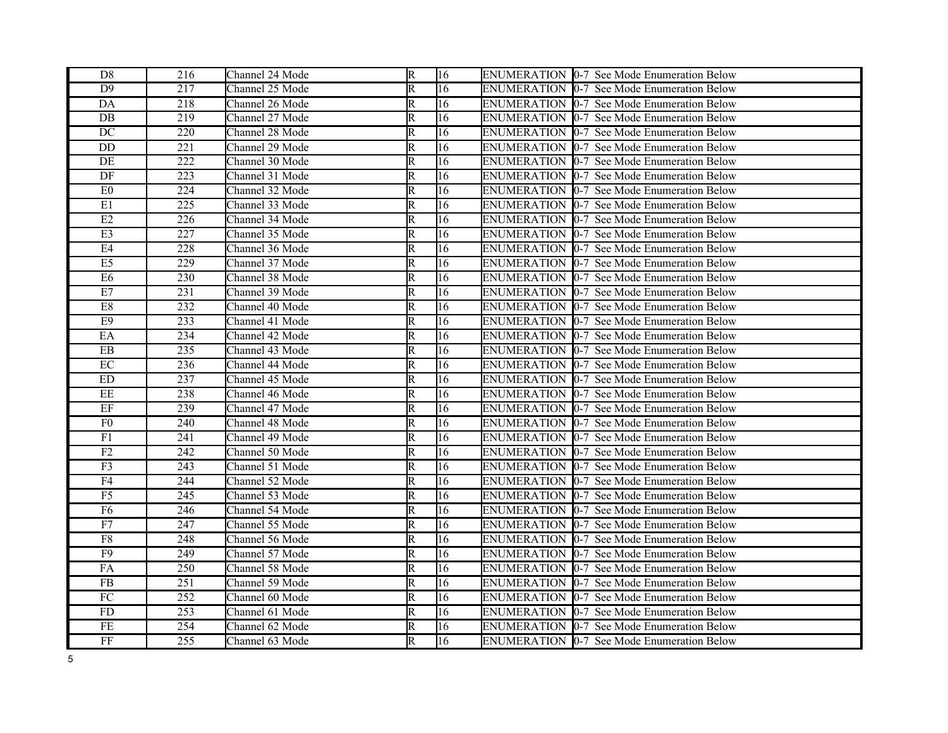| D <sub>8</sub>             | 216 | Channel 24 Mode | R                       | 16 | ENUMERATION 0-7 See Mode Enumeration Below         |
|----------------------------|-----|-----------------|-------------------------|----|----------------------------------------------------|
| D <sub>9</sub>             | 217 | Channel 25 Mode | $\overline{\mathtt{R}}$ | 16 | ENUMERATION 0-7 See Mode Enumeration Below         |
| DA                         | 218 | Channel 26 Mode | $\overline{\mathsf{R}}$ | 16 | ENUMERATION 0-7 See Mode Enumeration Below         |
| DB                         | 219 | Channel 27 Mode | R                       | 16 | ENUMERATION 10-7 See Mode Enumeration Below        |
| $DC$                       | 220 | Channel 28 Mode | R                       | 16 | ENUMERATION 0-7 See Mode Enumeration Below         |
| DD                         | 221 | Channel 29 Mode | R                       | 16 | ENUMERATION 10-7 See Mode Enumeration Below        |
| DE                         | 222 | Channel 30 Mode | R                       | 16 | ENUMERATION 10-7 See Mode Enumeration Below        |
| DF                         | 223 | Channel 31 Mode | $\overline{\mathsf{R}}$ | 16 | <b>ENUMERATION [0-7 See Mode Enumeration Below</b> |
| E0                         | 224 | Channel 32 Mode | R                       | 16 | ENUMERATION 10-7 See Mode Enumeration Below        |
| $\rm E1$                   | 225 | Channel 33 Mode | R                       | 16 | ENUMERATION 0-7 See Mode Enumeration Below         |
| E2                         | 226 | Channel 34 Mode | $\overline{\mathsf{R}}$ | 16 | ENUMERATION  0-7 See Mode Enumeration Below        |
| E3                         | 227 | Channel 35 Mode | R                       | 16 | ENUMERATION 0-7 See Mode Enumeration Below         |
| E4                         | 228 | Channel 36 Mode | R                       | 16 | ENUMERATION 0-7 See Mode Enumeration Below         |
| E5                         | 229 | Channel 37 Mode | R                       | 16 | <b>ENUMERATION 0-7 See Mode Enumeration Below</b>  |
| E6                         | 230 | Channel 38 Mode | R                       | 16 | ENUMERATION 0-7 See Mode Enumeration Below         |
| E7                         | 231 | Channel 39 Mode | R                       | 16 | ENUMERATION 10-7 See Mode Enumeration Below        |
| $\overline{\mathrm{E8}}$   | 232 | Channel 40 Mode | R                       | 16 | ENUMERATION 0-7 See Mode Enumeration Below         |
| E <sub>9</sub>             | 233 | Channel 41 Mode | $\overline{\mathsf{R}}$ | 16 | ENUMERATION 0-7 See Mode Enumeration Below         |
| EA                         | 234 | Channel 42 Mode | R                       | 16 | <b>ENUMERATION 0-7 See Mode Enumeration Below</b>  |
| ${\rm EB}$                 | 235 | Channel 43 Mode | R                       | 16 | ENUMERATION 0-7 See Mode Enumeration Below         |
| $\rm EC$                   | 236 | Channel 44 Mode | R                       | 16 | <b>ENUMERATION 0-7 See Mode Enumeration Below</b>  |
| $\mathop{\rm ED}\nolimits$ | 237 | Channel 45 Mode | R                       | 16 | ENUMERATION 0-7 See Mode Enumeration Below         |
| $\overline{EE}$            | 238 | Channel 46 Mode | $\overline{\mathsf{R}}$ | 16 | <b>ENUMERATION 0-7 See Mode Enumeration Below</b>  |
| $\rm EF$                   | 239 | Channel 47 Mode | $\overline{\mathsf{R}}$ | 16 | <b>ENUMERATION [0-7 See Mode Enumeration Below</b> |
| F <sub>0</sub>             | 240 | Channel 48 Mode | $\overline{\mathsf{R}}$ | 16 | ENUMERATION 0-7 See Mode Enumeration Below         |
| $\overline{F1}$            | 241 | Channel 49 Mode | $\overline{\mathrm{R}}$ | 16 | ENUMERATION  0-7 See Mode Enumeration Below        |
| F2                         | 242 | Channel 50 Mode | R                       | 16 | ENUMERATION 0-7 See Mode Enumeration Below         |
| F3                         | 243 | Channel 51 Mode | R                       | 16 | ENUMERATION  0-7 See Mode Enumeration Below        |
| F4                         | 244 | Channel 52 Mode | R                       | 16 | ENUMERATION 0-7 See Mode Enumeration Below         |
| F5                         | 245 | Channel 53 Mode | $\overline{\mathsf{R}}$ | 16 | <b>ENUMERATION 0-7 See Mode Enumeration Below</b>  |
| F6                         | 246 | Channel 54 Mode | R                       | 16 | ENUMERATION 10-7 See Mode Enumeration Below        |
| F7                         | 247 | Channel 55 Mode | R                       | 16 | ENUMERATION 0-7 See Mode Enumeration Below         |
| ${\rm F}8$                 | 248 | Channel 56 Mode | R                       | 16 | <b>ENUMERATION 0-7 See Mode Enumeration Below</b>  |
| $\overline{F9}$            | 249 | Channel 57 Mode | $\overline{\mathsf{R}}$ | 16 | ENUMERATION 0-7 See Mode Enumeration Below         |
| FA                         | 250 | Channel 58 Mode | R                       | 16 | ENUMERATION 10-7 See Mode Enumeration Below        |
| ${\rm FB}$                 | 251 | Channel 59 Mode | R                       | 16 | <b>ENUMERATION 0-7 See Mode Enumeration Below</b>  |
| $\overline{FC}$            | 252 | Channel 60 Mode | R                       | 16 | ENUMERATION 0-7 See Mode Enumeration Below         |
| FD                         | 253 | Channel 61 Mode | R                       | 16 | <b>ENUMERATION 0-7 See Mode Enumeration Below</b>  |
| $\overline{FE}$            | 254 | Channel 62 Mode | R                       | 16 | ENUMERATION 10-7 See Mode Enumeration Below        |
| $\rm FF$                   | 255 | Channel 63 Mode | R                       | 16 | ENUMERATION 0-7 See Mode Enumeration Below         |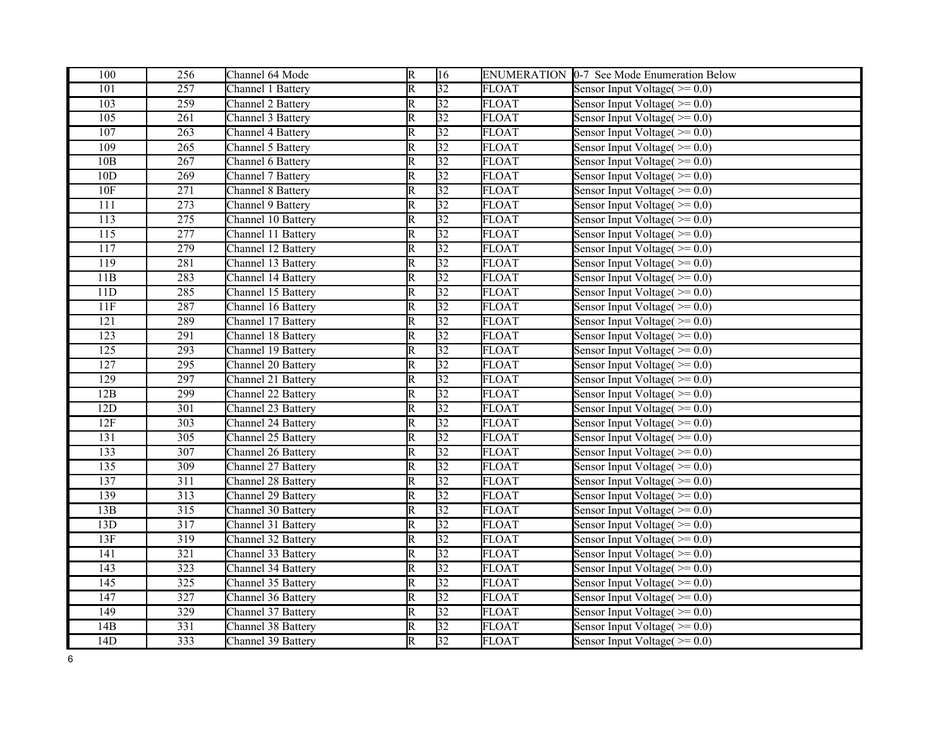| 100              | 256              | Channel 64 Mode    | $\overline{R}$          | 16              |              | ENUMERATION 0-7 See Mode Enumeration Below  |
|------------------|------------------|--------------------|-------------------------|-----------------|--------------|---------------------------------------------|
| 101              | 257              | Channel 1 Battery  | $\overline{\mathbb{R}}$ | $\overline{32}$ | <b>FLOAT</b> | Sensor Input Voltage( $\geq 0.0$ )          |
| 103              | $\overline{259}$ | Channel 2 Battery  | $\overline{\mathbb{R}}$ | 32              | <b>FLOAT</b> | Sensor Input Voltage $(>= 0.0)$             |
| 105              | $\overline{261}$ | Channel 3 Battery  | $\overline{\mathsf{R}}$ | 32              | <b>FLOAT</b> | Sensor Input Voltage( $\ge$ = 0.0)          |
| 107              | 263              | Channel 4 Battery  | $\overline{\mathbb{R}}$ | $\overline{32}$ | <b>FLOAT</b> | Sensor Input Voltage( $\ge$ = 0.0)          |
| 109              | 265              | Channel 5 Battery  | $\overline{\mathsf{R}}$ | 32              | <b>FLOAT</b> | Sensor Input Voltage( $\geq 0.0$ )          |
| 10B              | 267              | Channel 6 Battery  | R                       | 32              | <b>FLOAT</b> | Sensor Input Voltage $(>= 0.0)$             |
| 10D              | $\overline{269}$ | Channel 7 Battery  | $\overline{\mathsf{R}}$ | $\overline{32}$ | <b>FLOAT</b> | Sensor Input Voltage( $\ge$ = 0.0)          |
| 10F              | 271              | Channel 8 Battery  | R                       | $\overline{32}$ | <b>FLOAT</b> | Sensor Input Voltage( $\ge$ = 0.0)          |
| $\overline{111}$ | 273              | Channel 9 Battery  | $\overline{\mathbb{R}}$ | $\overline{32}$ | <b>FLOAT</b> | Sensor Input Voltage $(>= 0.0)$             |
| 113              | $\overline{275}$ | Channel 10 Battery | R                       | 32              | <b>FLOAT</b> | Sensor Input Voltage( $\geq 0.0$ )          |
| $\overline{115}$ | 277              | Channel 11 Battery | $\overline{\mathsf{R}}$ | 32              | <b>FLOAT</b> | Sensor Input Voltage $(>= 0.0)$             |
| 117              | 279              | Channel 12 Battery | R                       | $\overline{32}$ | <b>FLOAT</b> | Sensor Input Voltage $(>= 0.0)$             |
| 119              | 281              | Channel 13 Battery | $\overline{\mathbb{R}}$ | $\overline{32}$ | <b>FLOAT</b> | Sensor Input Voltage $(>= 0.0)$             |
| 11B              | 283              | Channel 14 Battery | $\overline{\mathsf{R}}$ | 32              | <b>FLOAT</b> | Sensor Input Voltage( $\ge$ = 0.0)          |
| 11D              | 285              | Channel 15 Battery | $\overline{\mathbb{R}}$ | $\overline{32}$ | <b>FLOAT</b> | Sensor Input Voltage( $\ge$ = 0.0)          |
| 11F              | 287              | Channel 16 Battery | $\overline{\mathbb{R}}$ | $\overline{32}$ | <b>FLOAT</b> | Sensor Input Voltage $(>= 0.0)$             |
| 121              | 289              | Channel 17 Battery | $\overline{\mathsf{R}}$ | 32              | <b>FLOAT</b> | Sensor Input Voltage( $\ge$ = 0.0)          |
| $\overline{123}$ | 291              | Channel 18 Battery | $\overline{\mathbb{R}}$ | $\overline{32}$ | <b>FLOAT</b> | Sensor Input Voltage $(>= 0.0)$             |
| $\overline{125}$ | 293              | Channel 19 Battery | $\overline{\mathbb{R}}$ | $\overline{32}$ | <b>FLOAT</b> | Sensor Input Voltage $(>= 0.0)$             |
| 127              | 295              | Channel 20 Battery | R                       | $\overline{32}$ | <b>FLOAT</b> | Sensor Input Voltage $(>= 0.0)$             |
| $\overline{129}$ | 297              | Channel 21 Battery | $\overline{\mathbb{R}}$ | $\overline{32}$ | <b>FLOAT</b> | Sensor Input Voltage( $\geq 0.0$ )          |
| 12B              | $\overline{299}$ | Channel 22 Battery | $\overline{\mathbb{R}}$ | 32              | <b>FLOAT</b> | Sensor Input Voltage $(>= 0.0)$             |
| 12D              | 301              | Channel 23 Battery | $\overline{\mathbb{R}}$ | $\overline{32}$ | <b>FLOAT</b> | Sensor Input $\overline{V}$ oltage( >= 0.0) |
| 12F              | 303              | Channel 24 Battery | $\overline{\mathbb{R}}$ | $\overline{32}$ | <b>FLOAT</b> | Sensor Input Voltage $(>= 0.0)$             |
| 131              | $\overline{305}$ | Channel 25 Battery | $\overline{\mathbb{R}}$ | 32              | <b>FLOAT</b> | Sensor Input Voltage $(>= 0.0)$             |
| 133              | 307              | Channel 26 Battery | R                       | $\overline{32}$ | <b>FLOAT</b> | Sensor Input Voltage( $\ge$ = 0.0)          |
| $\overline{135}$ | 309              | Channel 27 Battery | $\overline{\mathbb{R}}$ | $\overline{32}$ | <b>FLOAT</b> | Sensor Input Voltage $(>= 0.0)$             |
| 137              | 311              | Channel 28 Battery | R                       | 32              | <b>FLOAT</b> | Sensor Input Voltage( $\geq 0.0$ )          |
| 139              | $\overline{313}$ | Channel 29 Battery | $\overline{\mathbb{R}}$ | 32              | <b>FLOAT</b> | Sensor Input Voltage $(>= 0.0)$             |
| 13B              | $\overline{315}$ | Channel 30 Battery | $\overline{\mathsf{R}}$ | $\overline{32}$ | <b>FLOAT</b> | Sensor Input Voltage $(>= 0.0)$             |
| 13D              | 317              | Channel 31 Battery | R                       | 32              | <b>FLOAT</b> | Sensor Input Voltage $(>= 0.0)$             |
| 13F              | 319              | Channel 32 Battery | $\overline{\mathsf{R}}$ | $\overline{32}$ | <b>FLOAT</b> | Sensor Input Voltage $(>= 0.0)$             |
| 141              | $\overline{321}$ | Channel 33 Battery | $\overline{\mathbb{R}}$ | 32              | <b>FLOAT</b> | Sensor Input Voltage( $\geq 0.0$ )          |
| 143              | 323              | Channel 34 Battery | $\overline{\mathsf{R}}$ | 32              | <b>FLOAT</b> | Sensor Input Voltage( $\ge$ = 0.0)          |
| 145              | 325              | Channel 35 Battery | R                       | 32              | <b>FLOAT</b> | Sensor Input Voltage $(>= 0.0)$             |
| $\overline{147}$ | 327              | Channel 36 Battery | $\overline{\mathbb{R}}$ | 32              | <b>FLOAT</b> | Sensor Input Voltage $(>= 0.0)$             |
| 149              | 329              | Channel 37 Battery | $\overline{\mathsf{R}}$ | 32              | <b>FLOAT</b> | Sensor Input Voltage( $\geq 0.0$ )          |
| 14B              | $\overline{331}$ | Channel 38 Battery | $\overline{\mathbb{R}}$ | $\overline{32}$ | <b>FLOAT</b> | Sensor Input $\overline{V}$ oltage( >= 0.0) |
| 14D              | 333              | Channel 39 Battery | $\overline{\mathsf{R}}$ | 32              | <b>FLOAT</b> | Sensor Input Voltage( $\geq 0.0$ )          |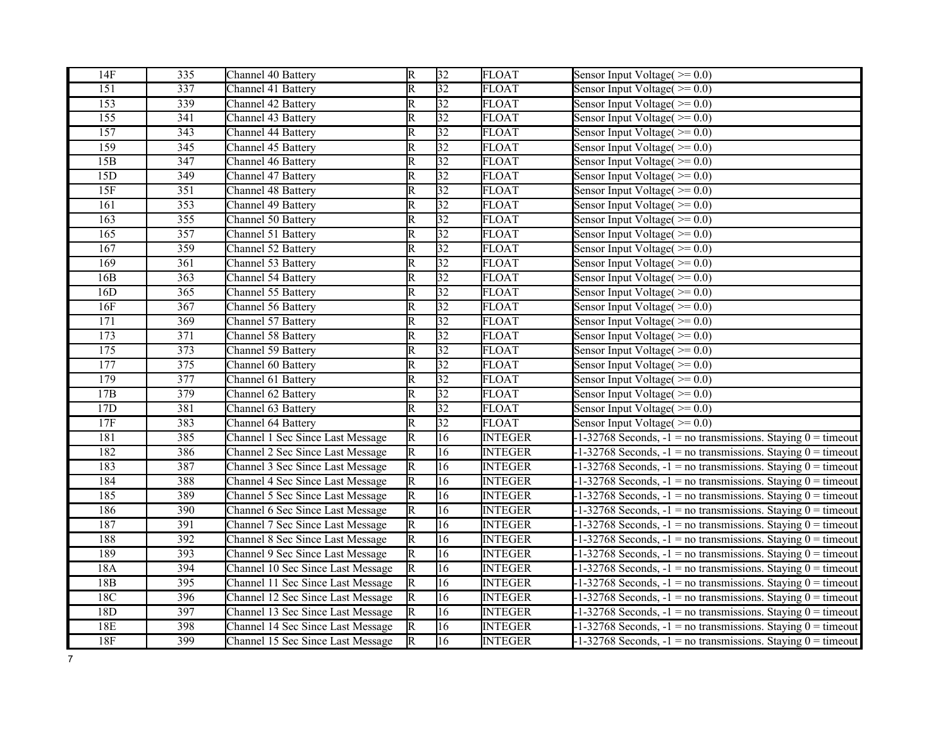| 14F              | 335              | Channel 40 Battery                | $\overline{R}$          | 32              | <b>FLOAT</b>   | Sensor Input Voltage( $\ge$ = 0.0)                                 |
|------------------|------------------|-----------------------------------|-------------------------|-----------------|----------------|--------------------------------------------------------------------|
| $\overline{151}$ | 337              | Channel 41 Battery                | $\overline{\mathrm{R}}$ | $\overline{32}$ | <b>FLOAT</b>   | Sensor Input Voltage( $\geq 0.0$ )                                 |
| 153              | 339              | Channel 42 Battery                | $\overline{\mathsf{R}}$ | 32              | <b>FLOAT</b>   | Sensor Input Voltage( $\ge$ = 0.0)                                 |
| $\overline{155}$ | 341              | Channel 43 Battery                | $\overline{\mathrm{R}}$ | 32              | <b>FLOAT</b>   | Sensor Input Voltage( $\geq 0.0$ )                                 |
| 157              | 343              | Channel 44 Battery                | $\overline{\mathrm{R}}$ | $ 32\rangle$    | <b>FLOAT</b>   | Sensor Input Voltage( $\ge$ = 0.0)                                 |
| 159              | 345              | Channel 45 Battery                | $\overline{\mathrm{R}}$ | 32              | <b>FLOAT</b>   | Sensor Input Voltage( $\geq 0.0$ )                                 |
| 15B              | 347              | Channel 46 Battery                | $\overline{\text{R}}$   | $\overline{32}$ | <b>FLOAT</b>   | Sensor Input Voltage( $\geq 0.0$ )                                 |
| 15D              | 349              | Channel 47 Battery                | $\overline{\mathrm{R}}$ | $\overline{32}$ | <b>FLOAT</b>   | Sensor Input Voltage( $\ge$ = 0.0)                                 |
| 15F              | 351              | Channel 48 Battery                | $\overline{\mathrm{R}}$ | 32              | <b>FLOAT</b>   | Sensor Input Voltage( $\geq 0.0$ )                                 |
| 161              | 353              | Channel 49 Battery                | $\overline{\mathrm{R}}$ | $\overline{32}$ | <b>FLOAT</b>   | Sensor Input Voltage( $\ge$ = 0.0)                                 |
| 163              | 355              | Channel 50 Battery                | $\overline{\mathrm{R}}$ | 32              | <b>FLOAT</b>   | Sensor Input Voltage( $\geq 0.0$ )                                 |
| 165              | 357              | Channel 51 Battery                | $\overline{\mathrm{R}}$ | 32              | <b>FLOAT</b>   | Sensor Input Voltage( $\ge$ = 0.0)                                 |
| 167              | 359              | Channel 52 Battery                | $\overline{\mathrm{R}}$ | 32              | <b>FLOAT</b>   | Sensor Input Voltage $(>= 0.0)$                                    |
| 169              | 361              | Channel 53 Battery                | $\overline{\mathrm{R}}$ | $\overline{32}$ | <b>FLOAT</b>   | Sensor Input Voltage( $\ge$ = 0.0)                                 |
| 16B              | 363              | Channel 54 Battery                | $\overline{\text{R}}$   | $ 32\rangle$    | <b>FLOAT</b>   | Sensor Input Voltage( $\geq 0.0$ )                                 |
| 16D              | $\overline{365}$ | Channel 55 Battery                | $\overline{\mathrm{R}}$ | $\overline{32}$ | <b>FLOAT</b>   | Sensor Input $\overline{V}$ oltage( >= 0.0)                        |
| 16F              | 367              | Channel 56 Battery                | $\overline{\mathrm{R}}$ | $\overline{32}$ | <b>FLOAT</b>   | Sensor Input Voltage $(>= 0.0)$                                    |
| 171              | 369              | Channel 57 Battery                | $\overline{\mathrm{R}}$ | 32              | <b>FLOAT</b>   | Sensor Input Voltage( $\ge$ = 0.0)                                 |
| 173              | $\overline{371}$ | Channel 58 Battery                | $\overline{\mathsf{R}}$ | $\overline{32}$ | <b>FLOAT</b>   | Sensor Input Voltage( $\geq 0.0$ )                                 |
| 175              | $\overline{373}$ | Channel 59 Battery                | $\overline{\mathrm{R}}$ | $\overline{32}$ | <b>FLOAT</b>   | Sensor Input Voltage( $\ge$ = 0.0)                                 |
| 177              | $\overline{375}$ | Channel 60 Battery                | $\overline{\mathrm{R}}$ | $\overline{32}$ | <b>FLOAT</b>   | Sensor Input Voltage $(>= 0.0)$                                    |
| 179              | 377              | Channel 61 Battery                | $\overline{\mathrm{R}}$ | 32              | <b>FLOAT</b>   | Sensor Input Voltage $(>= 0.0)$                                    |
| 17B              | 379              | Channel 62 Battery                | $\overline{\mathrm{R}}$ | $\overline{32}$ | <b>FLOAT</b>   | Sensor Input Voltage( $\ge$ = 0.0)                                 |
| 17D              | 381              | Channel 63 Battery                | $\overline{\mathsf{R}}$ | $\overline{32}$ | <b>FLOAT</b>   | Sensor Input Voltage( $\geq 0.0$ )                                 |
| 17F              | 383              | Channel 64 Battery                | $\overline{\mathrm{R}}$ | $\overline{32}$ | <b>FLOAT</b>   | Sensor Input Voltage( $\ge$ = 0.0)                                 |
| 181              | 385              | Channel 1 Sec Since Last Message  | $\overline{\mathsf{R}}$ | $\overline{16}$ | <b>INTEGER</b> | $-1-32768$ Seconds, $-1 =$ no transmissions. Staying $0 =$ timeout |
| 182              | 386              | Channel 2 Sec Since Last Message  | $\overline{\mathsf{R}}$ | $\overline{16}$ | <b>INTEGER</b> | $-1-32768$ Seconds, $-1 =$ no transmissions. Staying $0 =$ timeout |
| 183              | 387              | Channel 3 Sec Since Last Message  | $\overline{\mathrm{R}}$ | $\overline{16}$ | <b>INTEGER</b> | $-1-32768$ Seconds, $-1 =$ no transmissions. Staying $0 =$ timeout |
| 184              | 388              | Channel 4 Sec Since Last Message  | $\overline{\mathsf{R}}$ | 16              | <b>INTEGER</b> | $-1-32768$ Seconds, $-1 =$ no transmissions. Staying $0 =$ timeout |
| 185              | 389              | Channel 5 Sec Since Last Message  | $\overline{\mathsf{R}}$ | 16              | <b>INTEGER</b> | $-1-32768$ Seconds, $-1 =$ no transmissions. Staying $0 =$ timeout |
| 186              | 390              | Channel 6 Sec Since Last Message  | $\overline{\mathbb{R}}$ | $\overline{16}$ | <b>INTEGER</b> | $-1-32768$ Seconds, $-1 =$ no transmissions. Staying $0 =$ timeout |
| 187              | 391              | Channel 7 Sec Since Last Message  | R                       | 16              | <b>INTEGER</b> | $-1-32768$ Seconds, $-1 =$ no transmissions. Staying $0 =$ timeout |
| 188              | 392              | Channel 8 Sec Since Last Message  | $\overline{\mathrm{R}}$ | $\overline{16}$ | <b>INTEGER</b> | $-1-32768$ Seconds, $-1 =$ no transmissions. Staying $0 =$ timeout |
| 189              | 393              | Channel 9 Sec Since Last Message  | $\overline{\mathsf{R}}$ | $\overline{16}$ | <b>INTEGER</b> | $-1-32768$ Seconds, $-1 =$ no transmissions. Staying $0 =$ timeout |
| 18A              | 394              | Channel 10 Sec Since Last Message | $\overline{\mathrm{R}}$ | 16              | <b>INTEGER</b> | $-1-32768$ Seconds, $-1 =$ no transmissions. Staying $0 =$ timeout |
| 18 <sub>B</sub>  | 395              | Channel 11 Sec Since Last Message | $\overline{\mathbb{R}}$ | 16              | <b>INTEGER</b> | $-1-32768$ Seconds, $-1 =$ no transmissions. Staying $0 =$ timeout |
| 18C              | 396              | Channel 12 Sec Since Last Message | $\overline{\mathbb{R}}$ | 16              | <b>INTEGER</b> | $-1-32768$ Seconds, $-1 =$ no transmissions. Staying $0 =$ timeout |
| 18D              | 397              | Channel 13 Sec Since Last Message | R                       | 16              | <b>INTEGER</b> | $-1-32768$ Seconds, $-1 =$ no transmissions. Staying $0 =$ timeout |
| 18E              | 398              | Channel 14 Sec Since Last Message | $\overline{\mathbb{R}}$ | $\overline{16}$ | <b>INTEGER</b> | $-1-32768$ Seconds, $-1 =$ no transmissions. Staying $0 =$ timeout |
| 18F              | 399              | Channel 15 Sec Since Last Message | $\overline{\mathbb{R}}$ | $\overline{16}$ | <b>INTEGER</b> | $-1-32768$ Seconds, $-1 =$ no transmissions. Staying $0 =$ timeout |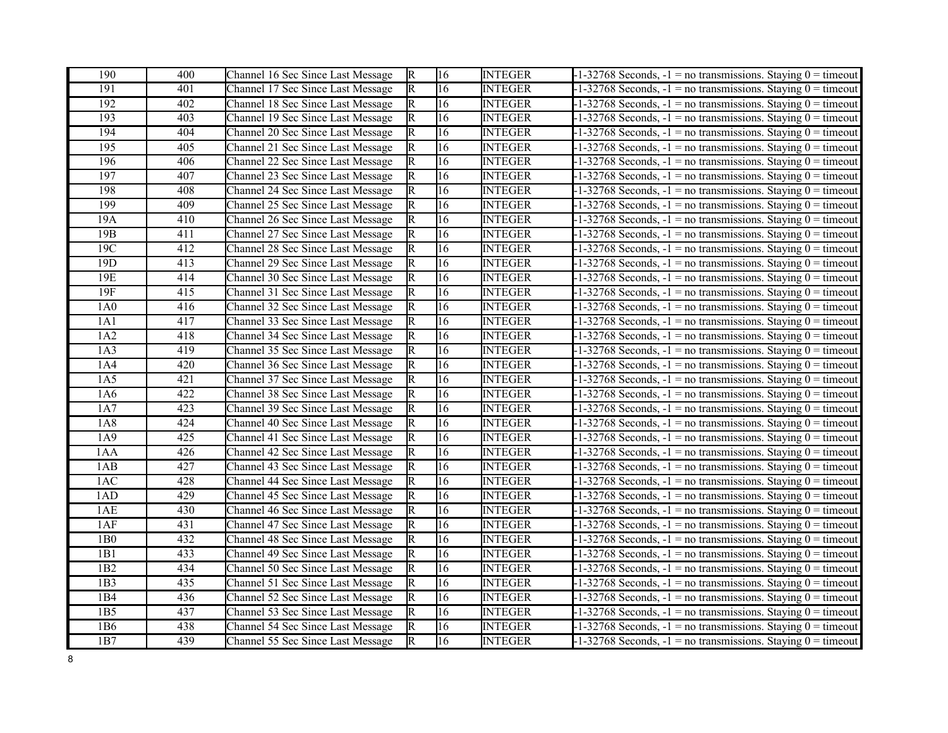| 190              | 400              | Channel 16 Sec Since Last Message | $\mathbb{R}$            | 16              | <b>INTEGER</b> | $-1-32768$ Seconds, $-1 =$ no transmissions. Staying $0 =$ timeout |
|------------------|------------------|-----------------------------------|-------------------------|-----------------|----------------|--------------------------------------------------------------------|
| 191              | 401              | Channel 17 Sec Since Last Message | $\overline{\mathbb{R}}$ | 16              | <b>INTEGER</b> | $-1-32768$ Seconds, $-1$ = no transmissions. Staying $0 =$ timeout |
| $\overline{192}$ | 402              | Channel 18 Sec Since Last Message | R                       | 16              | <b>INTEGER</b> | $-1-32768$ Seconds, $-1$ = no transmissions. Staying $0 =$ timeout |
| 193              | 403              | Channel 19 Sec Since Last Message | $\overline{\mathsf{R}}$ | 16              | <b>INTEGER</b> | $-1-32768$ Seconds, $-1 =$ no transmissions. Staying $0 =$ timeout |
| 194              | 404              | Channel 20 Sec Since Last Message | $\overline{\mathsf{R}}$ | 16              | <b>INTEGER</b> | $-1-32768$ Seconds, $-1$ = no transmissions. Staying $0 =$ timeout |
| 195              | 405              | Channel 21 Sec Since Last Message | $\overline{\mathsf{R}}$ | 16              | <b>INTEGER</b> | $-1-32768$ Seconds, $-1 =$ no transmissions. Staying $0 =$ timeout |
| 196              | 406              | Channel 22 Sec Since Last Message | $\overline{\mathsf{R}}$ | 16              | <b>INTEGER</b> | $-1-32768$ Seconds, $-1 =$ no transmissions. Staying $0 =$ timeout |
| 197              | 407              | Channel 23 Sec Since Last Message | $\overline{\mathsf{R}}$ | 16              | <b>INTEGER</b> | $-1-32768$ Seconds, $-1$ = no transmissions. Staying $0 =$ timeout |
| 198              | 408              | Channel 24 Sec Since Last Message | $\overline{\mathrm{R}}$ | 16              | <b>INTEGER</b> | $-1-32768$ Seconds, $-1 =$ no transmissions. Staying $0 =$ timeout |
| 199              | 409              | Channel 25 Sec Since Last Message | $\overline{\mathsf{R}}$ | 16              | <b>INTEGER</b> | $-1-32768$ Seconds, $-1$ = no transmissions. Staying $0 =$ timeout |
| 19A              | 410              | Channel 26 Sec Since Last Message | $\overline{\mathsf{R}}$ | 16              | <b>INTEGER</b> | $-1-32768$ Seconds, $-1$ = no transmissions. Staying $0 =$ timeout |
| 19B              | 411              | Channel 27 Sec Since Last Message | $\overline{\mathsf{R}}$ | 16              | <b>INTEGER</b> | $-1-32768$ Seconds, $-1 =$ no transmissions. Staying $0 =$ timeout |
| 19C              | 412              | Channel 28 Sec Since Last Message | $\overline{\mathrm{R}}$ | 16              | <b>INTEGER</b> | $-1-32768$ Seconds, $-1 =$ no transmissions. Staying $0 =$ timeout |
| 19 <sub>D</sub>  | 413              | Channel 29 Sec Since Last Message | $\overline{\mathrm{R}}$ | 16              | <b>INTEGER</b> | $-1-32768$ Seconds, $-1 =$ no transmissions. Staying $0 =$ timeout |
| 19E              | 414              | Channel 30 Sec Since Last Message | $\overline{\text{R}}$   | 16              | <b>INTEGER</b> | $-1-32768$ Seconds, $-1 =$ no transmissions. Staying $0 =$ timeout |
| 19F              | 415              | Channel 31 Sec Since Last Message | R                       | 16              | <b>INTEGER</b> | $-1-32768$ Seconds, $-1$ = no transmissions. Staying $0 =$ timeout |
| 1A0              | 416              | Channel 32 Sec Since Last Message | R                       | 16              | <b>INTEGER</b> | $-1-32768$ Seconds, $-1 =$ no transmissions. Staying $0 =$ timeout |
| 1A1              | 417              | Channel 33 Sec Since Last Message | $\overline{\text{R}}$   | 16              | <b>INTEGER</b> | $-1-32768$ Seconds, $-1$ = no transmissions. Staying $0 =$ timeout |
| 1A2              | 418              | Channel 34 Sec Since Last Message | R                       | 16              | <b>INTEGER</b> | $-1-32768$ Seconds, $-1 =$ no transmissions. Staying $0 =$ timeout |
| 1A3              | 419              | Channel 35 Sec Since Last Message | $\overline{\mathsf{R}}$ | 16              | <b>INTEGER</b> | $-1-32768$ Seconds, $-1 =$ no transmissions. Staying $0 =$ timeout |
| 1A4              | 420              | Channel 36 Sec Since Last Message | $\overline{\mathsf{R}}$ | $\overline{16}$ | <b>INTEGER</b> | $-1-32768$ Seconds, $-1 =$ no transmissions. Staying $0 =$ timeout |
| 1A5              | 421              | Channel 37 Sec Since Last Message | R                       | 16              | <b>INTEGER</b> | $-1-32768$ Seconds, $-1 =$ no transmissions. Staying $0 =$ timeout |
| 1A6              | 422              | Channel 38 Sec Since Last Message | R                       | 16              | <b>INTEGER</b> | $-1-32768$ Seconds, $-1$ = no transmissions. Staying $0 =$ timeout |
| 1A7              | 423              | Channel 39 Sec Since Last Message | R                       | 16              | <b>INTEGER</b> | $-1-32768$ Seconds, $-1$ = no transmissions. Staying $0 =$ timeout |
| $1A\overline{8}$ | 424              | Channel 40 Sec Since Last Message | $\overline{\mathrm{R}}$ | 16              | <b>INTEGER</b> | $-1-32768$ Seconds, $-1 =$ no transmissions. Staying $0 =$ timeout |
| 1A9              | $\overline{425}$ | Channel 41 Sec Since Last Message | $\overline{\mathrm{R}}$ | 16              | <b>INTEGER</b> | $-1-32768$ Seconds, $-1 =$ no transmissions. Staying $0 =$ timeout |
| 1AA              | 426              | Channel 42 Sec Since Last Message | $\overline{\mathsf{R}}$ | 16              | <b>INTEGER</b> | $-1-32768$ Seconds, $-1 =$ no transmissions. Staying $0 =$ timeout |
| 1AB              | 427              | Channel 43 Sec Since Last Message | $\overline{\mathsf{R}}$ | 16              | <b>INTEGER</b> | $-1-32768$ Seconds, $-1 =$ no transmissions. Staying $0 =$ timeout |
| 1AC              | 428              | Channel 44 Sec Since Last Message | $\overline{\mathsf{R}}$ | 16              | <b>INTEGER</b> | $-1-32768$ Seconds, $-1 =$ no transmissions. Staying $0 =$ timeout |
| 1AD              | 429              | Channel 45 Sec Since Last Message | R                       | 16              | <b>INTEGER</b> | $-1-32768$ Seconds, $-1 =$ no transmissions. Staying $0 =$ timeout |
| 1AE              | 430              | Channel 46 Sec Since Last Message | R                       | 16              | <b>INTEGER</b> | $-1-32768$ Seconds, $-1$ = no transmissions. Staying $0 =$ timeout |
| 1AF              | 431              | Channel 47 Sec Since Last Message | R                       | 16              | <b>INTEGER</b> | $-1-32768$ Seconds, $-1$ = no transmissions. Staying $0 =$ timeout |
| 1B0              | 432              | Channel 48 Sec Since Last Message | $\overline{\text{R}}$   | 16              | <b>INTEGER</b> | $-1-32768$ Seconds, $-1 =$ no transmissions. Staying $0 =$ timeout |
| 1B1              | $\overline{433}$ | Channel 49 Sec Since Last Message | R                       | 16              | <b>INTEGER</b> | $-1-32768$ Seconds, $-1$ = no transmissions. Staying $0 =$ timeout |
| 1B2              | 434              | Channel 50 Sec Since Last Message | $\overline{\mathsf{R}}$ | 16              | <b>INTEGER</b> | $-1-32768$ Seconds, $-1 =$ no transmissions. Staying $0 =$ timeout |
| 1B3              | 435              | Channel 51 Sec Since Last Message | $\overline{\mathsf{R}}$ | 16              | <b>INTEGER</b> | $-1-32768$ Seconds, $-1 =$ no transmissions. Staying $0 =$ timeout |
| 1B4              | 436              | Channel 52 Sec Since Last Message | $\overline{\mathsf{R}}$ | 16              | <b>INTEGER</b> | $-1-32768$ Seconds, $-1 =$ no transmissions. Staying $0 =$ timeout |
| 1B5              | 437              | Channel 53 Sec Since Last Message | R                       | 16              | <b>INTEGER</b> | $-1-32768$ Seconds, $-1 =$ no transmissions. Staying $0 =$ timeout |
| 1B6              | 438              | Channel 54 Sec Since Last Message | R                       | 16              | <b>INTEGER</b> | $-1-32768$ Seconds, $-1 =$ no transmissions. Staying $0 =$ timeout |
| 1B7              | 439              | Channel 55 Sec Since Last Message | R                       | $\overline{16}$ | <b>INTEGER</b> | $-1-32768$ Seconds, $-1$ = no transmissions. Staying $0 =$ timeout |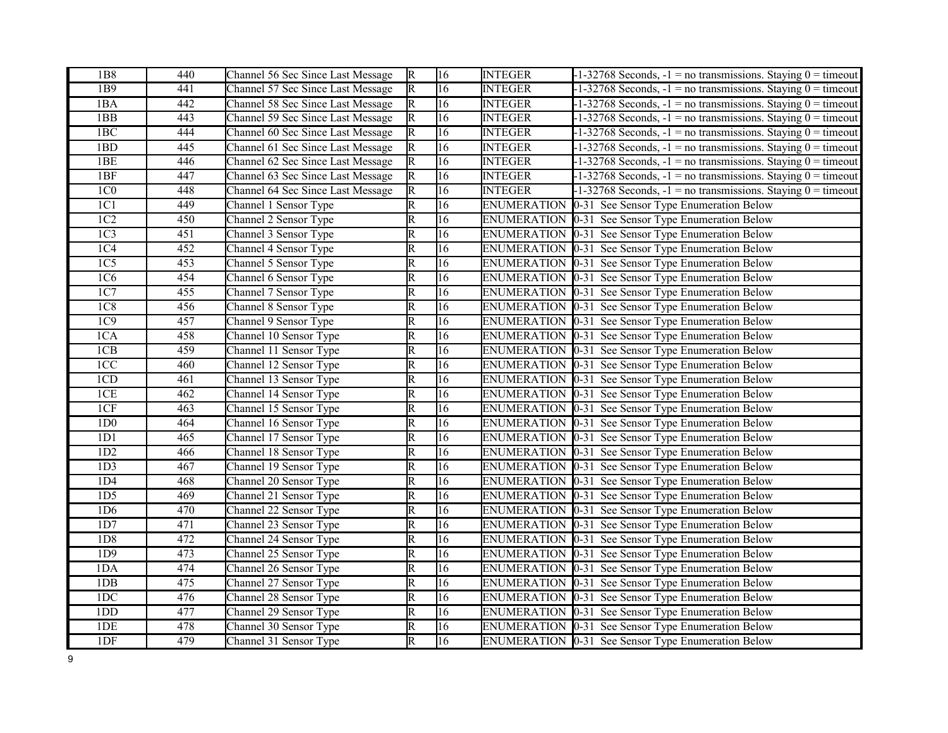| 1B8             | 440              | Channel 56 Sec Since Last Message | $\mathbb{R}$            | 16              | <b>INTEGER</b>     | $-1-32768$ Seconds, $-1 =$ no transmissions. Staying $0 =$ timeout |
|-----------------|------------------|-----------------------------------|-------------------------|-----------------|--------------------|--------------------------------------------------------------------|
| 1B9             | 441              | Channel 57 Sec Since Last Message | $\overline{\mathbb{R}}$ | $\overline{16}$ | <b>INTEGER</b>     | $-1-32768$ Seconds, $-1 =$ no transmissions. Staying $0 =$ timeout |
| 1BA             | 442              | Channel 58 Sec Since Last Message | $\mathbb{R}$            | 16              | <b>INTEGER</b>     | $-1-32768$ Seconds, $-1$ = no transmissions. Staying $0 =$ timeout |
| 1BB             | 443              | Channel 59 Sec Since Last Message | R                       | $\overline{16}$ | <b>INTEGER</b>     | $-1-32768$ Seconds, $-1 =$ no transmissions. Staying $0 =$ timeout |
| 1BC             | 444              | Channel 60 Sec Since Last Message | R                       | 16              | <b>INTEGER</b>     | $-1-32768$ Seconds, $-1 =$ no transmissions. Staying $0 =$ timeout |
| 1BD             | 445              | Channel 61 Sec Since Last Message | R                       | 16              | <b>INTEGER</b>     | $-1-32768$ Seconds, $-1 =$ no transmissions. Staying $0 =$ timeout |
| 1BE             | 446              | Channel 62 Sec Since Last Message | R                       | 16              | <b>INTEGER</b>     | $-1-32768$ Seconds, $-1 =$ no transmissions. Staying $0 =$ timeout |
| 1BF             | 447              | Channel 63 Sec Since Last Message | R                       | $\overline{16}$ | <b>INTEGER</b>     | $-1-32768$ Seconds, $-1$ = no transmissions. Staying $0 =$ timeout |
| 1C <sub>0</sub> | 448              | Channel 64 Sec Since Last Message | R                       | 16              | <b>INTEGER</b>     | $-1-32768$ Seconds, $-1 =$ no transmissions. Staying $0 =$ timeout |
| 1C1             | 449              | Channel 1 Sensor Type             | $\overline{\mathsf{R}}$ | 16              | <b>ENUMERATION</b> | 0-31 See Sensor Type Enumeration Below                             |
| 1C2             | 450              | Channel 2 Sensor Type             | R                       | 16              |                    | ENUMERATION 0-31 See Sensor Type Enumeration Below                 |
| 1C <sub>3</sub> | 451              | Channel 3 Sensor Type             | $\overline{\text{R}}$   | 16              | <b>ENUMERATION</b> | 0-31 See Sensor Type Enumeration Below                             |
| 1C4             | 452              | Channel 4 Sensor Type             | $\overline{\mathsf{R}}$ | 16              | <b>ENUMERATION</b> | 0-31 See Sensor Type Enumeration Below                             |
| 1C <sub>5</sub> | 453              | Channel 5 Sensor Type             | $\overline{\mathsf{R}}$ | 16              |                    | ENUMERATION 0-31 See Sensor Type Enumeration Below                 |
| 1C <sub>6</sub> | 454              | Channel 6 Sensor Type             | $\overline{\text{R}}$   | 16              |                    | ENUMERATION 0-31 See Sensor Type Enumeration Below                 |
| 1C7             | 455              | Channel 7 Sensor Type             | R                       | $\overline{16}$ |                    | ENUMERATION 0-31 See Sensor Type Enumeration Below                 |
| 1C8             | 456              | Channel 8 Sensor Type             | $\overline{\mathsf{R}}$ | $\overline{16}$ |                    | ENUMERATION  0-31 See Sensor Type Enumeration Below                |
| 1C9             | 457              | Channel 9 Sensor Type             | $\overline{\mathsf{R}}$ | 16              |                    | ENUMERATION 0-31 See Sensor Type Enumeration Below                 |
| 1CA             | 458              | Channel 10 Sensor Type            | R                       | $\overline{16}$ |                    | ENUMERATION 0-31 See Sensor Type Enumeration Below                 |
| 1CB             | 459              | Channel 11 Sensor Type            | $\overline{\mathbb{R}}$ | $\overline{16}$ |                    | ENUMERATION 0-31 See Sensor Type Enumeration Below                 |
| 1CC             | 460              | Channel 12 Sensor Type            | $\overline{\mathsf{R}}$ | 16              |                    | ENUMERATION 0-31 See Sensor Type Enumeration Below                 |
| 1CD             | 461              | Channel 13 Sensor Type            | $\overline{\mathsf{R}}$ | 16              |                    | ENUMERATION 0-31 See Sensor Type Enumeration Below                 |
| 1CE             | 462              | Channel 14 Sensor Type            | $\overline{\mathsf{R}}$ | $\overline{16}$ |                    | ENUMERATION  0-31 See Sensor Type Enumeration Below                |
| 1CF             | 463              | Channel 15 Sensor Type            | R                       | 16              |                    | ENUMERATION 0-31 See Sensor Type Enumeration Below                 |
| 1D0             | 464              | Channel 16 Sensor Type            | $\overline{\mathrm{R}}$ | 16              |                    | ENUMERATION 0-31 See Sensor Type Enumeration Below                 |
| 1D1             | 465              | Channel 17 Sensor Type            | $\overline{\mathrm{R}}$ | $\overline{16}$ |                    | ENUMERATION 0-31 See Sensor Type Enumeration Below                 |
| 1D2             | 466              | Channel 18 Sensor Type            | $\overline{\mathsf{R}}$ | $\overline{16}$ |                    | ENUMERATION 0-31 See Sensor Type Enumeration Below                 |
| 1D3             | 467              | Channel 19 Sensor Type            | $\overline{\mathsf{R}}$ | $\overline{16}$ |                    | ENUMERATION 0-31 See Sensor Type Enumeration Below                 |
| 1D4             | 468              | Channel 20 Sensor Type            | $\overline{\mathsf{R}}$ | 16              |                    | ENUMERATION 0-31 See Sensor Type Enumeration Below                 |
| 1D5             | 469              | Channel 21 Sensor Type            | $\overline{\mathrm{R}}$ | 16              |                    | ENUMERATION 0-31 See Sensor Type Enumeration Below                 |
| 1D6             | 470              | Channel 22 Sensor Type            | $\overline{\mathsf{R}}$ | $\overline{16}$ |                    | ENUMERATION  0-31 See Sensor Type Enumeration Below                |
| 1D7             | 471              | Channel 23 Sensor Type            | R                       | 16              |                    | ENUMERATION 0-31 See Sensor Type Enumeration Below                 |
| 1D <sub>8</sub> | 472              | Channel 24 Sensor Type            | $\overline{\mathrm{R}}$ | $\overline{16}$ |                    | ENUMERATION 0-31 See Sensor Type Enumeration Below                 |
| 1D9             | $\overline{473}$ | Channel 25 Sensor Type            | $\overline{\mathrm{R}}$ | $\overline{16}$ |                    | ENUMERATION 0-31 See Sensor Type Enumeration Below                 |
| 1DA             | 474              | Channel 26 Sensor Type            | $\overline{\text{R}}$   | 16              |                    | ENUMERATION   0-31 See Sensor Type Enumeration Below               |
| 1DB             | 475              | Channel 27 Sensor Type            | $\overline{\mathsf{R}}$ | $\overline{16}$ |                    | ENUMERATION 0-31 See Sensor Type Enumeration Below                 |
| 1DC             | 476              | Channel 28 Sensor Type            | $\overline{\mathsf{R}}$ | 16              |                    | ENUMERATION 0-31 See Sensor Type Enumeration Below                 |
| 1DD             | 477              | Channel 29 Sensor Type            | $\overline{\mathrm{R}}$ | 16              |                    | ENUMERATION  0-31 See Sensor Type Enumeration Below                |
| 1DE             | 478              | Channel 30 Sensor Type            | $\overline{\mathsf{R}}$ | $\overline{16}$ |                    | ENUMERATION 0-31 See Sensor Type Enumeration Below                 |
| 1DF             | 479              | Channel 31 Sensor Type            | R                       | 16              |                    | <b>ENUMERATION 0-31 See Sensor Type Enumeration Below</b>          |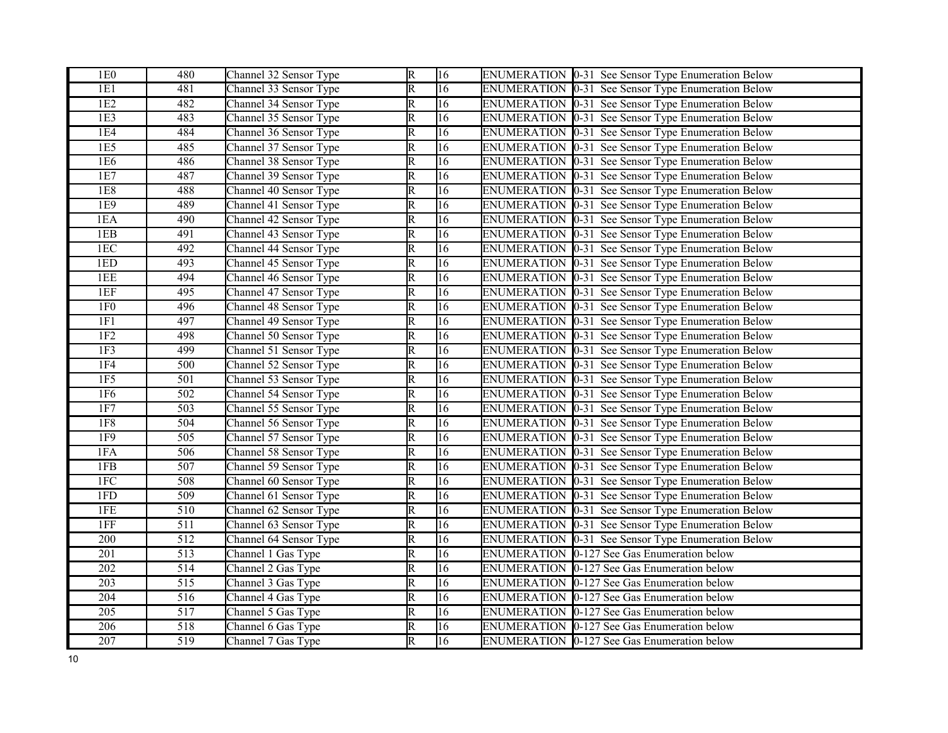| 1E0              | 480              | Channel 32 Sensor Type | $\overline{R}$          | 16              | ENUMERATION 0-31 See Sensor Type Enumeration Below        |
|------------------|------------------|------------------------|-------------------------|-----------------|-----------------------------------------------------------|
| 1E1              | 481              | Channel 33 Sensor Type | $\overline{\mathbb{R}}$ | 16              | ENUMERATION 0-31 See Sensor Type Enumeration Below        |
| 1E2              | 482              | Channel 34 Sensor Type | $\overline{\mathbb{R}}$ | 16              | ENUMERATION 0-31 See Sensor Type Enumeration Below        |
| 1E3              | 483              | Channel 35 Sensor Type | $\overline{\mathsf{R}}$ | $\overline{16}$ | ENUMERATION 0-31 See Sensor Type Enumeration Below        |
| 1E4              | 484              | Channel 36 Sensor Type | $\overline{\mathbb{R}}$ | $\overline{16}$ | ENUMERATION 0-31 See Sensor Type Enumeration Below        |
| 1E <sub>5</sub>  | 485              | Channel 37 Sensor Type | $\overline{\mathsf{R}}$ | 16              | ENUMERATION 0-31 See Sensor Type Enumeration Below        |
| 1E <sub>6</sub>  | 486              | Channel 38 Sensor Type | R                       | 16              | ENUMERATION 0-31 See Sensor Type Enumeration Below        |
| 1E7              | 487              | Channel 39 Sensor Type | $\overline{\mathbb{R}}$ | $\overline{16}$ | ENUMERATION 0-31 See Sensor Type Enumeration Below        |
| <b>1E8</b>       | 488              | Channel 40 Sensor Type | R                       | 16              | ENUMERATION 0-31 See Sensor Type Enumeration Below        |
| 1E9              | 489              | Channel 41 Sensor Type | $\overline{\mathbb{R}}$ | $\overline{16}$ | ENUMERATION 0-31 See Sensor Type Enumeration Below        |
| 1EA              | 490              | Channel 42 Sensor Type | R                       | 16              | ENUMERATION 0-31 See Sensor Type Enumeration Below        |
| 1EB              | 491              | Channel 43 Sensor Type | $\overline{\mathsf{R}}$ | $\overline{16}$ | ENUMERATION 0-31 See Sensor Type Enumeration Below        |
| 1EC              | 492              | Channel 44 Sensor Type | R                       | 16              | ENUMERATION 0-31 See Sensor Type Enumeration Below        |
| 1ED              | 493              | Channel 45 Sensor Type | $\overline{\mathbb{R}}$ | 16              | ENUMERATION 0-31 See Sensor Type Enumeration Below        |
| 1EE              | 494              | Channel 46 Sensor Type | $\overline{\mathsf{R}}$ | 16              | ENUMERATION 0-31 See Sensor Type Enumeration Below        |
| 1EF              | 495              | Channel 47 Sensor Type | $\overline{\mathbb{R}}$ | $\overline{16}$ | ENUMERATION 0-31 See Sensor Type Enumeration Below        |
| 1F <sub>0</sub>  | 496              | Channel 48 Sensor Type | $\overline{\mathbb{R}}$ | $\overline{16}$ | ENUMERATION 0-31 See Sensor Type Enumeration Below        |
| 1F1              | 497              | Channel 49 Sensor Type | R                       | 16              | ENUMERATION 0-31 See Sensor Type Enumeration Below        |
| 1F2              | 498              | Channel 50 Sensor Type | $\overline{\mathbb{R}}$ | 16              | ENUMERATION  0-31 See Sensor Type Enumeration Below       |
| 1F3              | 499              | Channel 51 Sensor Type | $\overline{\mathbb{R}}$ | 16              | ENUMERATION 0-31 See Sensor Type Enumeration Below        |
| <b>1F4</b>       | 500              | Channel 52 Sensor Type | R                       | 16              | ENUMERATION 0-31 See Sensor Type Enumeration Below        |
| 1F5              | $\overline{501}$ | Channel 53 Sensor Type | $\overline{\mathbb{R}}$ | 16              | ENUMERATION  0-31 See Sensor Type Enumeration Below       |
| 1F6              | $\overline{502}$ | Channel 54 Sensor Type | $\overline{\mathbb{R}}$ | $\overline{16}$ | ENUMERATION 0-31 See Sensor Type Enumeration Below        |
| 1F7              | 503              | Channel 55 Sensor Type | $\overline{\mathbb{R}}$ | $\overline{16}$ | ENUMERATION 0-31 See Sensor Type Enumeration Below        |
| 1F8              | 504              | Channel 56 Sensor Type | $\overline{\mathbb{R}}$ | $\overline{16}$ | ENUMERATION 0-31 See Sensor Type Enumeration Below        |
| 1F9              | $\overline{505}$ | Channel 57 Sensor Type | $\overline{\mathbb{R}}$ | $\overline{16}$ | ENUMERATION [0-31 See Sensor Type Enumeration Below       |
| 1FA              | 506              | Channel 58 Sensor Type | R                       | 16              | ENUMERATION 0-31 See Sensor Type Enumeration Below        |
| 1FB              | 507              | Channel 59 Sensor Type | $\overline{\mathbb{R}}$ | $\overline{16}$ | ENUMERATION 0-31 See Sensor Type Enumeration Below        |
| 1FC              | 508              | Channel 60 Sensor Type | R                       | 16              | ENUMERATION 0-31 See Sensor Type Enumeration Below        |
| 1FD              | 509              | Channel 61 Sensor Type | $\overline{\mathbb{R}}$ | 16              | ENUMERATION 0-31 See Sensor Type Enumeration Below        |
| 1FE              | 510              | Channel 62 Sensor Type | $\overline{\mathbb{R}}$ | 16              | <b>ENUMERATION 0-31 See Sensor Type Enumeration Below</b> |
| $1\mathrm{FF}$   | 511              | Channel 63 Sensor Type | R                       | 16              | ENUMERATION 0-31 See Sensor Type Enumeration Below        |
| $\overline{200}$ | $\overline{512}$ | Channel 64 Sensor Type | $\overline{\mathbb{R}}$ | $\overline{16}$ | ENUMERATION 0-31 See Sensor Type Enumeration Below        |
| 201              | 513              | Channel 1 Gas Type     | R                       | $\overline{16}$ | ENUMERATION 0-127 See Gas Enumeration below               |
| 202              | 514              | Channel 2 Gas Type     | $\overline{\mathsf{R}}$ | $\overline{16}$ | ENUMERATION 0-127 See Gas Enumeration below               |
| $\overline{203}$ | 515              | Channel 3 Gas Type     | R                       | 16              | ENUMERATION 0-127 See Gas Enumeration below               |
| 204              | $\overline{516}$ | Channel 4 Gas Type     | $\overline{\mathbb{R}}$ | 16              | ENUMERATION 0-127 See Gas Enumeration below               |
| $\overline{205}$ | 517              | Channel 5 Gas Type     | $\overline{\mathsf{R}}$ | 16              | ENUMERATION 0-127 See Gas Enumeration below               |
| 206              | 518              | Channel 6 Gas Type     | $\overline{\mathbb{R}}$ | 16              | ENUMERATION 0-127 See Gas Enumeration below               |
| $\overline{207}$ | 519              | Channel 7 Gas Type     | $\overline{\mathsf{R}}$ | $\overline{16}$ | ENUMERATION 0-127 See Gas Enumeration below               |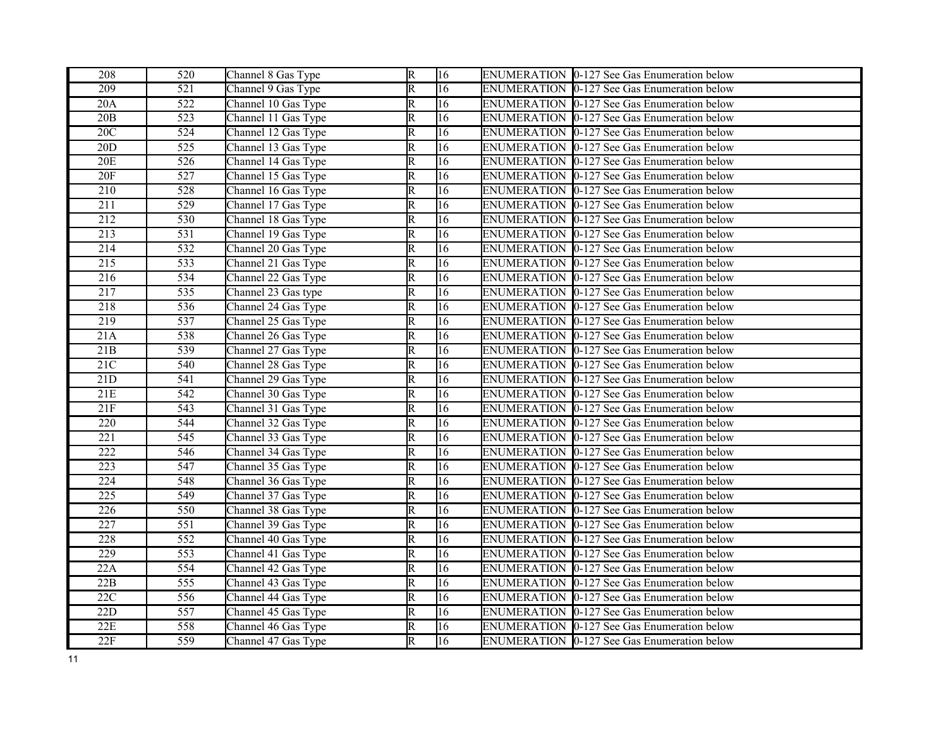| 208              | 520              | Channel 8 Gas Type  | R                       | 16              | ENUMERATION 0-127 See Gas Enumeration below        |
|------------------|------------------|---------------------|-------------------------|-----------------|----------------------------------------------------|
| 209              | 521              | Channel 9 Gas Type  | $\overline{\mathrm{R}}$ | 16              | <b>ENUMERATION 0-127 See Gas Enumeration below</b> |
| 20A              | $\overline{522}$ | Channel 10 Gas Type | $\overline{\mathsf{R}}$ | 16              | ENUMERATION 0-127 See Gas Enumeration below        |
| 20B              | $\overline{523}$ | Channel 11 Gas Type | R                       | $\overline{16}$ | ENUMERATION 0-127 See Gas Enumeration below        |
| 20C              | 524              | Channel 12 Gas Type | $\overline{\mathsf{R}}$ | $\overline{16}$ | ENUMERATION 0-127 See Gas Enumeration below        |
| 20D              | 525              | Channel 13 Gas Type | R                       | 16              | ENUMERATION 0-127 See Gas Enumeration below        |
| 20E              | 526              | Channel 14 Gas Type | R                       | 16              | <b>ENUMERATION 0-127 See Gas Enumeration below</b> |
| 20F              | $\overline{527}$ | Channel 15 Gas Type | $\overline{\mathsf{R}}$ | 16              | ENUMERATION 0-127 See Gas Enumeration below        |
| $\overline{210}$ | 528              | Channel 16 Gas Type | $\overline{\mathrm{R}}$ | 16              | ENUMERATION 0-127 See Gas Enumeration below        |
| 211              | 529              | Channel 17 Gas Type | $\overline{R}$          | 16              | ENUMERATION 0-127 See Gas Enumeration below        |
| 212              | 530              | Channel 18 Gas Type | $\overline{\mathsf{R}}$ | $\overline{16}$ | ENUMERATION 0-127 See Gas Enumeration below        |
| 213              | 531              | Channel 19 Gas Type | R                       | 16              | ENUMERATION 0-127 See Gas Enumeration below        |
| 214              | 532              | Channel 20 Gas Type | $\overline{\mathrm{R}}$ | 16              | ENUMERATION 0-127 See Gas Enumeration below        |
| $\overline{215}$ | 533              | Channel 21 Gas Type | $\overline{\mathrm{R}}$ | 16              | ENUMERATION 0-127 See Gas Enumeration below        |
| 216              | 534              | Channel 22 Gas Type | R                       | 16              | ENUMERATION 0-127 See Gas Enumeration below        |
| 217              | 535              | Channel 23 Gas type | $\overline{\mathrm{R}}$ | $\overline{16}$ | ENUMERATION 0-127 See Gas Enumeration below        |
| 218              | 536              | Channel 24 Gas Type | $\overline{\mathrm{R}}$ | 16              | ENUMERATION 0-127 See Gas Enumeration below        |
| 219              | 537              | Channel 25 Gas Type | $\overline{\mathsf{R}}$ | $\overline{16}$ | ENUMERATION 0-127 See Gas Enumeration below        |
| 21A              | 538              | Channel 26 Gas Type | $\overline{\mathrm{R}}$ | $\overline{16}$ | ENUMERATION 0-127 See Gas Enumeration below        |
| 21B              | $\overline{539}$ | Channel 27 Gas Type | $\overline{\mathrm{R}}$ | $\overline{16}$ | ENUMERATION 0-127 See Gas Enumeration below        |
| 21C              | 540              | Channel 28 Gas Type | $\overline{\mathsf{R}}$ | 16              | ENUMERATION 0-127 See Gas Enumeration below        |
| 21D              | 541              | Channel 29 Gas Type | $\overline{\mathsf{R}}$ | 16              | ENUMERATION 0-127 See Gas Enumeration below        |
| 21E              | $\overline{542}$ | Channel 30 Gas Type | $\overline{\mathrm{R}}$ | $\overline{16}$ | ENUMERATION 0-127 See Gas Enumeration below        |
| 21F              | 543              | Channel 31 Gas Type | $\overline{\mathrm{R}}$ | $\overline{16}$ | <b>ENUMERATION 0-127 See Gas Enumeration below</b> |
| $\overline{220}$ | 544              | Channel 32 Gas Type | $\overline{\mathrm{R}}$ | 16              | ENUMERATION 0-127 See Gas Enumeration below        |
| 221              | 545              | Channel 33 Gas Type | $\overline{\mathrm{R}}$ | 16              | ENUMERATION 0-127 See Gas Enumeration below        |
| 222              | 546              | Channel 34 Gas Type | $\overline{\mathsf{R}}$ | 16              | ENUMERATION 0-127 See Gas Enumeration below        |
| $\overline{223}$ | 547              | Channel 35 Gas Type | $\overline{\mathrm{R}}$ | $\overline{16}$ | ENUMERATION 0-127 See Gas Enumeration below        |
| 224              | 548              | Channel 36 Gas Type | R                       | 16              | ENUMERATION 0-127 See Gas Enumeration below        |
| 225              | 549              | Channel 37 Gas Type | $\overline{\mathsf{R}}$ | 16              | ENUMERATION 0-127 See Gas Enumeration below        |
| $\overline{226}$ | 550              | Channel 38 Gas Type | $\overline{\mathrm{R}}$ | $\overline{16}$ | <b>ENUMERATION 0-127 See Gas Enumeration below</b> |
| 227              | 551              | Channel 39 Gas Type | R                       | 16              | ENUMERATION 0-127 See Gas Enumeration below        |
| 228              | 552              | Channel 40 Gas Type | $\overline{\mathsf{R}}$ | 16              | ENUMERATION 0-127 See Gas Enumeration below        |
| 229              | $\overline{553}$ | Channel 41 Gas Type | $\overline{\mathsf{R}}$ | 16              | ENUMERATION 0-127 See Gas Enumeration below        |
| 22A              | 554              | Channel 42 Gas Type | R                       | 16              | ENUMERATION 0-127 See Gas Enumeration below        |
| 22B              | 555              | Channel 43 Gas Type | $\overline{\mathsf{R}}$ | 16              | ENUMERATION 0-127 See Gas Enumeration below        |
| 22C              | 556              | Channel 44 Gas Type | $\overline{\mathsf{R}}$ | 16              | ENUMERATION 0-127 See Gas Enumeration below        |
| 22D              | 557              | Channel 45 Gas Type | R                       | 16              | ENUMERATION 0-127 See Gas Enumeration below        |
| 22E              | 558              | Channel 46 Gas Type | $\overline{\mathrm{R}}$ | 16              | ENUMERATION 0-127 See Gas Enumeration below        |
| 22F              | $\overline{559}$ | Channel 47 Gas Type | $\overline{\mathbb{R}}$ | $\overline{16}$ | ENUMERATION 0-127 See Gas Enumeration below        |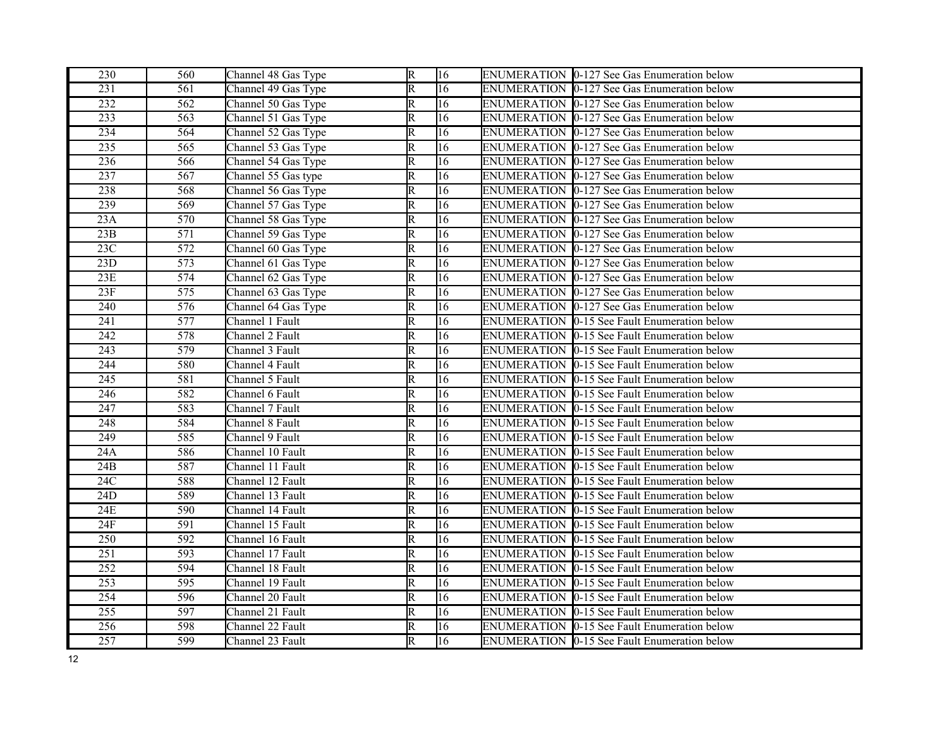| 230              | 560              | Channel 48 Gas Type | R                       | 16              | ENUMERATION 0-127 See Gas Enumeration below         |
|------------------|------------------|---------------------|-------------------------|-----------------|-----------------------------------------------------|
| 231              | 561              | Channel 49 Gas Type | $\overline{\mathrm{R}}$ | 16              | ENUMERATION 0-127 See Gas Enumeration below         |
| 232              | 562              | Channel 50 Gas Type | R                       | 16              | ENUMERATION 0-127 See Gas Enumeration below         |
| 233              | 563              | Channel 51 Gas Type | R                       | $\overline{16}$ | ENUMERATION 0-127 See Gas Enumeration below         |
| 234              | 564              | Channel 52 Gas Type | R                       | 16              | ENUMERATION 0-127 See Gas Enumeration below         |
| 235              | 565              | Channel 53 Gas Type | R                       | 16              | ENUMERATION 0-127 See Gas Enumeration below         |
| 236              | 566              | Channel 54 Gas Type | $\overline{\mathrm{R}}$ | 16              | <b>ENUMERATION 0-127 See Gas Enumeration below</b>  |
| 237              | $\overline{567}$ | Channel 55 Gas type | $\overline{\mathsf{R}}$ | 16              | ENUMERATION 0-127 See Gas Enumeration below         |
| 238              | 568              | Channel 56 Gas Type | R                       | 16              | ENUMERATION 0-127 See Gas Enumeration below         |
| 239              | 569              | Channel 57 Gas Type | $\overline{\mathsf{R}}$ | 16              | ENUMERATION 0-127 See Gas Enumeration below         |
| 23A              | 570              | Channel 58 Gas Type | $\overline{\mathsf{R}}$ | $\overline{16}$ | ENUMERATION 0-127 See Gas Enumeration below         |
| 23B              | 571              | Channel 59 Gas Type | R                       | 16              | ENUMERATION 0-127 See Gas Enumeration below         |
| 23C              | 572              | Channel 60 Gas Type | $\overline{\mathrm{R}}$ | 16              | ENUMERATION 0-127 See Gas Enumeration below         |
| 23D              | 573              | Channel 61 Gas Type | $\overline{\mathrm{R}}$ | 16              | ENUMERATION 0-127 See Gas Enumeration below         |
| $23E$            | 574              | Channel 62 Gas Type | R                       | 16              | ENUMERATION 0-127 See Gas Enumeration below         |
| 23F              | 575              | Channel 63 Gas Type | $\overline{\mathrm{R}}$ | $\overline{16}$ | ENUMERATION 0-127 See Gas Enumeration below         |
| $\overline{240}$ | $\overline{576}$ | Channel 64 Gas Type | R                       | 16              | ENUMERATION 0-127 See Gas Enumeration below         |
| 241              | 577              | Channel 1 Fault     | $\overline{\mathrm{R}}$ | $\overline{16}$ | ENUMERATION 0-15 See Fault Enumeration below        |
| 242              | 578              | Channel 2 Fault     | $\overline{\mathrm{R}}$ | $\overline{16}$ | <b>ENUMERATION 0-15 See Fault Enumeration below</b> |
| $\overline{243}$ | $\overline{579}$ | Channel 3 Fault     | $\overline{\mathrm{R}}$ | 16              | ENUMERATION 0-15 See Fault Enumeration below        |
| 244              | 580              | Channel 4 Fault     | $\overline{\mathsf{R}}$ | 16              | <b>ENUMERATION 0-15 See Fault Enumeration below</b> |
| 245              | 581              | Channel 5 Fault     | $\overline{\mathsf{R}}$ | 16              | ENUMERATION 0-15 See Fault Enumeration below        |
| 246              | 582              | Channel 6 Fault     | $\overline{\mathrm{R}}$ | $\overline{16}$ | ENUMERATION 0-15 See Fault Enumeration below        |
| 247              | 583              | Channel 7 Fault     | $\overline{\mathrm{R}}$ | $\overline{16}$ | <b>ENUMERATION 0-15 See Fault Enumeration below</b> |
| 248              | 584              | Channel 8 Fault     | $\overline{\mathrm{R}}$ | 16              | ENUMERATION 0-15 See Fault Enumeration below        |
| 249              | 585              | Channel 9 Fault     | R                       | 16              | ENUMERATION 0-15 See Fault Enumeration below        |
| 24A              | 586              | Channel 10 Fault    | $\overline{\mathsf{R}}$ | 16              | ENUMERATION  0-15 See Fault Enumeration below       |
| 24B              | 587              | Channel 11 Fault    | $\overline{\mathrm{R}}$ | $\overline{16}$ | <b>ENUMERATION 0-15 See Fault Enumeration below</b> |
| 24C              | 588              | Channel 12 Fault    | R                       | 16              | ENUMERATION 0-15 See Fault Enumeration below        |
| 24D              | 589              | Channel 13 Fault    | $\overline{\mathsf{R}}$ | 16              | ENUMERATION 0-15 See Fault Enumeration below        |
| 24E              | 590              | Channel 14 Fault    | R                       | $\overline{16}$ | ENUMERATION 10-15 See Fault Enumeration below       |
| 24F              | 591              | Channel 15 Fault    | R                       | 16              | ENUMERATION 0-15 See Fault Enumeration below        |
| 250              | 592              | Channel 16 Fault    | $\overline{\mathsf{R}}$ | 16              | ENUMERATION 0-15 See Fault Enumeration below        |
| $\overline{251}$ | $\overline{593}$ | Channel 17 Fault    | $\overline{\mathsf{R}}$ | $\overline{16}$ | ENUMERATION 0-15 See Fault Enumeration below        |
| 252              | 594              | Channel 18 Fault    | $\overline{\mathrm{R}}$ | $\overline{16}$ | ENUMERATION 0-15 See Fault Enumeration below        |
| 253              | 595              | Channel 19 Fault    | $\overline{\mathsf{R}}$ | 16              | ENUMERATION   0-15 See Fault Enumeration below      |
| 254              | 596              | Channel 20 Fault    | $\overline{\mathsf{R}}$ | 16              | ENUMERATION 0-15 See Fault Enumeration below        |
| 255              | 597              | Channel 21 Fault    | R                       | 16              | <b>ENUMERATION 0-15 See Fault Enumeration below</b> |
| 256              | 598              | Channel 22 Fault    | $\overline{\mathrm{R}}$ | 16              | ENUMERATION 0-15 See Fault Enumeration below        |
| 257              | 599              | Channel 23 Fault    | $\overline{\mathbb{R}}$ | $\overline{16}$ | ENUMERATION 0-15 See Fault Enumeration below        |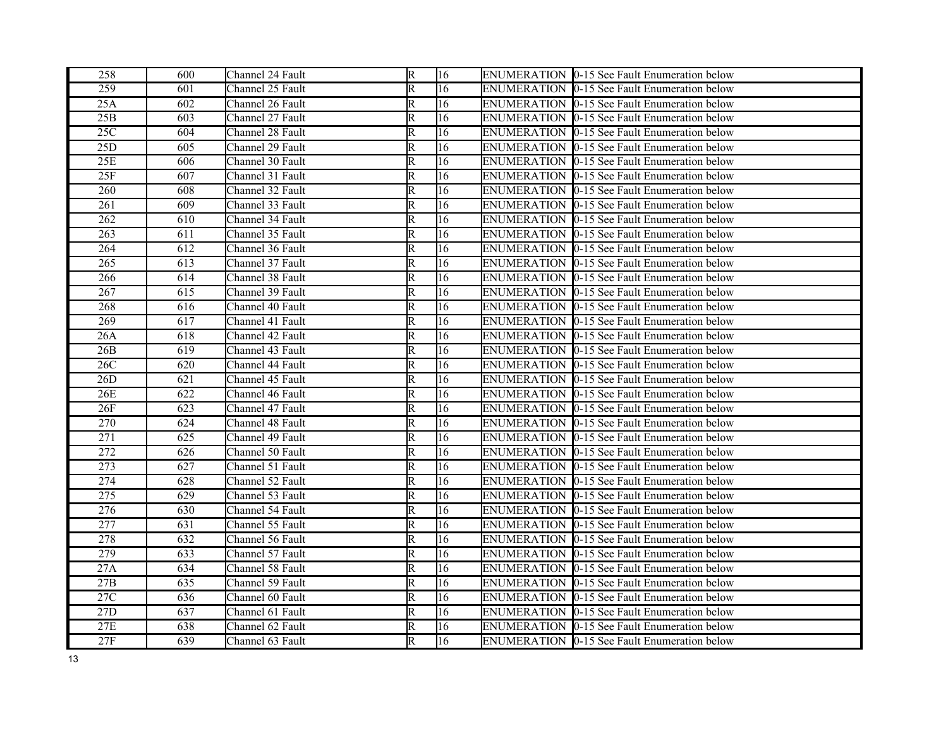| 258              | 600 | Channel 24 Fault | R                       | 16              | ENUMERATION 0-15 See Fault Enumeration below        |
|------------------|-----|------------------|-------------------------|-----------------|-----------------------------------------------------|
| 259              | 601 | Channel 25 Fault | R                       | 16              | ENUMERATION 0-15 See Fault Enumeration below        |
| 25A              | 602 | Channel 26 Fault | R                       | 16              | ENUMERATION 0-15 See Fault Enumeration below        |
| 25B              | 603 | Channel 27 Fault | $\overline{\text{R}}$   | 16              | ENUMERATION 10-15 See Fault Enumeration below       |
| 25C              | 604 | Channel 28 Fault | R                       | 16              | ENUMERATION 0-15 See Fault Enumeration below        |
| 25D              | 605 | Channel 29 Fault | R                       | 16              | ENUMERATION 0-15 See Fault Enumeration below        |
| 25E              | 606 | Channel 30 Fault | R                       | 16              | ENUMERATION 10-15 See Fault Enumeration below       |
| 25F              | 607 | Channel 31 Fault | R                       | 16              | ENUMERATION 10-15 See Fault Enumeration below       |
| 260              | 608 | Channel 32 Fault | R                       | 16              | <b>ENUMERATION 0-15 See Fault Enumeration below</b> |
| 261              | 609 | Channel 33 Fault | $\overline{\mathrm{R}}$ | 16              | <b>ENUMERATION 0-15 See Fault Enumeration below</b> |
| 262              | 610 | Channel 34 Fault | R                       | $\overline{16}$ | ENUMERATION 0-15 See Fault Enumeration below        |
| 263              | 611 | Channel 35 Fault | R                       | 16              | <b>ENUMERATION 0-15 See Fault Enumeration below</b> |
| 264              | 612 | Channel 36 Fault | R                       | 16              | ENUMERATION 0-15 See Fault Enumeration below        |
| 265              | 613 | Channel 37 Fault | $\overline{\mathsf{R}}$ | 16              | ENUMERATION 0-15 See Fault Enumeration below        |
| 266              | 614 | Channel 38 Fault | R                       | 16              | <b>ENUMERATION 0-15 See Fault Enumeration below</b> |
| 267              | 615 | Channel 39 Fault | $\overline{\mathsf{R}}$ | 16              | ENUMERATION  0-15 See Fault Enumeration below       |
| 268              | 616 | Channel 40 Fault | $\overline{\mathrm{R}}$ | 16              | <b>ENUMERATION 0-15 See Fault Enumeration below</b> |
| 269              | 617 | Channel 41 Fault | R                       | 16              | ENUMERATION 0-15 See Fault Enumeration below        |
| 26A              | 618 | Channel 42 Fault | R                       | 16              | ENUMERATION 0-15 See Fault Enumeration below        |
| 26B              | 619 | Channel 43 Fault | R                       | 16              | ENUMERATION  0-15 See Fault Enumeration below       |
| 26C              | 620 | Channel 44 Fault | R                       | 16              | ENUMERATION 0-15 See Fault Enumeration below        |
| 26D              | 621 | Channel 45 Fault | $\overline{\mathsf{R}}$ | 16              | ENUMERATION 10-15 See Fault Enumeration below       |
| 26E              | 622 | Channel 46 Fault | R                       | 16              | ENUMERATION 10-15 See Fault Enumeration below       |
| 26F              | 623 | Channel 47 Fault | $\overline{\mathsf{R}}$ | 16              | ENUMERATION 0-15 See Fault Enumeration below        |
| 270              | 624 | Channel 48 Fault | R                       | 16              | <b>ENUMERATION 0-15 See Fault Enumeration below</b> |
| $\overline{271}$ | 625 | Channel 49 Fault | $\overline{\mathsf{R}}$ | 16              | ENUMERATION 0-15 See Fault Enumeration below        |
| 272              | 626 | Channel 50 Fault | R                       | $\overline{16}$ | ENUMERATION 0-15 See Fault Enumeration below        |
| 273              | 627 | Channel 51 Fault | R                       | 16              | ENUMERATION 0-15 See Fault Enumeration below        |
| 274              | 628 | Channel 52 Fault | R                       | 16              | ENUMERATION 10-15 See Fault Enumeration below       |
| 275              | 629 | Channel 53 Fault | R                       | 16              | <b>ENUMERATION 0-15 See Fault Enumeration below</b> |
| 276              | 630 | Channel 54 Fault | $\overline{\mathsf{R}}$ | 16              | ENUMERATION 10-15 See Fault Enumeration below       |
| 277              | 631 | Channel 55 Fault | R                       | 16              | <b>ENUMERATION 0-15 See Fault Enumeration below</b> |
| 278              | 632 | Channel 56 Fault | R                       | 16              | ENUMERATION 0-15 See Fault Enumeration below        |
| 279              | 633 | Channel 57 Fault | $\overline{\mathsf{R}}$ | $\overline{16}$ | ENUMERATION 0-15 See Fault Enumeration below        |
| 27A              | 634 | Channel 58 Fault | R                       | 16              | <b>ENUMERATION 0-15 See Fault Enumeration below</b> |
| 27B              | 635 | Channel 59 Fault | R                       | 16              | ENUMERATION 0-15 See Fault Enumeration below        |
| 27C              | 636 | Channel 60 Fault | R                       | 16              | ENUMERATION 0-15 See Fault Enumeration below        |
| 27D              | 637 | Channel 61 Fault | R                       | 16              | <b>ENUMERATION 0-15 See Fault Enumeration below</b> |
| 27E              | 638 | Channel 62 Fault | R                       | 16              | ENUMERATION 10-15 See Fault Enumeration below       |
| 27F              | 639 | Channel 63 Fault | R                       | 16              | ENUMERATION 0-15 See Fault Enumeration below        |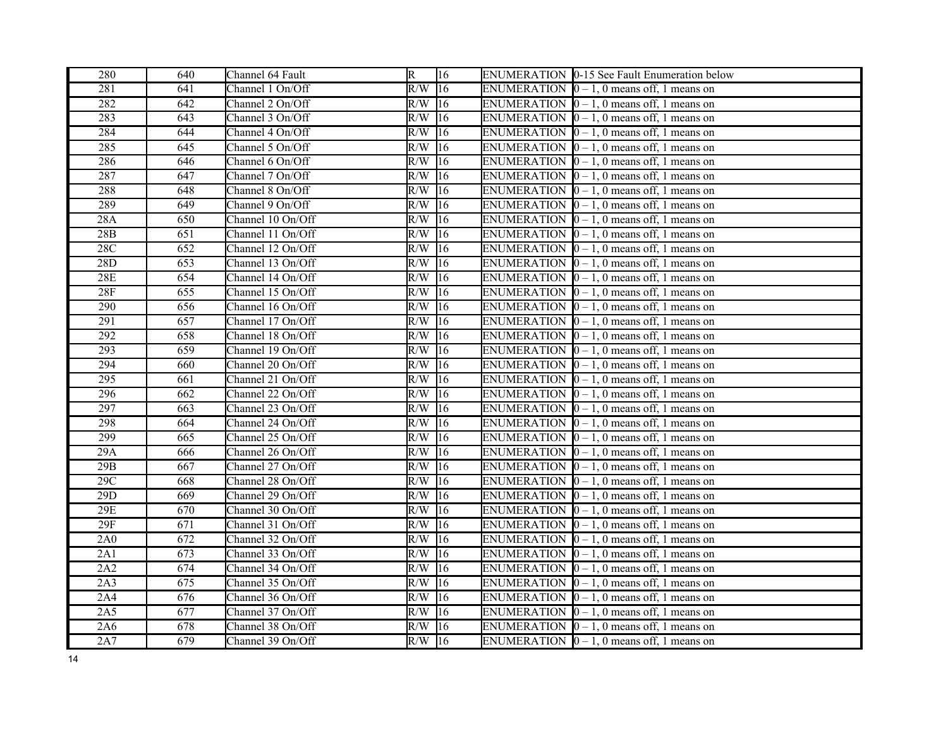| 280        | 640 | Channel 64 Fault  | $\overline{R}$ | 16              | ENUMERATION 0-15 See Fault Enumeration below           |
|------------|-----|-------------------|----------------|-----------------|--------------------------------------------------------|
| 281        | 641 | Channel 1 On/Off  | R/W            | 16              | ENUMERATION $[0 - 1, 0$ means off, 1 means on          |
| 282        | 642 | Channel 2 On/Off  | $R/W$ 16       |                 | ENUMERATION $[0 - 1, 0$ means off, 1 means on          |
| 283        | 643 | Channel 3 On/Off  | R/W            | 16              | ENUMERATION $[0 - 1, 0$ means off, 1 means on          |
| 284        | 644 | Channel 4 On/Off  | R/W            | 16              | ENUMERATION $[0 - 1, 0$ means off, 1 means on          |
| 285        | 645 | Channel 5 On/Off  | R/W            | 16              | ENUMERATION $\vert 0 - 1$ , 0 means off, 1 means on    |
| 286        | 646 | Channel 6 On/Off  | R/W            | 16              | ENUMERATION $[0 - 1, 0$ means off, 1 means on          |
| 287        | 647 | Channel 7 On/Off  | R/W            | $\overline{16}$ | ENUMERATION $[0 - 1, 0$ means off, 1 means on          |
| 288        | 648 | Channel 8 On/Off  | R/W            | 16              | ENUMERATION $[0 - 1, 0$ means off, 1 means on          |
| 289        | 649 | Channel 9 On/Off  | R/W            | 16              | ENUMERATION $\vert 0-1, 0 \vert$ means off, 1 means on |
| 28A        | 650 | Channel 10 On/Off | $R/W$ 16       |                 | ENUMERATION $[0 - 1, 0$ means off, 1 means on          |
| 28B        | 651 | Channel 11 On/Off | R/W            | 16              | ENUMERATION $\vert 0-1, 0 \vert$ means off, 1 means on |
| 28C        | 652 | Channel 12 On/Off | R/W            | 16              | ENUMERATION $[0 - 1, 0$ means off, 1 means on          |
| 28D        | 653 | Channel 13 On/Off | $R/W$ 16       |                 | ENUMERATION $[0 - 1, 0$ means off, 1 means on          |
| <b>28E</b> | 654 | Channel 14 On/Off | $R/W$ 16       |                 | ENUMERATION $[0 - 1, 0$ means off, 1 means on          |
| 28F        | 655 | Channel 15 On/Off | $R/W$ 16       |                 | ENUMERATION $[0 - 1, 0$ means off, 1 means on          |
| 290        | 656 | Channel 16 On/Off | $R/W$ 16       |                 | ENUMERATION $[0 - 1, 0$ means off, 1 means on          |
| 291        | 657 | Channel 17 On/Off | $R/W$ 16       |                 | ENUMERATION $[0 - 1, 0$ means off, 1 means on          |
| 292        | 658 | Channel 18 On/Off | R/W            | 16              | ENUMERATION $[0 - 1, 0$ means off, 1 means on          |
| 293        | 659 | Channel 19 On/Off | R/W            | 16              | ENUMERATION $[0 - 1, 0$ means off, 1 means on          |
| 294        | 660 | Channel 20 On/Off | R/W            | 16              | ENUMERATION $\vert 0 - 1$ , 0 means off, 1 means on    |
| 295        | 661 | Channel 21 On/Off | R/W            | 16              | ENUMERATION $[0 - 1, 0$ means off, 1 means on          |
| 296        | 662 | Channel 22 On/Off | R/W            | $\sqrt{16}$     | ENUMERATION $[0 - 1, 0$ means off, 1 means on          |
| 297        | 663 | Channel 23 On/Off | R/W            | 16              | ENUMERATION $[0 - 1, 0$ means off, 1 means on          |
| 298        | 664 | Channel 24 On/Off | R/W            | $\overline{16}$ | ENUMERATION $\vert 0-1, 0 \vert$ means off, 1 means on |
| 299        | 665 | Channel 25 On/Off | $R/W$ 16       |                 | ENUMERATION $[0 - 1, 0$ means off, 1 means on          |
| 29A        | 666 | Channel 26 On/Off | R/W            | 16              | ENUMERATION $\vert 0-1, 0 \vert$ means off, 1 means on |
| 29B        | 667 | Channel 27 On/Off | R/W            | 16              | ENUMERATION $[0 - 1, 0$ means off, 1 means on          |
| 29C        | 668 | Channel 28 On/Off | R/W            | 16              | ENUMERATION $\vert 0-1, 0 \vert$ means off, 1 means on |
| 29D        | 669 | Channel 29 On/Off | $R/W$ 16       |                 | ENUMERATION $[0 - 1, 0$ means off, 1 means on          |
| $29E$      | 670 | Channel 30 On/Off | $R/W$ 16       |                 | ENUMERATION $[0 - 1, 0$ means off, 1 means on          |
| 29F        | 671 | Channel 31 On/Off | $R/W$ 16       |                 | ENUMERATION $[0 - 1, 0$ means off, 1 means on          |
| 2A0        | 672 | Channel 32 On/Off | $R/W$ 16       |                 | ENUMERATION $\vert 0 - 1$ , 0 means off, 1 means on    |
| 2A1        | 673 | Channel 33 On/Off | $R/W$ 16       |                 | ENUMERATION $[0 - 1, 0$ means off, 1 means on          |
| 2A2        | 674 | Channel 34 On/Off | R/W            | 16              | ENUMERATION $[0 - 1, 0$ means off, 1 means on          |
| 2A3        | 675 | Channel 35 On/Off | R/W            | 16              | ENUMERATION $[0 - 1, 0$ means off, 1 means on          |
| 2A4        | 676 | Channel 36 On/Off | $R/W$ 16       |                 | ENUMERATION $[0 - 1, 0$ means off, 1 means on          |
| 2A5        | 677 | Channel 37 On/Off | R/W            | 16              | ENUMERATION $[0 - 1, 0$ means off, 1 means on          |
| 2A6        | 678 | Channel 38 On/Off | R/W            | 116             | ENUMERATION $[0 - 1, 0$ means off, 1 means on          |
| 2A7        | 679 | Channel 39 On/Off | $R/W$ 16       |                 | ENUMERATION $\vert 0-1, 0 \vert$ means off, 1 means on |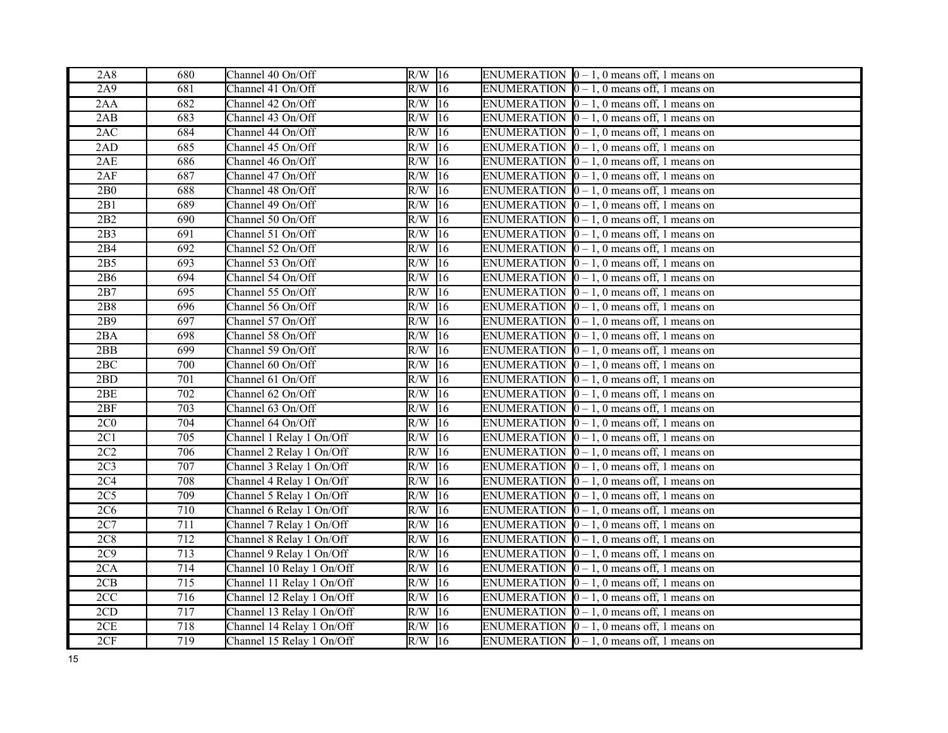| 2A8             | 680              | Channel 40 On/Off         | $R/W$ 16 |                 | ENUMERATION $\vert 0-1, 0 \vert$ means off, 1 means on   |
|-----------------|------------------|---------------------------|----------|-----------------|----------------------------------------------------------|
| 2A9             | 681              | Channel 41 On/Off         | $R/W$ 16 |                 | ENUMERATION $\vert 0 - 1$ , 0 means off, 1 means on      |
| 2AA             | 682              | Channel 42 On/Off         | $R/W$ 16 |                 | ENUMERATION $\vert 0 - 1$ , 0 means off, 1 means on      |
| 2AB             | 683              | Channel 43 On/Off         | R/W      | $\overline{16}$ | ENUMERATION $\vert 0-1, 0 \vert$ means off, 1 means on   |
| 2AC             | 684              | Channel 44 On/Off         | R/W      | 16              | ENUMERATION $\vert 0-1, 0 \vert$ means off, 1 means on   |
| 2AD             | 685              | Channel 45 On/Off         | R/W      | 16              | ENUMERATION $[0 - 1, 0$ means off, 1 means on            |
| 2AE             | 686              | Channel 46 On/Off         | R/W      | 16              | ENUMERATION $\vert 0 - 1$ , 0 means off, 1 means on      |
| 2AF             | 687              | Channel 47 On/Off         | R/W      | $\sqrt{16}$     | ENUMERATION $\vert 0-1, 0 \rangle$ means off, 1 means on |
| 2B0             | 688              | Channel 48 On/Off         | R/W      | 16              | ENUMERATION $\vert 0-1, 0 \rangle$ means off, 1 means on |
| 2B1             | 689              | Channel 49 On/Off         | $R/W$ 16 |                 | ENUMERATION $\vert 0-1, 0 \vert$ means off, 1 means on   |
| 2B2             | 690              | Channel 50 On/Off         | R/W      | $\sqrt{16}$     | ENUMERATION $[0 - 1, 0$ means off, 1 means on            |
| 2B3             | 691              | Channel 51 On/Off         | R/W      | 16              | ENUMERATION $\vert 0-1, 0 \vert$ means off, 1 means on   |
| 2B4             | 692              | Channel 52 On/Off         | R/W      | 16              | ENUMERATION $[0 - 1, 0$ means off, 1 means on            |
| 2B5             | 693              | Channel 53 On/Off         | $R/W$ 16 |                 | ENUMERATION $\vert 0 - 1$ , 0 means off, 1 means on      |
| 2B6             | 694              | Channel 54 On/Off         | $R/W$ 16 |                 | ENUMERATION $\vert 0 - 1$ , 0 means off, 1 means on      |
| 2B7             | 695              | Channel 55 On/Off         | $R/W$ 16 |                 | ENUMERATION $\vert 0-1, 0 \rangle$ means off, 1 means on |
| 2B8             | 696              | Channel 56 On/Off         | $R/W$ 16 |                 | ENUMERATION $[0 - 1, 0$ means off, 1 means on            |
| 2B9             | 697              | Channel 57 On/Off         | R/W      | 16              | ENUMERATION $\vert 0-1, 0 \vert$ means off, 1 means on   |
| 2BA             | 698              | Channel 58 On/Off         | R/W      | $\overline{16}$ | ENUMERATION $[0 - 1, 0$ means off, 1 means on            |
| 2BB             | 699              | Channel 59 On/Off         | R/W      | 16              | ENUMERATION $\vert 0-1, 0 \vert$ means off, 1 means on   |
| 2BC             | 700              | Channel 60 On/Off         | R/W      | 16              | ENUMERATION $\vert 0-1, 0 \vert$ means off, 1 means on   |
| 2BD             | 701              | Channel 61 On/Off         | R/W      | $ 16\rangle$    | ENUMERATION $\vert 0-1, 0 \rangle$ means off, 1 means on |
| 2BE             | 702              | Channel 62 On/Off         | R/W      | $\sqrt{16}$     | ENUMERATION $\vert 0 - 1$ , 0 means off, 1 means on      |
| 2BF             | 703              | Channel 63 On/Off         | R/W      | 16              | ENUMERATION $\vert 0-1, 0 \vert$ means off, 1 means on   |
| 2C <sub>0</sub> | 704              | Channel 64 On/Off         | $R/W$ 16 |                 | ENUMERATION $\vert 0-1, 0 \vert$ means off, 1 means on   |
| 2C1             | 705              | Channel 1 Relay 1 On/Off  | $R/W$ 16 |                 | ENUMERATION $\vert 0-1, 0 \vert$ means off, 1 means on   |
| 2C2             | 706              | Channel 2 Relay 1 On/Off  | R/W      | 16              | ENUMERATION $\vert 0-1, 0 \vert$ means off, 1 means on   |
| 2C <sub>3</sub> | 707              | Channel 3 Relay 1 On/Off  | R/W      | 16              | ENUMERATION $[0 - 1, 0$ means off, 1 means on            |
| 2C <sub>4</sub> | 708              | Channel 4 Relay 1 On/Off  | $R/W$ 16 |                 | ENUMERATION $\vert 0-1, 0 \vert$ means off, 1 means on   |
| 2C5             | 709              | Channel 5 Relay 1 On/Off  | $R/W$ 16 |                 | ENUMERATION $[0 - 1, 0$ means off, 1 means on            |
| 2C6             | 710              | Channel 6 Relay 1 On/Off  | $R/W$ 16 |                 | ENUMERATION $\vert 0-1, 0 \rangle$ means off, 1 means on |
| 2C7             | $\overline{711}$ | Channel 7 Relay 1 On/Off  | R/W      | $\overline{16}$ | ENUMERATION $[0 - 1, 0$ means off, 1 means on            |
| 2C8             | 712              | Channel 8 Relay 1 On/Off  | $R/W$ 16 |                 | ENUMERATION $\vert 0-1, 0 \vert$ means off, 1 means on   |
| 2C9             | 713              | Channel 9 Relay 1 On/Off  | R/W      | $\sqrt{16}$     | ENUMERATION $[0 - 1, 0$ means off, 1 means on            |
| 2CA             | 714              | Channel 10 Relay 1 On/Off | R/W      | 16              | ENUMERATION $\vert 0 - 1$ , 0 means off, 1 means on      |
| 2CB             | 715              | Channel 11 Relay 1 On/Off | $R/W$ 16 |                 | ENUMERATION $\vert 0-1, 0 \vert$ means off, 1 means on   |
| 2CC             | 716              | Channel 12 Relay 1 On/Off | $R/W$ 16 |                 | ENUMERATION $\vert 0-1, 0 \rangle$ means off, 1 means on |
| 2CD             | 717              | Channel 13 Relay 1 On/Off | $R/W$ 16 |                 | ENUMERATION $\vert 0-1, 0 \rangle$ means off, 1 means on |
| 2CE             | 718              | Channel 14 Relay 1 On/Off | R/W      | 16              | ENUMERATION $\vert 0-1, 0 \rangle$ means off, 1 means on |
| 2CF             | 719              | Channel 15 Relay 1 On/Off | $R/W$ 16 |                 | ENUMERATION $\vert 0-1, 0 \vert$ means off, 1 means on   |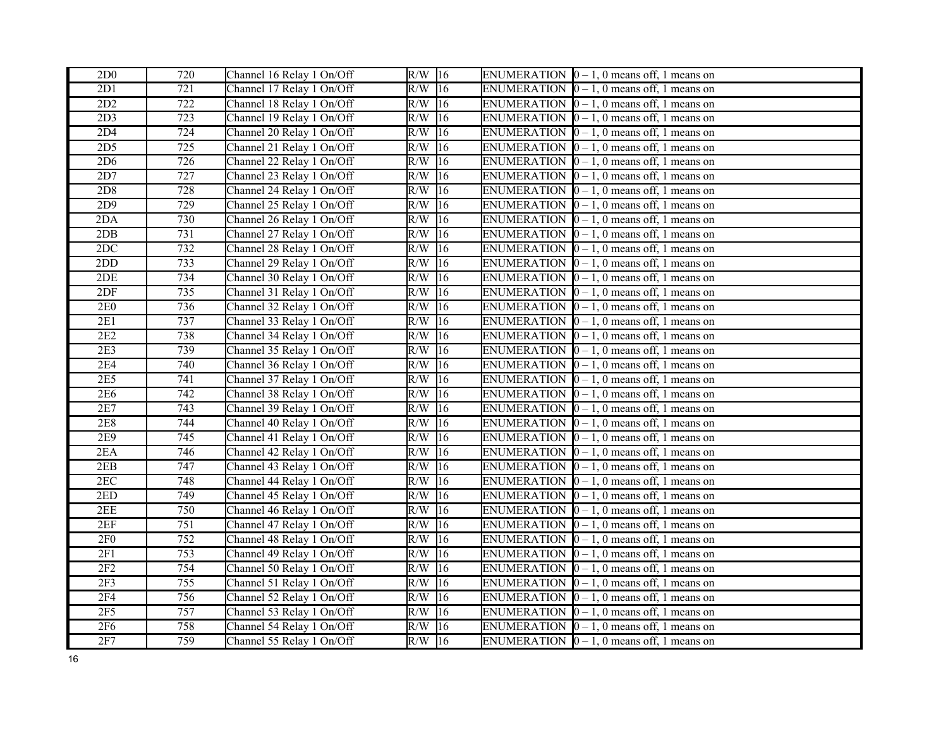| 2D <sub>0</sub> | 720              | Channel 16 Relay 1 On/Off | $R/W$ 16            | ENUMERATION $\vert 0-1, 0 \vert$ means off, 1 means on |
|-----------------|------------------|---------------------------|---------------------|--------------------------------------------------------|
| 2D1             | 721              | Channel 17 Relay 1 On/Off | $R/W$ 16            | ENUMERATION $[0 - 1, 0$ means off, 1 means on          |
| 2D2             | 722              | Channel 18 Relay 1 On/Off | $R/W$ 16            | ENUMERATION $[0 - 1, 0$ means off, 1 means on          |
| 2D3             | 723              | Channel 19 Relay 1 On/Off | $R/W$ 16            | ENUMERATION $[0 - 1, 0$ means off, 1 means on          |
| 2D4             | 724              | Channel 20 Relay 1 On/Off | R/W<br>16           | ENUMERATION $[0 - 1, 0$ means off, 1 means on          |
| 2D <sub>5</sub> | 725              | Channel 21 Relay 1 On/Off | $\overline{R/W}$ 16 | ENUMERATION $[0 - 1, 0$ means off, 1 means on          |
| 2D6             | 726              | Channel 22 Relay 1 On/Off | $R/W$ 16            | ENUMERATION $[0 - 1, 0$ means off, 1 means on          |
| 2D7             | 727              | Channel 23 Relay 1 On/Off | 16<br>R/W           | ENUMERATION $[0 - 1, 0$ means off, 1 means on          |
| 2D8             | 728              | Channel 24 Relay 1 On/Off | R/W<br>16           | ENUMERATION $\vert 0 - 1$ , 0 means off, 1 means on    |
| 2D9             | 729              | Channel 25 Relay 1 On/Off | $R/W$ 16            | ENUMERATION $[0 - 1, 0$ means off, 1 means on          |
| 2DA             | 730              | Channel 26 Relay 1 On/Off | $R/W$ 16            | ENUMERATION $[0 - 1, 0$ means off, 1 means on          |
| 2DB             | 731              | Channel 27 Relay 1 On/Off | R/W<br>16           | ENUMERATION $[0 - 1, 0$ means off, 1 means on          |
| 2DC             | 732              | Channel 28 Relay 1 On/Off | $R/W$ 16            | ENUMERATION $[0 - 1, 0$ means off, 1 means on          |
| 2DD             | 733              | Channel 29 Relay 1 On/Off | $R/W$ 16            | ENUMERATION $[0 - 1, 0$ means off, 1 means on          |
| 2DE             | 734              | Channel 30 Relay 1 On/Off | $R/W$ 16            | ENUMERATION $\vert 0 - 1$ , 0 means off, 1 means on    |
| 2DF             | 735              | Channel 31 Relay 1 On/Off | $R/W$ 16            | ENUMERATION $[0 - 1, 0$ means off, 1 means on          |
| <b>2E0</b>      | 736              | Channel 32 Relay 1 On/Off | $R/W$ 16            | ENUMERATION $[0 - 1, 0$ means off, 1 means on          |
| 2E1             | 737              | Channel 33 Relay 1 On/Off | $R/W$ 16            | ENUMERATION $[0 - 1, 0$ means off, 1 means on          |
| 2E2             | 738              | Channel 34 Relay 1 On/Off | $R/W$ 16            | ENUMERATION $\vert 0-1, 0 \vert$ means off, 1 means on |
| 2E3             | 739              | Channel 35 Relay 1 On/Off | R/W<br> 16          | ENUMERATION $[0 - 1, 0$ means off, 1 means on          |
| <b>2E4</b>      | 740              | Channel 36 Relay 1 On/Off | $R/W$ 16            | ENUMERATION $\vert 0 - 1$ , 0 means off, 1 means on    |
| 2E5             | 741              | Channel 37 Relay 1 On/Off | $ 16\rangle$<br>R/W | ENUMERATION $\vert 0 - 1$ , 0 means off, 1 means on    |
| 2E6             | $\overline{742}$ | Channel 38 Relay 1 On/Off | R/W<br>16           | ENUMERATION $\vert 0-1, 0 \vert$ means off, 1 means on |
| 2E7             | 743              | Channel 39 Relay 1 On/Off | R/W<br> 16          | ENUMERATION $[0 - 1, 0$ means off, 1 means on          |
| 2E8             | 744              | Channel 40 Relay 1 On/Off | $R/W$ 16            | ENUMERATION $[0 - 1, 0$ means off, 1 means on          |
| 2E9             | 745              | Channel 41 Relay 1 On/Off | $R/W$ 16            | ENUMERATION $\vert 0-1, 0 \vert$ means off, 1 means on |
| 2EA             | 746              | Channel 42 Relay 1 On/Off | $R/W$ 16            | ENUMERATION $[0 - 1, 0$ means off, 1 means on          |
| 2EB             | 747              | Channel 43 Relay 1 On/Off | $\overline{R/W}$ 16 | ENUMERATION $\vert 0-1, 0 \vert$ means off, 1 means on |
| $2\mathrm{EC}$  | 748              | Channel 44 Relay 1 On/Off | $R/W$ 16            | ENUMERATION $[0 - 1, 0$ means off, 1 means on          |
| 2ED             | 749              | Channel 45 Relay 1 On/Off | $R/W$ 16            | ENUMERATION $[0 - 1, 0$ means off, 1 means on          |
| 2EE             | 750              | Channel 46 Relay 1 On/Off | $R/W$ 16            | ENUMERATION $[0 - 1, 0$ means off, 1 means on          |
| 2EF             | 751              | Channel 47 Relay 1 On/Off | $R/W$ 16            | ENUMERATION $\vert 0-1, 0 \vert$ means off, 1 means on |
| 2F <sub>0</sub> | 752              | Channel 48 Relay 1 On/Off | $R/W$ 16            | ENUMERATION $[0 - 1, 0$ means off, 1 means on          |
| 2F1             | 753              | Channel 49 Relay 1 On/Off | $R/W$ 16            | ENUMERATION $\vert 0-1, 0 \vert$ means off, 1 means on |
| 2F2             | 754              | Channel 50 Relay 1 On/Off | R/W<br> 16          | ENUMERATION $[0 - 1, 0$ means off, 1 means on          |
| 2F3             | $\overline{755}$ | Channel 51 Relay 1 On/Off | $R/W$ 16            | ENUMERATION $\vert 0-1, 0 \vert$ means off, 1 means on |
| <b>2F4</b>      | 756              | Channel 52 Relay 1 On/Off | $R/W$ 16            | ENUMERATION $\vert 0-1, 0 \vert$ means off, 1 means on |
| $2F5$           | 757              | Channel 53 Relay 1 On/Off | $R/W$ 16            | ENUMERATION $[0 - 1, 0$ means off, 1 means on          |
| <b>2F6</b>      | 758              | Channel 54 Relay 1 On/Off | R/W<br>16           | ENUMERATION $\vert 0 - 1$ , 0 means off, 1 means on    |
| 2F7             | 759              | Channel 55 Relay 1 On/Off | $R/W$ 16            | ENUMERATION $\vert 0-1, 0 \vert$ means off, 1 means on |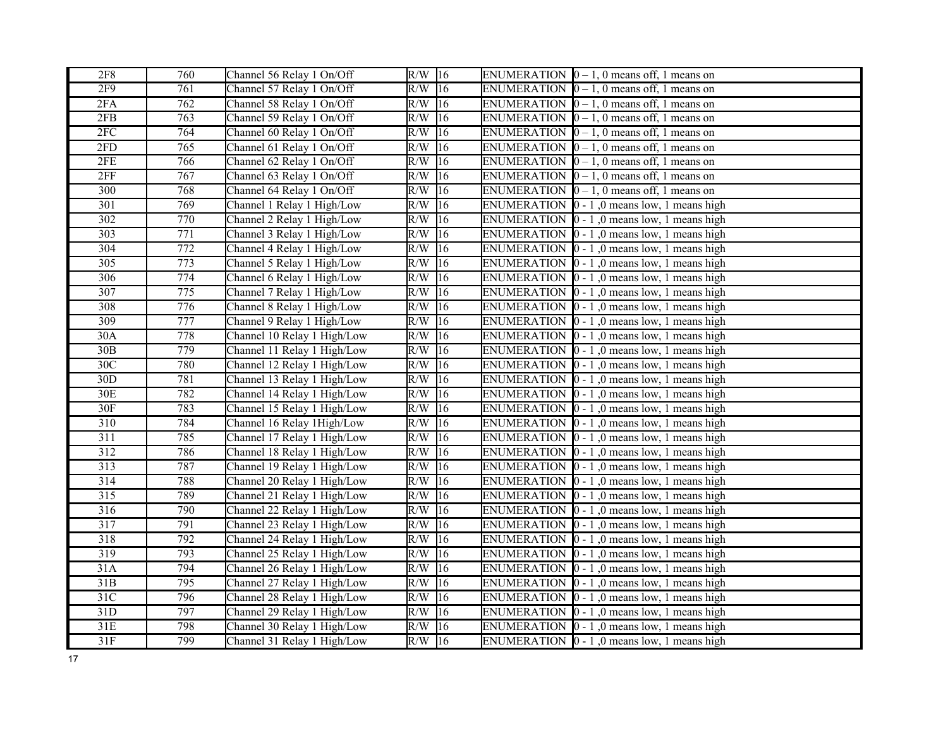| 2F8              | 760              | Channel 56 Relay 1 On/Off   | $R/W$ 16                | ENUMERATION $\vert 0-1, 0 \vert$ means off, 1 means on      |  |
|------------------|------------------|-----------------------------|-------------------------|-------------------------------------------------------------|--|
| 2F9              | $\overline{761}$ | Channel 57 Relay 1 On/Off   | $R/W$ 16                | ENUMERATION $[0 - 1, 0$ means off, 1 means on               |  |
| 2FA              | 762              | Channel 58 Relay 1 On/Off   | $R/W$ 16                | ENUMERATION $[0 - 1, 0$ means off, 1 means on               |  |
| 2FB              | 763              | Channel 59 Relay 1 On/Off   | R/W<br>16               | ENUMERATION $\vert 0-1, 0 \vert$ means off, 1 means on      |  |
| 2FC              | 764              | Channel 60 Relay 1 On/Off   | R/W<br> 16              | ENUMERATION $[0 - 1, 0$ means off, 1 means on               |  |
| 2FD              | 765              | Channel 61 Relay 1 On/Off   | R/W<br> 16              | ENUMERATION $\vert 0-1, 0 \rangle$ means off, 1 means on    |  |
| 2FE              | 766              | Channel 62 Relay 1 On/Off   | R/W<br> 16              | ENUMERATION $[0 - 1, 0$ means off, 1 means on               |  |
| 2FF              | 767              | Channel 63 Relay 1 On/Off   | 16<br>R/W               | ENUMERATION $[0 - 1, 0$ means off, 1 means on               |  |
| 300              | 768              | Channel 64 Relay 1 On/Off   | R/W<br>16               | ENUMERATION $[0 - 1, 0$ means off, 1 means on               |  |
| 301              | 769              | Channel 1 Relay 1 High/Low  | R/W<br> 16              | ENUMERATION $\vert 0 - 1 \vert$ , 0 means low, 1 means high |  |
| $\overline{302}$ | 770              | Channel 2 Relay 1 High/Low  | R/W<br> 16              | ENUMERATION $\vert 0 - 1 \vert$ , 0 means low, 1 means high |  |
| 303              | 771              | Channel 3 Relay 1 High/Low  | R/W<br> 16              | ENUMERATION $\vert 0 - 1 \vert$ , 0 means low, 1 means high |  |
| 304              | 772              | Channel 4 Relay 1 High/Low  | R/W<br>16               | ENUMERATION $\vert 0 - 1 \vert$ , 0 means low, 1 means high |  |
| 305              | 773              | Channel 5 Relay 1 High/Low  | $R/W$ 16                | ENUMERATION $[0 - 1]$ , 0 means low, 1 means high           |  |
| 306              | 774              | Channel 6 Relay 1 High/Low  | $R/W$ 16                | ENUMERATION $\vert 0 - 1 \vert$ , 0 means low, 1 means high |  |
| 307              | 775              | Channel 7 Relay 1 High/Low  | 16<br>R/W               | ENUMERATION $\vert 0 - 1 \vert$ , 0 means low, 1 means high |  |
| 308              | 776              | Channel 8 Relay 1 High/Low  | R/W<br> 16              | ENUMERATION $[0 - 1, 0$ means low, 1 means high             |  |
| 309              | 777              | Channel 9 Relay 1 High/Low  | $R/W$ 16                | ENUMERATION $\vert 0 - 1 \vert$ , 0 means low, 1 means high |  |
| 30A              | 778              | Channel 10 Relay 1 High/Low | R/W<br>16               | ENUMERATION $\vert 0 - 1 \vert$ , 0 means low, 1 means high |  |
| 30B              | 779              | Channel 11 Relay 1 High/Low | R/W<br>16               | ENUMERATION $\vert 0 - 1 \vert$ , 0 means low, 1 means high |  |
| 30C              | 780              | Channel 12 Relay 1 High/Low | R/W<br> 16              | ENUMERATION $\vert 0 - 1 \vert$ , 0 means low, 1 means high |  |
| 30 <sub>D</sub>  | 781              | Channel 13 Relay 1 High/Low | $R/W$ 16                | ENUMERATION $\vert 0 - 1 \vert$ , 0 means low, 1 means high |  |
| 30E              | 782              | Channel 14 Relay 1 High/Low | 16<br>R/W               | ENUMERATION $[0 - 1, 0$ means low, 1 means high             |  |
| 30F              | 783              | Channel 15 Relay 1 High/Low | R/W<br> 16              | ENUMERATION $\vert 0 - 1 \vert$ , 0 means low, 1 means high |  |
| $\overline{310}$ | 784              | Channel 16 Relay 1High/Low  | R/W<br>16               | ENUMERATION $\vert 0 - 1 \vert$ , 0 means low, 1 means high |  |
| 311              | 785              | Channel 17 Relay 1 High/Low | R/W<br>16               | ENUMERATION $\vert 0 - 1 \vert$ , 0 means low, 1 means high |  |
| 312              | 786              | Channel 18 Relay 1 High/Low | $ 16\rangle$<br>R/W     | ENUMERATION $\vert 0 - 1 \vert$ , 0 means low, 1 means high |  |
| 313              | 787              | Channel 19 Relay 1 High/Low | R/W<br> 16              | ENUMERATION $[0 - 1, 0$ means low, 1 means high             |  |
| 314              | 788              | Channel 20 Relay 1 High/Low | R/W<br> 16              | ENUMERATION $\vert 0 - 1 \vert$ , 0 means low, 1 means high |  |
| $\overline{315}$ | 789              | Channel 21 Relay 1 High/Low | $R/W$ 16                | ENUMERATION $\vert 0 - 1 \vert$ , 0 means low, 1 means high |  |
| $\overline{316}$ | 790              | Channel 22 Relay 1 High/Low | 16<br>R/W               | ENUMERATION $[0 - 1]$ , 0 means low, 1 means high           |  |
| 317              | 791              | Channel 23 Relay 1 High/Low | R/W<br>16               | ENUMERATION $\vert 0 - 1 \vert$ , 0 means low, 1 means high |  |
| 318              | 792              | Channel 24 Relay 1 High/Low | $\overline{R}/W$<br> 16 | ENUMERATION $\vert 0 - 1 \vert$ , 0 means low, 1 means high |  |
| 319              | $\overline{793}$ | Channel 25 Relay 1 High/Low | R/W<br>16               | ENUMERATION $\vert 0 - 1 \vert$ , 0 means low, 1 means high |  |
| 31A              | 794              | Channel 26 Relay 1 High/Low | R/W<br>16               | ENUMERATION $\vert 0 - 1 \vert$ , 0 means low, 1 means high |  |
| 31B              | 795              | Channel 27 Relay 1 High/Low | R/W<br> 16              | ENUMERATION $\vert 0 - 1 \vert$ , 0 means low, 1 means high |  |
| 31C              | 796              | Channel 28 Relay 1 High/Low | R/W<br> 16              | ENUMERATION $\vert 0 - 1 \vert$ , 0 means low, 1 means high |  |
| 31D              | 797              | Channel 29 Relay 1 High/Low | R/W<br>16               | ENUMERATION $[0 - 1]$ , 0 means low, 1 means high           |  |
| 31E              | 798              | Channel 30 Relay 1 High/Low | 16<br>R/W               | ENUMERATION $\vert 0 - 1 \vert$ , 0 means low, 1 means high |  |
| 31F              | 799              | Channel 31 Relay 1 High/Low | $R/W$ 16                | ENUMERATION $\vert 0 - 1 \vert$ , 0 means low, 1 means high |  |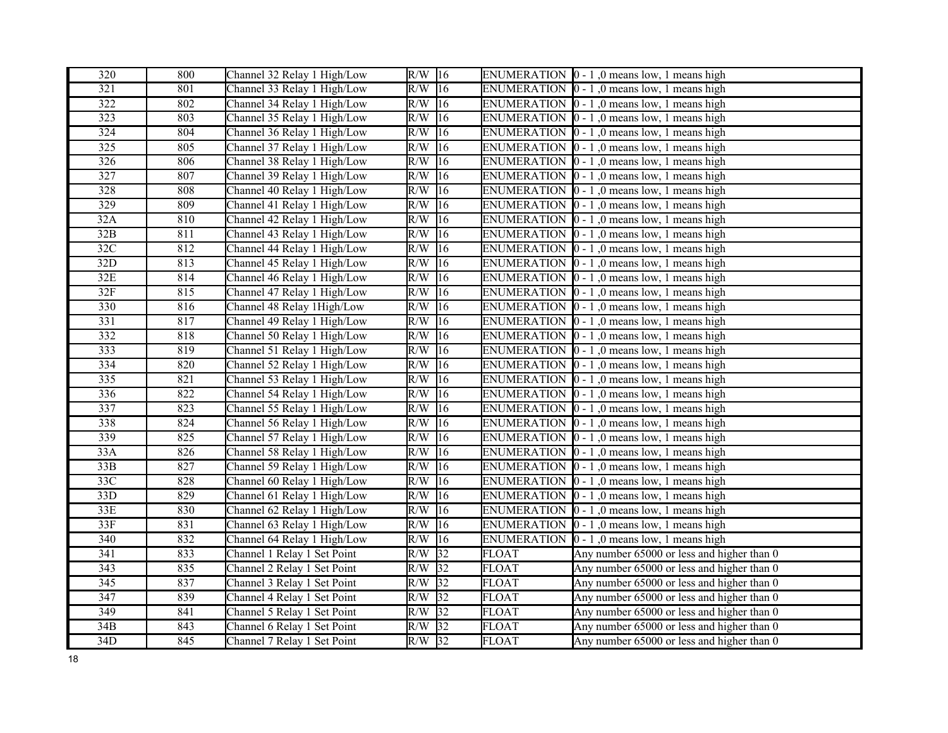| 320              | 800 | Channel 32 Relay 1 High/Low | $R/W$ 16 |                 |              | ENUMERATION $\vert 0 - 1 \vert$ , 0 means low, 1 means high |
|------------------|-----|-----------------------------|----------|-----------------|--------------|-------------------------------------------------------------|
| $\overline{321}$ | 801 | Channel 33 Relay 1 High/Low | R/W      | $\overline{16}$ |              | ENUMERATION $\vert 0 - 1 \vert$ , 0 means low, 1 means high |
| 322              | 802 | Channel 34 Relay 1 High/Low | $R/W$ 16 |                 |              | ENUMERATION $\vert 0 - 1 \vert$ , 0 means low, 1 means high |
| 323              | 803 | Channel 35 Relay 1 High/Low | R/W      | 16              |              | ENUMERATION $\vert 0 - 1 \vert$ , 0 means low, 1 means high |
| 324              | 804 | Channel 36 Relay 1 High/Low | R/W      | 16              |              | ENUMERATION $[0 - 1, 0$ means low, 1 means high             |
| 325              | 805 | Channel 37 Relay 1 High/Low | R/W      | 16              |              | ENUMERATION $\vert 0 - 1 \vert$ , 0 means low, 1 means high |
| 326              | 806 | Channel 38 Relay 1 High/Low | R/W      | 16              |              | ENUMERATION $[0 - 1]$ , 0 means low, 1 means high           |
| 327              | 807 | Channel 39 Relay 1 High/Low | R/W      | 16              |              | ENUMERATION $\vert 0 - 1 \vert$ , 0 means low, 1 means high |
| 328              | 808 | Channel 40 Relay 1 High/Low | R/W      | 16              |              | ENUMERATION $\vert 0 - 1 \vert$ , 0 means low, 1 means high |
| 329              | 809 | Channel 41 Relay 1 High/Low | R/W      | 16              |              | ENUMERATION $\vert 0 - 1 \vert$ , 0 means low, 1 means high |
| 32A              | 810 | Channel 42 Relay 1 High/Low | R/W      | 16              |              | ENUMERATION $\vert 0 - 1 \vert$ , 0 means low, 1 means high |
| 32B              | 811 | Channel 43 Relay 1 High/Low | R/W      | 16              |              | ENUMERATION $\vert 0 - 1 \vert$ , 0 means low, 1 means high |
| 32C              | 812 | Channel 44 Relay 1 High/Low | R/W      | 16              |              | ENUMERATION $\vert 0 - 1 \vert$ , 0 means low, 1 means high |
| 32D              | 813 | Channel 45 Relay 1 High/Low | R/W      | 16              |              | ENUMERATION $\vert 0 - 1 \vert$ , 0 means low, 1 means high |
| 32E              | 814 | Channel 46 Relay 1 High/Low | R/W      | 16              |              | ENUMERATION $\vert 0 - 1 \vert$ , 0 means low, 1 means high |
| 32F              | 815 | Channel 47 Relay 1 High/Low | R/W      | 16              |              | ENUMERATION $\vert 0 - 1 \vert$ , 0 means low, 1 means high |
| 330              | 816 | Channel 48 Relay 1High/Low  | R/W      | $ 16\rangle$    |              | ENUMERATION $\vert 0 - 1 \vert$ , 0 means low, 1 means high |
| 331              | 817 | Channel 49 Relay 1 High/Low | R/W      | 16              |              | ENUMERATION $\vert 0 - 1 \vert$ , 0 means low, 1 means high |
| 332              | 818 | Channel 50 Relay 1 High/Low | R/W      | 16              |              | ENUMERATION $\vert 0 - 1 \vert$ , 0 means low, 1 means high |
| 333              | 819 | Channel 51 Relay 1 High/Low | R/W      | 16              |              | ENUMERATION $\vert 0 - 1 \vert$ , 0 means low, 1 means high |
| 334              | 820 | Channel 52 Relay 1 High/Low | R/W      | 16              |              | ENUMERATION $\vert 0 - 1 \vert$ , 0 means low, 1 means high |
| 335              | 821 | Channel 53 Relay 1 High/Low | R/W      | 16              |              | ENUMERATION $[0 - 1, 0$ means low, 1 means high             |
| $\overline{336}$ | 822 | Channel 54 Relay 1 High/Low | R/W      | 16              |              | ENUMERATION $[0 - 1]$ , 0 means low, 1 means high           |
| 337              | 823 | Channel 55 Relay 1 High/Low | R/W      | 16              |              | ENUMERATION $\vert 0 - 1 \vert$ , 0 means low, 1 means high |
| 338              | 824 | Channel 56 Relay 1 High/Low | R/W      | 16              |              | ENUMERATION $[0 - 1]$ , 0 means low, 1 means high           |
| 339              | 825 | Channel 57 Relay 1 High/Low | R/W      | 16              |              | ENUMERATION $\vert 0 - 1 \vert$ , 0 means low, 1 means high |
| 33A              | 826 | Channel 58 Relay 1 High/Low | R/W      | 16              |              | ENUMERATION $[0 - 1, 0$ means low, 1 means high             |
| 33B              | 827 | Channel 59 Relay 1 High/Low | R/W      | 16              |              | ENUMERATION   0 - 1,0 means low, 1 means high               |
| 33C              | 828 | Channel 60 Relay 1 High/Low | R/W      | 16              |              | ENUMERATION $\vert 0 - 1 \vert$ , 0 means low, 1 means high |
| 33D              | 829 | Channel 61 Relay 1 High/Low | R/W      | 16              |              | ENUMERATION $[0 - 1, 0$ means low, 1 means high             |
| 33E              | 830 | Channel 62 Relay 1 High/Low | R/W      | 16              |              | ENUMERATION $\vert 0 - 1 \vert$ , 0 means low, 1 means high |
| 33F              | 831 | Channel 63 Relay 1 High/Low | R/W      | 16              |              | ENUMERATION $\vert 0 - 1 \vert$ , 0 means low, 1 means high |
| 340              | 832 | Channel 64 Relay 1 High/Low | R/W      | 16              |              | ENUMERATION $\vert 0 - 1 \vert$ , 0 means low, 1 means high |
| 341              | 833 | Channel 1 Relay 1 Set Point | $R/W$ 32 |                 | <b>FLOAT</b> | Any number 65000 or less and higher than 0                  |
| 343              | 835 | Channel 2 Relay 1 Set Point | R/W      | 32              | <b>FLOAT</b> | Any number 65000 or less and higher than 0                  |
| 345              | 837 | Channel 3 Relay 1 Set Point | R/W      | 32              | <b>FLOAT</b> | Any number 65000 or less and higher than 0                  |
| 347              | 839 | Channel 4 Relay 1 Set Point | R/W      | $\sqrt{32}$     | <b>FLOAT</b> | Any number 65000 or less and higher than 0                  |
| 349              | 841 | Channel 5 Relay 1 Set Point | $R/W$ 32 |                 | <b>FLOAT</b> | Any number 65000 or less and higher than 0                  |
| $\overline{34B}$ | 843 | Channel 6 Relay 1 Set Point | R/W      | 32              | <b>FLOAT</b> | Any number 65000 or less and higher than 0                  |
| 34D              | 845 | Channel 7 Relay 1 Set Point | $R/W$ 32 |                 | <b>FLOAT</b> | Any number 65000 or less and higher than 0                  |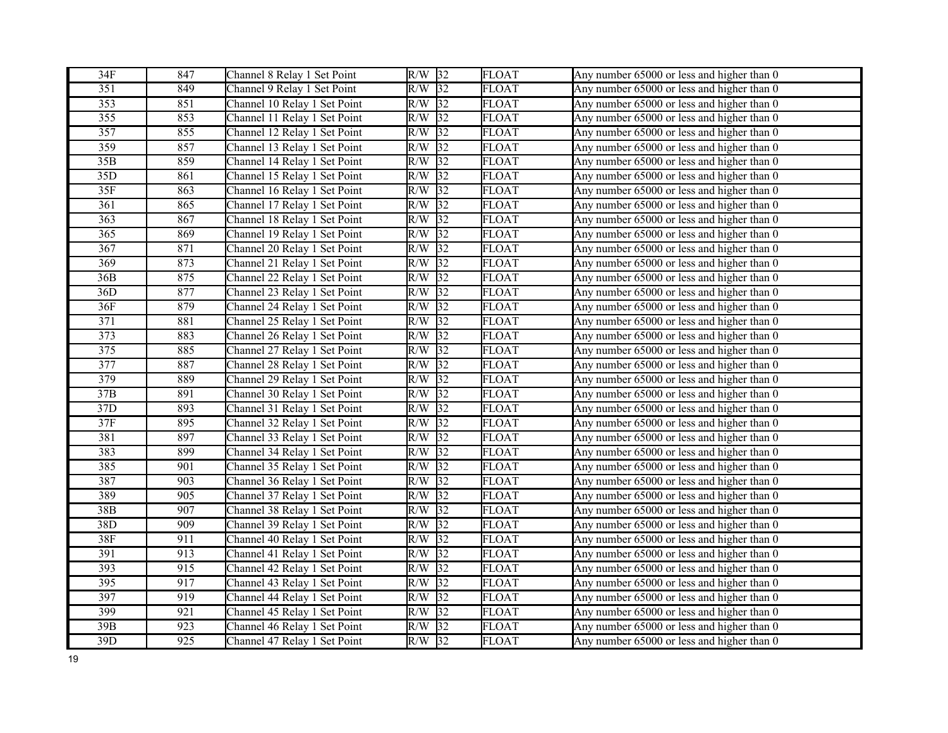| 34F              | 847              | Channel 8 Relay 1 Set Point  | $R/W$ 32               | <b>FLOAT</b> | Any number 65000 or less and higher than 0 |
|------------------|------------------|------------------------------|------------------------|--------------|--------------------------------------------|
| $\overline{351}$ | 849              | Channel 9 Relay 1 Set Point  | $\overline{32}$<br>R/W | <b>FLOAT</b> | Any number 65000 or less and higher than 0 |
| $\overline{353}$ | 851              | Channel 10 Relay 1 Set Point | 32 <br>R/W             | <b>FLOAT</b> | Any number 65000 or less and higher than 0 |
| 355              | 853              | Channel 11 Relay 1 Set Point | 32 <br>R/W             | <b>FLOAT</b> | Any number 65000 or less and higher than 0 |
| 357              | 855              | Channel 12 Relay 1 Set Point | R/W<br>32              | <b>FLOAT</b> | Any number 65000 or less and higher than 0 |
| 359              | 857              | Channel 13 Relay 1 Set Point | 32<br>R/W              | <b>FLOAT</b> | Any number 65000 or less and higher than 0 |
| 35B              | 859              | Channel 14 Relay 1 Set Point | 32<br>R/W              | FLOAT        | Any number 65000 or less and higher than 0 |
| $\overline{35D}$ | 861              | Channel 15 Relay 1 Set Point | 32 <br>R/W             | <b>FLOAT</b> | Any number 65000 or less and higher than 0 |
| 35F              | 863              | Channel 16 Relay 1 Set Point | 32<br>R/W              | <b>FLOAT</b> | Any number 65000 or less and higher than 0 |
| 361              | 865              | Channel 17 Relay 1 Set Point | 32<br>R/W              | <b>FLOAT</b> | Any number 65000 or less and higher than 0 |
| $\overline{363}$ | 867              | Channel 18 Relay 1 Set Point | R/W<br> 32             | <b>FLOAT</b> | Any number 65000 or less and higher than 0 |
| 365              | 869              | Channel 19 Relay 1 Set Point | 32 <br>R/W             | <b>FLOAT</b> | Any number 65000 or less and higher than 0 |
| 367              | 871              | Channel 20 Relay 1 Set Point | 32<br>R/W              | <b>FLOAT</b> | Any number 65000 or less and higher than 0 |
| 369              | 873              | Channel 21 Relay 1 Set Point | R/W<br>32              | <b>FLOAT</b> | Any number 65000 or less and higher than 0 |
| 36B              | 875              | Channel 22 Relay 1 Set Point | 32<br>R/W              | <b>FLOAT</b> | Any number 65000 or less and higher than 0 |
| 36D              | 877              | Channel 23 Relay 1 Set Point | $\overline{32}$<br>R/W | <b>FLOAT</b> | Any number 65000 or less and higher than 0 |
| 36F              | 879              | Channel 24 Relay 1 Set Point | R/W<br>32              | <b>FLOAT</b> | Any number 65000 or less and higher than 0 |
| 371              | 881              | Channel 25 Relay 1 Set Point | 32<br>R/W              | <b>FLOAT</b> | Any number 65000 or less and higher than 0 |
| 373              | 883              | Channel 26 Relay 1 Set Point | 32 <br>R/W             | <b>FLOAT</b> | Any number 65000 or less and higher than 0 |
| 375              | 885              | Channel 27 Relay 1 Set Point | R/W<br>32              | <b>FLOAT</b> | Any number 65000 or less and higher than 0 |
| 377              | 887              | Channel 28 Relay 1 Set Point | R/W<br>32              | <b>FLOAT</b> | Any number 65000 or less and higher than 0 |
| 379              | 889              | Channel 29 Relay 1 Set Point | R/W<br>32              | <b>FLOAT</b> | Any number 65000 or less and higher than 0 |
| $\overline{37B}$ | 891              | Channel 30 Relay 1 Set Point | 32 <br>R/W             | <b>FLOAT</b> | Any number 65000 or less and higher than 0 |
| 37D              | 893              | Channel 31 Relay 1 Set Point | 32<br>R/W              | <b>FLOAT</b> | Any number 65000 or less and higher than 0 |
| 37F              | 895              | Channel 32 Relay 1 Set Point | $\overline{32}$<br>R/W | <b>FLOAT</b> | Any number 65000 or less and higher than 0 |
| 381              | 897              | Channel 33 Relay 1 Set Point | R/W<br>32              | <b>FLOAT</b> | Any number 65000 or less and higher than 0 |
| 383              | 899              | Channel 34 Relay 1 Set Point | R/W<br> 32             | <b>FLOAT</b> | Any number 65000 or less and higher than 0 |
| 385              | 901              | Channel 35 Relay 1 Set Point | $\overline{32}$<br>R/W | <b>FLOAT</b> | Any number 65000 or less and higher than 0 |
| 387              | 903              | Channel 36 Relay 1 Set Point | R/W<br>32              | <b>FLOAT</b> | Any number 65000 or less and higher than 0 |
| 389              | 905              | Channel 37 Relay 1 Set Point | R/W<br>32              | <b>FLOAT</b> | Any number 65000 or less and higher than 0 |
| 38B              | 907              | Channel 38 Relay 1 Set Point | 32 <br>R/W             | <b>FLOAT</b> | Any number 65000 or less and higher than 0 |
| 38D              | 909              | Channel 39 Relay 1 Set Point | 32<br>R/W              | <b>FLOAT</b> | Any number 65000 or less and higher than 0 |
| 38F              | 911              | Channel 40 Relay 1 Set Point | 32<br>R/W              | <b>FLOAT</b> | Any number 65000 or less and higher than 0 |
| 391              | $\overline{913}$ | Channel 41 Relay 1 Set Point | $\sqrt{32}$<br>R/W     | <b>FLOAT</b> | Any number 65000 or less and higher than 0 |
| 393              | 915              | Channel 42 Relay 1 Set Point | 32 <br>R/W             | <b>FLOAT</b> | Any number 65000 or less and higher than 0 |
| 395              | 917              | Channel 43 Relay 1 Set Point | R/W<br>32              | <b>FLOAT</b> | Any number 65000 or less and higher than 0 |
| 397              | 919              | Channel 44 Relay 1 Set Point | R/W<br>32              | <b>FLOAT</b> | Any number 65000 or less and higher than 0 |
| 399              | 921              | Channel 45 Relay 1 Set Point | 32<br>R/W              | <b>FLOAT</b> | Any number 65000 or less and higher than 0 |
| $\overline{39B}$ | 923              | Channel 46 Relay 1 Set Point | $\sqrt{32}$<br>R/W     | <b>FLOAT</b> | Any number 65000 or less and higher than 0 |
| 39D              | 925              | Channel 47 Relay 1 Set Point | $R/W$ 32               | <b>FLOAT</b> | Any number 65000 or less and higher than 0 |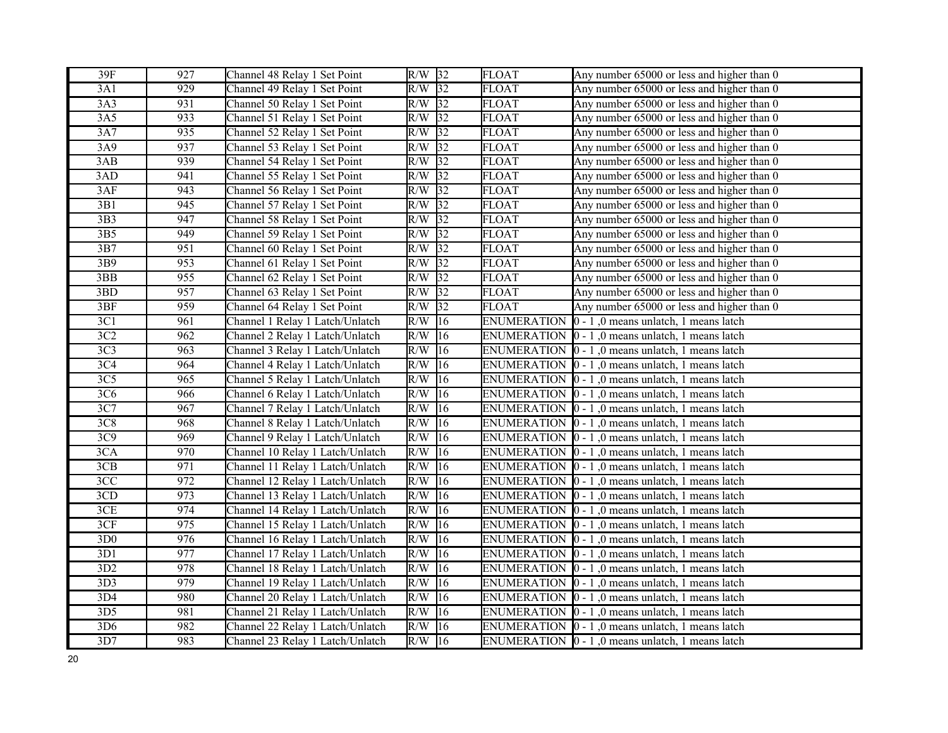| 39F              | 927 | Channel 48 Relay 1 Set Point     | $R/W$ 32 |                 | <b>FLOAT</b>       | Any number 65000 or less and higher than 0                       |
|------------------|-----|----------------------------------|----------|-----------------|--------------------|------------------------------------------------------------------|
| 3A1              | 929 | Channel 49 Relay 1 Set Point     | $R/W$ 32 |                 | <b>FLOAT</b>       | Any number 65000 or less and higher than 0                       |
| 3A3              | 931 | Channel 50 Relay 1 Set Point     | $R/W$ 32 |                 | <b>FLOAT</b>       | Any number 65000 or less and higher than 0                       |
| 3A5              | 933 | Channel 51 Relay 1 Set Point     | R/W      | $\overline{32}$ | <b>FLOAT</b>       | Any number 65000 or less and higher than 0                       |
| 3A7              | 935 | Channel 52 Relay 1 Set Point     | $R/W$ 32 |                 | <b>FLOAT</b>       | Any number 65000 or less and higher than 0                       |
| 3A9              | 937 | Channel 53 Relay 1 Set Point     | $R/W$ 32 |                 | <b>FLOAT</b>       | Any number 65000 or less and higher than 0                       |
| 3AB              | 939 | Channel 54 Relay 1 Set Point     | $R/W$ 32 |                 | FLOAT              | Any number 65000 or less and higher than 0                       |
| 3AD              | 941 | Channel 55 Relay 1 Set Point     | R/W      | $\sqrt{32}$     | <b>FLOAT</b>       | Any number 65000 or less and higher than 0                       |
| 3AF              | 943 | Channel 56 Relay 1 Set Point     | $R/W$ 32 |                 | <b>FLOAT</b>       | Any number 65000 or less and higher than 0                       |
| 3B1              | 945 | Channel 57 Relay 1 Set Point     | R/W      | 32              | <b>FLOAT</b>       | Any number 65000 or less and higher than 0                       |
| $\overline{3B3}$ | 947 | Channel 58 Relay 1 Set Point     | R/W      | $\sqrt{32}$     | <b>FLOAT</b>       | Any number 65000 or less and higher than 0                       |
| 3B5              | 949 | Channel 59 Relay 1 Set Point     | R/W      | 32              | <b>FLOAT</b>       | Any number 65000 or less and higher than 0                       |
| 3B7              | 951 | Channel 60 Relay 1 Set Point     | $R/W$ 32 |                 | <b>FLOAT</b>       | Any number 65000 or less and higher than 0                       |
| 3B9              | 953 | Channel 61 Relay 1 Set Point     | $R/W$ 32 |                 | <b>FLOAT</b>       | Any number 65000 or less and higher than 0                       |
| 3BB              | 955 | Channel 62 Relay 1 Set Point     | $R/W$ 32 |                 | <b>FLOAT</b>       | Any number 65000 or less and higher than 0                       |
| 3BD              | 957 | Channel 63 Relay 1 Set Point     | R/W      | $\overline{32}$ | <b>FLOAT</b>       | Any number 65000 or less and higher than 0                       |
| 3BF              | 959 | Channel 64 Relay 1 Set Point     | R/W      | 32              | <b>FLOAT</b>       | Any number 65000 or less and higher than 0                       |
| 3C1              | 961 | Channel 1 Relay 1 Latch/Unlatch  | R/W      | 16              | <b>ENUMERATION</b> | $ 0 - 1 $ , 0 means unlatch, 1 means latch                       |
| 3C2              | 962 | Channel 2 Relay 1 Latch/Unlatch  | R/W      | 16              |                    | ENUMERATION $[0 - 1]$ , 0 means unlatch, 1 means latch           |
| 3C <sub>3</sub>  | 963 | Channel 3 Relay 1 Latch/Unlatch  | R/W      | 16              |                    | ENUMERATION $\vert 0 - 1 \vert$ , 0 means unlatch, 1 means latch |
| 3C <sub>4</sub>  | 964 | Channel 4 Relay 1 Latch/Unlatch  | R/W      | 16              |                    | ENUMERATION $[0 - 1]$ , 0 means unlatch, 1 means latch           |
| 3C5              | 965 | Channel 5 Relay 1 Latch/Unlatch  | R/W      | 16              |                    | ENUMERATION $\vert 0 - 1 \vert$ , 0 means unlatch, 1 means latch |
| 3C6              | 966 | Channel 6 Relay 1 Latch/Unlatch  | R/W      | 16              |                    | ENUMERATION $\vert 0 - 1 \vert$ , 0 means unlatch, 1 means latch |
| 3C7              | 967 | Channel 7 Relay 1 Latch/Unlatch  | R/W      | 16              |                    | ENUMERATION $[0 - 1]$ , 0 means unlatch, 1 means latch           |
| 3C8              | 968 | Channel 8 Relay 1 Latch/Unlatch  | R/W      | 16              |                    | ENUMERATION $\vert 0 - 1 \vert$ , 0 means unlatch, 1 means latch |
| 3C9              | 969 | Channel 9 Relay 1 Latch/Unlatch  | R/W      | 16              |                    | ENUMERATION $\vert 0 - 1 \vert$ , 0 means unlatch, 1 means latch |
| 3CA              | 970 | Channel 10 Relay 1 Latch/Unlatch | R/W      | 16              |                    | ENUMERATION $\vert 0 - 1 \vert$ , 0 means unlatch, 1 means latch |
| 3CB              | 971 | Channel 11 Relay 1 Latch/Unlatch | R/W      | 16              |                    | ENUMERATION $\vert 0 - 1 \vert$ , 0 means unlatch, 1 means latch |
| 3CC              | 972 | Channel 12 Relay 1 Latch/Unlatch | R/W      | 16              |                    | ENUMERATION $\vert 0 - 1 \vert$ , 0 means unlatch, 1 means latch |
| 3CD              | 973 | Channel 13 Relay 1 Latch/Unlatch | R/W      | 16              |                    | ENUMERATION $\vert 0 - 1 \vert$ , 0 means unlatch, 1 means latch |
| 3CE              | 974 | Channel 14 Relay 1 Latch/Unlatch | R/W      | 16              |                    | ENUMERATION $[0 - 1]$ , 0 means unlatch, 1 means latch           |
| 3CF              | 975 | Channel 15 Relay 1 Latch/Unlatch | R/W      | 16              |                    | ENUMERATION $\vert 0 - 1 \vert$ , 0 means unlatch, 1 means latch |
| 3D <sub>0</sub>  | 976 | Channel 16 Relay 1 Latch/Unlatch | R/W      | 16              |                    | ENUMERATION $\vert 0 - 1 \vert$ , 0 means unlatch, 1 means latch |
| 3D1              | 977 | Channel 17 Relay 1 Latch/Unlatch | R/W      | 16              |                    | ENUMERATION $\vert 0 - 1 \vert$ , 0 means unlatch, 1 means latch |
| 3D2              | 978 | Channel 18 Relay 1 Latch/Unlatch | R/W      | 16              |                    | ENUMERATION $\vert 0 - 1 \vert$ , 0 means unlatch, 1 means latch |
| 3D3              | 979 | Channel 19 Relay 1 Latch/Unlatch | R/W      | 16              |                    | ENUMERATION $\vert 0 - 1 \vert$ , 0 means unlatch, 1 means latch |
| 3D4              | 980 | Channel 20 Relay 1 Latch/Unlatch | R/W      | 16              |                    | ENUMERATION $\vert 0 - 1 \vert$ , 0 means unlatch, 1 means latch |
| 3D <sub>5</sub>  | 981 | Channel 21 Relay 1 Latch/Unlatch | R/W      | 16              |                    | ENUMERATION $\vert 0 - 1 \vert$ , 0 means unlatch, 1 means latch |
| 3D <sub>6</sub>  | 982 | Channel 22 Relay 1 Latch/Unlatch | R/W      | 16              |                    | ENUMERATION  0 - 1,0 means unlatch, 1 means latch                |
| 3D7              | 983 | Channel 23 Relay 1 Latch/Unlatch | $R/W$ 16 |                 |                    | ENUMERATION $\vert 0 - 1 \vert$ , 0 means unlatch, 1 means latch |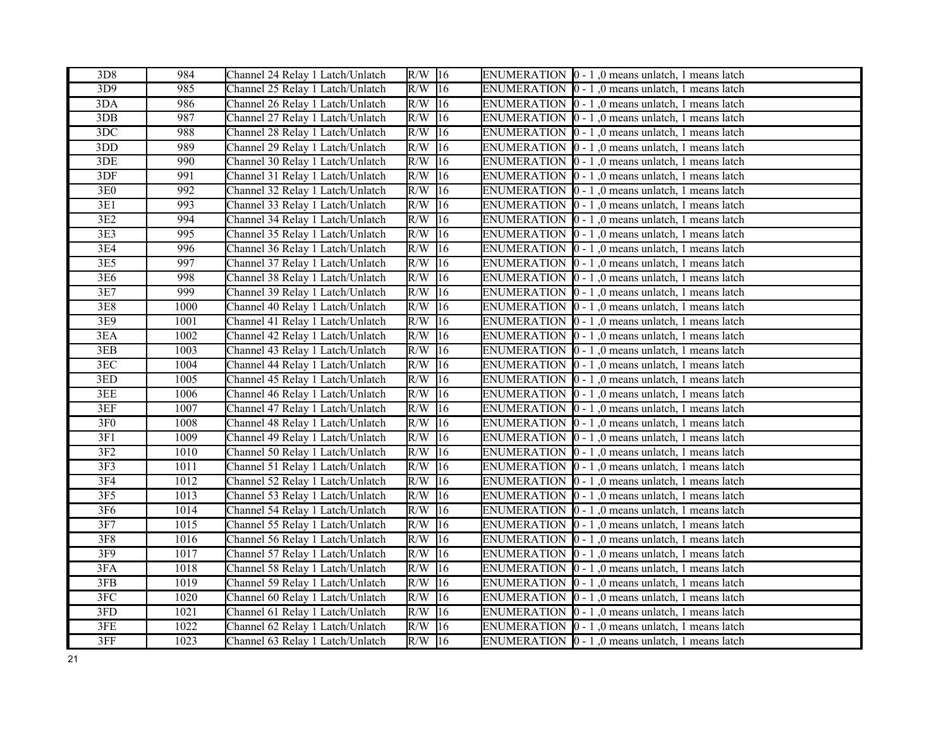| 3D8              | 984  | Channel 24 Relay 1 Latch/Unlatch | $R/W$ 16             |              | ENUMERATION $\vert 0 - 1 \vert$ , 0 means unlatch, 1 means latch |
|------------------|------|----------------------------------|----------------------|--------------|------------------------------------------------------------------|
| 3D9              | 985  | Channel 25 Relay 1 Latch/Unlatch | $R/W$ 16             |              | ENUMERATION  0 - 1,0 means unlatch, 1 means latch                |
| 3DA              | 986  | Channel 26 Relay 1 Latch/Unlatch | $R/W$ 16             |              | ENUMERATION $\vert 0 - 1 \vert$ , 0 means unlatch, 1 means latch |
| 3DB              | 987  | Channel 27 Relay 1 Latch/Unlatch | $R/W$ 16             |              | ENUMERATION  0 - 1,0 means unlatch, 1 means latch                |
| 3DC              | 988  | Channel 28 Relay 1 Latch/Unlatch | $R/W$ 16             |              | ENUMERATION $\vert 0 - 1 \vert$ , 0 means unlatch, 1 means latch |
| 3DD              | 989  | Channel 29 Relay 1 Latch/Unlatch | $R/W$ 16             |              | ENUMERATION $\vert 0 - 1 \vert$ , 0 means unlatch, 1 means latch |
| 3DE              | 990  | Channel 30 Relay 1 Latch/Unlatch | $R/W$ 16             |              | ENUMERATION $[0 - 1]$ , 0 means unlatch, 1 means latch           |
| 3DF              | 991  | Channel 31 Relay 1 Latch/Unlatch | $R/W$ 16             |              | ENUMERATION $\vert 0 - 1 \vert$ , 0 means unlatch, 1 means latch |
| 3E0              | 992  | Channel 32 Relay 1 Latch/Unlatch | R/W                  | 16           | ENUMERATION 0 - 1,0 means unlatch, 1 means latch                 |
| 3E1              | 993  | Channel 33 Relay 1 Latch/Unlatch | $R/W$ 16             |              | ENUMERATION $\vert 0 - 1 \vert$ , 0 means unlatch, 1 means latch |
| 3E2              | 994  | Channel 34 Relay 1 Latch/Unlatch | $R/W$ 16             |              | ENUMERATION $\vert 0 - 1 \vert$ , 0 means unlatch, 1 means latch |
| 3E3              | 995  | Channel 35 Relay 1 Latch/Unlatch | $R/W$ 16             |              | ENUMERATION $\vert 0 - 1 \vert$ , 0 means unlatch, 1 means latch |
| 3E4              | 996  | Channel 36 Relay 1 Latch/Unlatch | $\overline{R/W}$ 16  |              | ENUMERATION $\vert 0 - 1 \vert$ , 0 means unlatch, 1 means latch |
| 3E5              | 997  | Channel 37 Relay 1 Latch/Unlatch | $R/W$ 16             |              | ENUMERATION 0 - 1,0 means unlatch, 1 means latch                 |
| 3E6              | 998  | Channel 38 Relay 1 Latch/Unlatch | $R/W$ 16             |              | ENUMERATION $\vert 0 - 1 \vert$ , 0 means unlatch, 1 means latch |
| 3E7              | 999  | Channel 39 Relay 1 Latch/Unlatch | $\overline{R/W}$ 16  |              | ENUMERATION $\vert 0 - 1 \vert$ , 0 means unlatch, 1 means latch |
| 3E8              | 1000 | Channel 40 Relay 1 Latch/Unlatch | $R/W$ 16             |              | ENUMERATION $[0 - 1]$ , 0 means unlatch, 1 means latch           |
| 3E9              | 1001 | Channel 41 Relay 1 Latch/Unlatch | $R/W$ 16             |              | ENUMERATION $\vert 0 - 1 \vert$ , 0 means unlatch, 1 means latch |
| $\overline{3}EA$ | 1002 | Channel 42 Relay 1 Latch/Unlatch | $R/W$ 16             |              | ENUMERATION $\vert 0 - 1 \vert$ , 0 means unlatch, 1 means latch |
| 3EB              | 1003 | Channel 43 Relay 1 Latch/Unlatch | R/W                  | 16           | ENUMERATION $\vert 0 - 1 \vert$ , 0 means unlatch, 1 means latch |
| 3EC              | 1004 | Channel 44 Relay 1 Latch/Unlatch | R/W                  | $ 16\rangle$ | ENUMERATION  0 - 1,0 means unlatch, 1 means latch                |
| 3ED              | 1005 | Channel 45 Relay 1 Latch/Unlatch | R/W                  | 16           | ENUMERATION $\vert 0 - 1 \vert$ , 0 means unlatch, 1 means latch |
| 3EE              | 1006 | Channel 46 Relay 1 Latch/Unlatch | $R/W$ 16             |              | ENUMERATION $\vert 0 - 1 \vert$ , 0 means unlatch, 1 means latch |
| 3EF              | 1007 | Channel 47 Relay 1 Latch/Unlatch | R/W                  | $ 16\rangle$ | ENUMERATION $\vert 0 - 1 \vert$ , 0 means unlatch, 1 means latch |
| 3F <sub>0</sub>  | 1008 | Channel 48 Relay 1 Latch/Unlatch | R/W                  | 16           | ENUMERATION  0 - 1,0 means unlatch, 1 means latch                |
| 3F1              | 1009 | Channel 49 Relay 1 Latch/Unlatch | $R/W$ 16             |              | ENUMERATION $[0 - 1]$ , 0 means unlatch, 1 means latch           |
| 3F2              | 1010 | Channel 50 Relay 1 Latch/Unlatch | $R/W$ 16             |              | ENUMERATION $\vert 0 - 1 \vert$ , 0 means unlatch, 1 means latch |
| 3F <sub>3</sub>  | 1011 | Channel 51 Relay 1 Latch/Unlatch | $\overline{R}/W$  16 |              | ENUMERATION $\vert 0 - 1 \vert$ , 0 means unlatch, 1 means latch |
| 3F4              | 1012 | Channel 52 Relay 1 Latch/Unlatch | $R/W$ 16             |              | ENUMERATION $\vert 0 - 1 \vert$ , 0 means unlatch, 1 means latch |
| 3F <sub>5</sub>  | 1013 | Channel 53 Relay 1 Latch/Unlatch | $R/W$ 16             |              | ENUMERATION $\vert 0 - 1 \vert$ , 0 means unlatch, 1 means latch |
| 3F6              | 1014 | Channel 54 Relay 1 Latch/Unlatch | $R/W$ 16             |              | ENUMERATION 0 - 1,0 means unlatch, 1 means latch                 |
| 3F7              | 1015 | Channel 55 Relay 1 Latch/Unlatch | $R/W$ 16             |              | ENUMERATION $\vert 0 - 1 \vert$ , 0 means unlatch, 1 means latch |
| 3F8              | 1016 | Channel 56 Relay 1 Latch/Unlatch | $R/W$ 16             |              | ENUMERATION $\vert 0 - 1 \vert$ , 0 means unlatch, 1 means latch |
| 3F9              | 1017 | Channel 57 Relay 1 Latch/Unlatch | $R/W$ 16             |              | ENUMERATION $\vert 0 - 1 \vert$ , 0 means unlatch, 1 means latch |
| 3FA              | 1018 | Channel 58 Relay 1 Latch/Unlatch | $\overline{R/W}$ 16  |              | ENUMERATION $\vert 0 - 1 \vert$ , 0 means unlatch, 1 means latch |
| 3FB              | 1019 | Channel 59 Relay 1 Latch/Unlatch | $\overline{R/W}$     | 16           | ENUMERATION $\vert 0 - 1 \vert$ , 0 means unlatch, 1 means latch |
| 3FC              | 1020 | Channel 60 Relay 1 Latch/Unlatch | R/W                  | 16           | ENUMERATION $\vert 0 - 1 \vert$ , 0 means unlatch, 1 means latch |
| 3FD              | 1021 | Channel 61 Relay 1 Latch/Unlatch | $R/W$ 16             |              | ENUMERATION $[0 - 1]$ , 0 means unlatch, 1 means latch           |
| $3FE$            | 1022 | Channel 62 Relay 1 Latch/Unlatch | $R/W$ 16             |              | ENUMERATION $\vert 0 - 1 \vert$ , 0 means unlatch, 1 means latch |
| 3FF              | 1023 | Channel 63 Relay 1 Latch/Unlatch | $R/W$ 16             |              | ENUMERATION $\vert 0 - 1 \vert$ , 0 means unlatch, 1 means latch |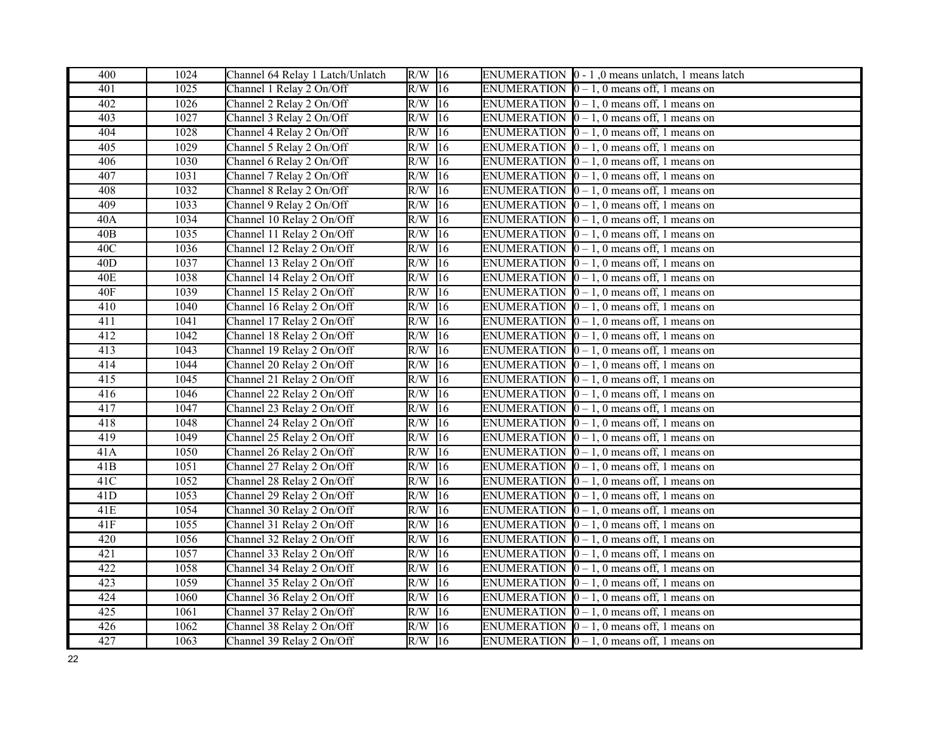| 400              | 1024 | Channel 64 Relay 1 Latch/Unlatch | $R/W$ 16            |              | ENUMERATION $\vert 0 - 1 \vert$ , 0 means unlatch, 1 means latch |
|------------------|------|----------------------------------|---------------------|--------------|------------------------------------------------------------------|
| 401              | 1025 | Channel 1 Relay 2 On/Off         | $R/W$ 16            |              | ENUMERATION $[0 - 1, 0$ means off, 1 means on                    |
| 402              | 1026 | Channel 2 Relay 2 On/Off         | $R/W$ 16            |              | ENUMERATION $[0 - 1, 0$ means off, 1 means on                    |
| 403              | 1027 | Channel 3 Relay 2 On/Off         | $R/W$ 16            |              | ENUMERATION $\vert 0-1, 0 \vert$ means off, 1 means on           |
| 404              | 1028 | Channel 4 Relay 2 On/Off         | $R/W$ <sup>16</sup> |              | ENUMERATION $\vert 0-1, 0 \vert$ means off, 1 means on           |
| 405              | 1029 | Channel 5 Relay 2 On/Off         | $R/W$ 16            |              | ENUMERATION $[0 - 1, 0$ means off, 1 means on                    |
| 406              | 1030 | Channel 6 Relay 2 On/Off         | R/W                 | 16           | ENUMERATION $\vert 0-1, 0 \vert$ means off, 1 means on           |
| 407              | 1031 | Channel 7 Relay 2 On/Off         | $R/W$ 16            |              | ENUMERATION $[0 - 1, 0$ means off, 1 means on                    |
| 408              | 1032 | Channel 8 Relay 2 On/Off         | $R/W$ 16            |              | ENUMERATION $\vert 0-1, 0 \vert$ means off, 1 means on           |
| 409              | 1033 | Channel 9 Relay 2 On/Off         | $R/W$ 16            |              | ENUMERATION $\vert 0-1, 0 \vert$ means off, 1 means on           |
| 40A              | 1034 | Channel 10 Relay 2 On/Off        | $R/W$ 16            |              | ENUMERATION $[0 - 1, 0$ means off, 1 means on                    |
| 40 <sub>B</sub>  | 1035 | Channel 11 Relay 2 On/Off        | R/W                 | 16           | ENUMERATION $\vert 0-1, 0 \vert$ means off, 1 means on           |
| 40C              | 1036 | Channel 12 Relay 2 On/Off        | $R/W$ 16            |              | ENUMERATION $\vert 0-1, 0 \vert$ means off, 1 means on           |
| 40 <sub>D</sub>  | 1037 | Channel 13 Relay 2 On/Off        | $R/W$ 16            |              | ENUMERATION $\vert 0-1, 0 \vert$ means off, 1 means on           |
| <b>40E</b>       | 1038 | Channel 14 Relay 2 On/Off        | $R/W$ 16            |              | ENUMERATION $\vert 0 - 1$ , 0 means off, 1 means on              |
| 40F              | 1039 | Channel 15 Relay 2 On/Off        | $R/W$ 16            |              | ENUMERATION $\vert 0-1, 0 \vert$ means off, 1 means on           |
| 410              | 1040 | Channel 16 Relay 2 On/Off        | $R/W$ 16            |              | ENUMERATION $\vert 0 - 1$ , 0 means off, 1 means on              |
| 411              | 1041 | Channel 17 Relay 2 On/Off        | $R/W$ 16            |              | ENUMERATION $\vert 0-1, 0 \vert$ means off, 1 means on           |
| 412              | 1042 | Channel 18 Relay 2 On/Off        | $R/W$ 16            |              | ENUMERATION $[0 - 1, 0$ means off, 1 means on                    |
| 413              | 1043 | Channel 19 Relay 2 On/Off        | $R/W$ 16            |              | ENUMERATION $[0 - 1, 0$ means off, 1 means on                    |
| 414              | 1044 | Channel 20 Relay 2 On/Off        | $R/W$ 16            |              | ENUMERATION $\vert 0-1, 0 \vert$ means off, 1 means on           |
| 415              | 1045 | Channel 21 Relay 2 On/Off        | $R/W$ 16            |              | ENUMERATION $\vert 0-1, 0 \vert$ means off, 1 means on           |
| $\overline{416}$ | 1046 | Channel 22 Relay 2 On/Off        | $R/W$ 16            |              | ENUMERATION $\vert 0-1, 0 \vert$ means off, 1 means on           |
| 417              | 1047 | Channel 23 Relay 2 On/Off        | R/W                 | 16           | ENUMERATION $\vert 0-1, 0 \vert$ means off, 1 means on           |
| 418              | 1048 | Channel 24 Relay 2 On/Off        | $R/W$ 16            |              | ENUMERATION $\vert 0-1, 0 \vert$ means off, 1 means on           |
| 419              | 1049 | Channel 25 Relay 2 On/Off        | $R/W$ 16            |              | ENUMERATION $[0 - 1, 0$ means off, 1 means on                    |
| 41A              | 1050 | Channel 26 Relay 2 On/Off        | $R/W$ 16            |              | ENUMERATION $\vert 0-1, 0 \vert$ means off, 1 means on           |
| 41B              | 1051 | Channel 27 Relay 2 On/Off        | $\overline{R/W}$ 16 |              | ENUMERATION $[0 - 1, 0$ means off, 1 means on                    |
| 41C              | 1052 | Channel 28 Relay 2 On/Off        | $R/W$ 16            |              | ENUMERATION $\vert 0-1, 0 \vert$ means off, 1 means on           |
| 41D              | 1053 | Channel 29 Relay 2 On/Off        | $R/W$ 16            |              | ENUMERATION $\vert 0 - 1$ , 0 means off, 1 means on              |
| 41E              | 1054 | Channel 30 Relay 2 On/Off        | $R/W$ 16            |              | ENUMERATION $\vert 0-1, 0 \vert$ means off, 1 means on           |
| 41F              | 1055 | Channel 31 Relay 2 On/Off        | $R/W$ 16            |              | ENUMERATION $[0 - 1, 0$ means off, 1 means on                    |
| 420              | 1056 | Channel 32 Relay 2 On/Off        | $R/W$ 16            |              | ENUMERATION $\vert 0-1, 0 \vert$ means off, 1 means on           |
| 421              | 1057 | Channel 33 Relay 2 On/Off        | $R/W$ 16            |              | ENUMERATION $[0 - 1, 0$ means off, 1 means on                    |
| 422              | 1058 | Channel 34 Relay 2 On/Off        | R/W                 | $ 16\rangle$ | ENUMERATION $\vert 0-1, 0 \vert$ means off, 1 means on           |
| 423              | 1059 | Channel 35 Relay 2 On/Off        | $R/W$ <sup>16</sup> |              | ENUMERATION $\vert 0-1, 0 \vert$ means off, 1 means on           |
| 424              | 1060 | Channel 36 Relay 2 On/Off        | $R/W$ 16            |              | ENUMERATION $\vert 0-1, 0 \vert$ means off, 1 means on           |
| 425              | 1061 | Channel 37 Relay 2 On/Off        | $R/W$ 16            |              | ENUMERATION $\vert 0-1, 0 \vert$ means off, 1 means on           |
| 426              | 1062 | Channel 38 Relay 2 On/Off        | $R/W$ 16            |              | ENUMERATION $\vert 0-1, 0 \vert$ means off, 1 means on           |
| 427              | 1063 | Channel 39 Relay 2 On/Off        | $R/W$ 16            |              | ENUMERATION $\vert 0-1, 0 \vert$ means off, 1 means on           |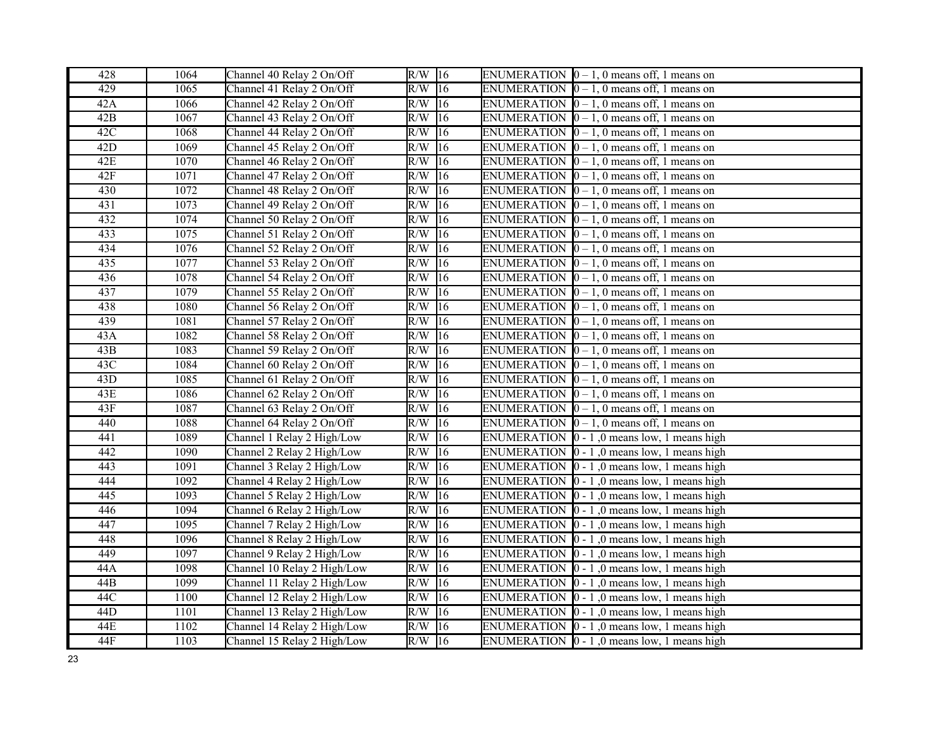| 428 | 1064 | Channel 40 Relay 2 On/Off   | $R/W$ 16                | ENUMERATION $[0 - 1, 0$ means off, 1 means on                            |
|-----|------|-----------------------------|-------------------------|--------------------------------------------------------------------------|
| 429 | 1065 | Channel 41 Relay 2 On/Off   | $R/W$ 16                | ENUMERATION $[0 - 1, 0$ means off, 1 means on                            |
| 42A | 1066 | Channel 42 Relay 2 On/Off   | $R/W$ 16                | ENUMERATION $[0 - 1, 0$ means off, 1 means on                            |
| 42B | 1067 | Channel 43 Relay 2 On/Off   | $R/W$ 16                | ENUMERATION $\vert 0-1, 0 \vert$ means off, 1 means on                   |
| 42C | 1068 | Channel 44 Relay 2 On/Off   | $R/W$ 16                | ENUMERATION $[0 - 1, 0$ means off, 1 means on                            |
| 42D | 1069 | Channel 45 Relay 2 On/Off   | $R/W$ 16                | ENUMERATION $\vert 0-1, 0 \vert$ means off, 1 means on                   |
| 42E | 1070 | Channel 46 Relay 2 On/Off   | 16<br>R/W               | ENUMERATION $\vert 0 - 1$ , 0 means off, 1 means on                      |
| 42F | 1071 | Channel 47 Relay 2 On/Off   | $R/W$ 16                | ENUMERATION $\vert 0-1, 0 \vert$ means off, 1 means on                   |
| 430 | 1072 | Channel 48 Relay 2 On/Off   | R/W<br> 16              | ENUMERATION $\vert 0 - 1$ , 0 means off, 1 means on                      |
| 431 | 1073 | Channel 49 Relay 2 On/Off   | $R/W$ 16                | ENUMERATION $\vert 0-1, 0 \vert$ means off, 1 means on                   |
| 432 | 1074 | Channel 50 Relay 2 On/Off   | $R/W$ 16                | ENUMERATION $\vert 0 - 1$ , 0 means off, 1 means on                      |
| 433 | 1075 | Channel 51 Relay 2 On/Off   | $R/W$ 16                | ENUMERATION $[0 - 1, 0$ means off, 1 means on                            |
| 434 | 1076 | Channel 52 Relay 2 On/Off   | $\overline{R}/W$<br> 16 | ENUMERATION $\vert 0-1, 0 \vert$ means off, 1 means on                   |
| 435 | 1077 | Channel 53 Relay 2 On/Off   | $R/W$ 16                | ENUMERATION $[0 - 1, 0$ means off, 1 means on                            |
| 436 | 1078 | Channel 54 Relay 2 On/Off   | $R/W$ 16                | ENUMERATION $\vert 0-1, 0 \vert$ means off, 1 means on                   |
| 437 | 1079 | Channel 55 Relay 2 On/Off   | $R/W$ 16                | ENUMERATION $[0 - 1, 0$ means off, 1 means on                            |
| 438 | 1080 | Channel 56 Relay 2 On/Off   | $\overline{R/W}$ 16     | ENUMERATION $[0 - 1, 0$ means off, 1 means on                            |
| 439 | 1081 | Channel 57 Relay 2 On/Off   | $R/W$ 16                | ENUMERATION $\vert 0-1, 0 \vert$ means off, 1 means on                   |
| 43A | 1082 | Channel 58 Relay 2 On/Off   | $R/W$ 16                | ENUMERATION $[0 - 1, 0$ means off, 1 means on                            |
| 43B | 1083 | Channel 59 Relay 2 On/Off   | R/W<br>16               | ENUMERATION $[0 - 1, 0$ means off, 1 means on                            |
| 43C | 1084 | Channel 60 Relay 2 On/Off   | R/W<br> 16              | ENUMERATION $[0 - 1, 0$ means off, 1 means on                            |
| 43D | 1085 | Channel 61 Relay 2 On/Off   | $R/W$ 16                | ENUMERATION $\vert 0-1, 0 \vert$ means off, 1 means on                   |
| 43E | 1086 | Channel 62 Relay 2 On/Off   | $R/W$ 16                | ENUMERATION $\vert 0-1, 0 \vert$ means off, 1 means on                   |
| 43F | 1087 | Channel 63 Relay 2 On/Off   | R/W<br>16               | ENUMERATION $\vert 0 - 1$ , 0 means off, 1 means on                      |
| 440 | 1088 | Channel 64 Relay 2 On/Off   | $R/W$ 16                | ENUMERATION $\vert 0-1, 0 \vert$ means off, 1 means on                   |
| 441 | 1089 | Channel 1 Relay 2 High/Low  | $R/W$ 16                | ENUMERATION $\vert 0 - 1 \vert$ , 0 means low, 1 means high              |
| 442 | 1090 | Channel 2 Relay 2 High/Low  | $R/W$ 16                | ENUMERATION $\vert 0 - 1 \vert$ , 0 means low, 1 means high              |
| 443 | 1091 | Channel 3 Relay 2 High/Low  | $R/W$ 16                | ENUMERATION $\vert 0 - 1 \vert$ , 0 means low, $\overline{1}$ means high |
| 444 | 1092 | Channel 4 Relay 2 High/Low  | $R/W$ 16                | ENUMERATION $\vert 0 - 1 \vert$ , 0 means low, 1 means high              |
| 445 | 1093 | Channel 5 Relay 2 High/Low  | $R/W$ 16                | ENUMERATION $\vert 0 - 1 \vert$ , 0 means low, 1 means high              |
| 446 | 1094 | Channel 6 Relay 2 High/Low  | $R/W$ 16                | ENUMERATION $\vert 0 - 1 \vert$ , 0 means low, 1 means high              |
| 447 | 1095 | Channel 7 Relay 2 High/Low  | $R/W$ 16                | ENUMERATION $\vert 0 - 1 \vert$ , 0 means low, 1 means high              |
| 448 | 1096 | Channel 8 Relay 2 High/Low  | $R/W$ 16                | ENUMERATION $\vert 0 - 1 \vert$ , 0 means low, 1 means high              |
| 449 | 1097 | Channel 9 Relay 2 High/Low  | $R/W$ 16                | ENUMERATION $\vert 0 - 1 \vert$ , 0 means low, 1 means high              |
| 44A | 1098 | Channel 10 Relay 2 High/Low | $R/W$ 16                | ENUMERATION $\vert 0 - 1 \vert$ , 0 means low, 1 means high              |
| 44B | 1099 | Channel 11 Relay 2 High/Low | R/W<br>16               | ENUMERATION $\vert 0 - 1 \vert$ , 0 means low, 1 means high              |
| 44C | 1100 | Channel 12 Relay 2 High/Low | $R/W$ 16                | ENUMERATION $\vert 0 - 1 \vert$ , 0 means low, 1 means high              |
| 44D | 1101 | Channel 13 Relay 2 High/Low | $R/W$ 16                | ENUMERATION $\vert 0 - 1 \vert$ , 0 means low, 1 means high              |
| 44E | 1102 | Channel 14 Relay 2 High/Low | $R/W$ 16                | ENUMERATION $\vert 0 - 1 \vert$ , 0 means low, 1 means high              |
| 44F | 1103 | Channel 15 Relay 2 High/Low | $R/W$ 16                | ENUMERATION $\vert 0 - 1 \vert$ , 0 means low, 1 means high              |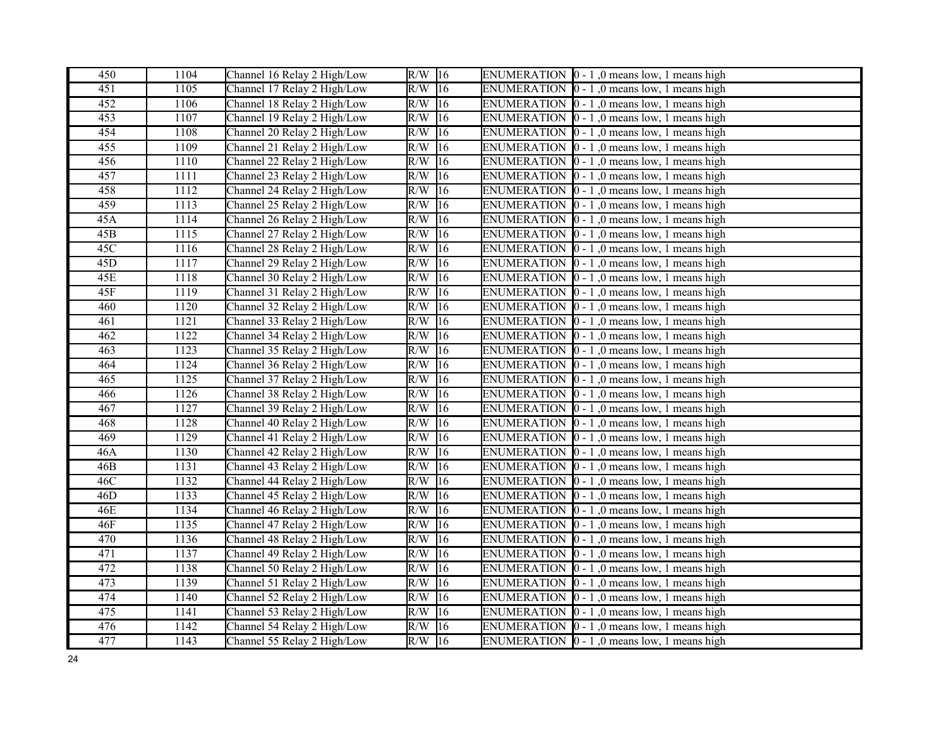| 450 | 1104 | Channel 16 Relay 2 High/Low | $R/W$ 16               | ENUMERATION $\vert 0 - 1 \vert$ , 0 means low, 1 means high             |
|-----|------|-----------------------------|------------------------|-------------------------------------------------------------------------|
| 451 | 1105 | Channel 17 Relay 2 High/Low | $R/W$ 16               | ENUMERATION $\vert 0 - 1 \vert$ , 0 means low, 1 means high             |
| 452 | 1106 | Channel 18 Relay 2 High/Low | $R/W$ 16               | ENUMERATION $\vert 0 - 1 \vert$ , 0 means low, 1 means high             |
| 453 | 1107 | Channel 19 Relay 2 High/Low | R/W<br>16              | ENUMERATION $\vert 0 - 1 \vert$ , 0 means low, 1 means high             |
| 454 | 1108 | Channel 20 Relay 2 High/Low | R/W<br>16              | ENUMERATION $\vert 0 - 1 \vert$ , 0 means low, 1 means high             |
| 455 | 1109 | Channel 21 Relay 2 High/Low | R/W<br>16              | ENUMERATION $\vert 0 - 1 \vert$ , 0 means low, 1 means high             |
| 456 | 1110 | Channel 22 Relay 2 High/Low | R/W<br> 16             | ENUMERATION $[0 - 1]$ , 0 means low, 1 means high                       |
| 457 | 1111 | Channel 23 Relay 2 High/Low | R/W<br>16              | ENUMERATION $[0 - 1, 0$ means low, 1 means high                         |
| 458 | 1112 | Channel 24 Relay 2 High/Low | R/W<br> 16             | ENUMERATION $[0 - 1]$ , 0 means low, 1 means high                       |
| 459 | 1113 | Channel 25 Relay 2 High/Low | R/W<br>16              | ENUMERATION $\vert 0 - 1 \vert$ , 0 means low, 1 means high             |
| 45A | 1114 | Channel 26 Relay 2 High/Low | $R/W$ 16               | ENUMERATION $\vert 0 - 1 \vert$ , 0 means low, 1 means high             |
| 45B | 1115 | Channel 27 Relay 2 High/Low | R/W<br> 16             | ENUMERATION $\vert 0 - 1 \vert$ , 0 means low, 1 means high             |
| 45C | 1116 | Channel 28 Relay 2 High/Low | R/W<br> 16             | ENUMERATION $\vert 0 - 1 \vert$ , 0 means low, 1 means high             |
| 45D | 1117 | Channel 29 Relay 2 High/Low | $R/W$ 16               | ENUMERATION $[0 - 1]$ , 0 means low, 1 means high                       |
| 45E | 1118 | Channel 30 Relay 2 High/Low | $R/W$ 16               | ENUMERATION $\vert 0 - 1 \vert$ , 0 means low, 1 means high             |
| 45F | 1119 | Channel 31 Relay 2 High/Low | $\overline{16}$<br>R/W | ENUMERATION $[0 - 1, 0$ means low, 1 means high                         |
| 460 | 1120 | Channel 32 Relay 2 High/Low | R/W<br>16              | ENUMERATION $[0 - 1]$ , 0 means low, 1 means high                       |
| 461 | 1121 | Channel 33 Relay 2 High/Low | $R/W$ 16               | ENUMERATION $\vert 0 - 1 \vert$ , 0 means low, 1 means high             |
| 462 | 1122 | Channel 34 Relay 2 High/Low | R/W<br>16              | ENUMERATION $\vert 0 - 1 \vert$ , 0 means low, 1 means high             |
| 463 | 1123 | Channel 35 Relay 2 High/Low | R/W<br> 16             | ENUMERATION $\vert 0 - 1 \vert$ , 0 means low, 1 means high             |
| 464 | 1124 | Channel 36 Relay 2 High/Low | R/W<br> 16             | ENUMERATION $\vert 0 - 1 \vert$ , 0 means low, 1 means high             |
| 465 | 1125 | Channel 37 Relay 2 High/Low | R/W<br>16              | ENUMERATION $\vert 0 - 1 \vert$ , 0 means low, 1 means high             |
| 466 | 1126 | Channel 38 Relay 2 High/Low | R/W<br>16              | ENUMERATION $\vert 0 - 1 \vert$ , 0 means low, 1 means high             |
| 467 | 1127 | Channel 39 Relay 2 High/Low | R/W<br> 16             | ENUMERATION $\vert 0 - 1 \vert$ , 0 means low, 1 means high             |
| 468 | 1128 | Channel 40 Relay 2 High/Low | R/W<br> 16             | ENUMERATION $\vert 0 - 1 \vert$ , 0 means low, 1 means high             |
| 469 | 1129 | Channel 41 Relay 2 High/Low | R/W<br>16              | ENUMERATION $\vert 0 - 1 \vert$ , 0 means low, 1 means high             |
| 46A | 1130 | Channel 42 Relay 2 High/Low | R/W<br> 16             | ENUMERATION $\vert 0 - 1 \vert$ , 0 means low, 1 means high             |
| 46B | 1131 | Channel 43 Relay 2 High/Low | R/W<br> 16             | ENUMERATION $[0 - 1, 0$ means low, 1 means high                         |
| 46C | 1132 | Channel 44 Relay 2 High/Low | R/W<br> 16             | ENUMERATION $\vert 0 - 1 \vert$ , 0 means low, 1 means high             |
| 46D | 1133 | Channel 45 Relay 2 High/Low | $R/W$ 16               | ENUMERATION $\vert 0 - 1 \vert$ , 0 means low, 1 means high             |
| 46E | 1134 | Channel 46 Relay 2 High/Low | 16<br>R/W              | ENUMERATION $[0 - 1, 0$ means low, 1 means high                         |
| 46F | 1135 | Channel 47 Relay 2 High/Low | R/W<br>16              | ENUMERATION $\vert 0 - 1 \vert$ , 0 means low, 1 means high             |
| 470 | 1136 | Channel 48 Relay 2 High/Low | R/W<br> 16             | ENUMERATION $\vert 0 - 1 \vert$ , 0 means low, 1 means high             |
| 471 | 1137 | Channel 49 Relay 2 High/Low | $R/W$ 16               | ENUMERATION $\vert 0 - 1 \vert$ , 0 means low, 1 means high             |
| 472 | 1138 | Channel 50 Relay 2 High/Low | R/W<br>16              | ENUMERATION $\vert 0 - 1 \vert$ , 0 means low, 1 means high             |
| 473 | 1139 | Channel 51 Relay 2 High/Low | R/W<br> 16             | <b>ENUMERATION</b><br>$\vert 0 - 1 \rangle$ , 0 means low, 1 means high |
| 474 | 1140 | Channel 52 Relay 2 High/Low | R/W<br> 16             | ENUMERATION $\vert 0 - 1 \vert$ , 0 means low, 1 means high             |
| 475 | 1141 | Channel 53 Relay 2 High/Low | R/W<br> 16             | ENUMERATION $[0 - 1]$ , 0 means low, 1 means high                       |
| 476 | 1142 | Channel 54 Relay 2 High/Low | 16<br>R/W              | ENUMERATION $\vert 0 - 1 \vert$ , 0 means low, 1 means high             |
| 477 | 1143 | Channel 55 Relay 2 High/Low | $R/W$ 16               | ENUMERATION $\vert 0 - 1 \vert$ , 0 means low, 1 means high             |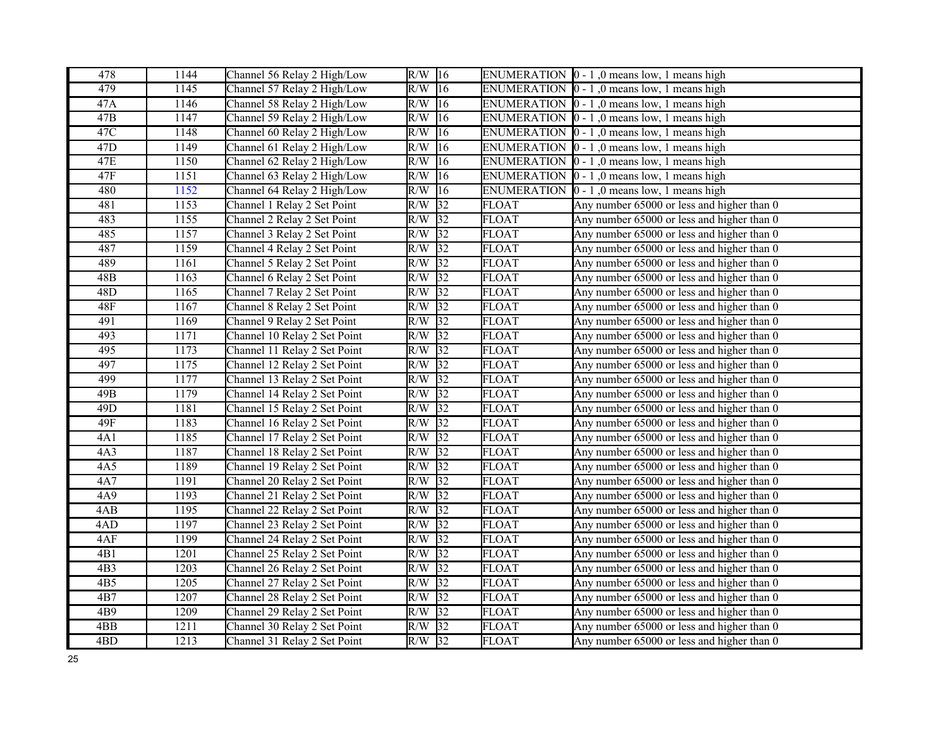| 478              | 1144 | Channel 56 Relay 2 High/Low  | $R/W$ 16         |                 |              | ENUMERATION $\vert 0 - 1 \vert$ , 0 means low, 1 means high |
|------------------|------|------------------------------|------------------|-----------------|--------------|-------------------------------------------------------------|
| 479              | 1145 | Channel 57 Relay 2 High/Low  | R/W              | $ 16\rangle$    |              | ENUMERATION $\vert 0 - 1 \vert$ , 0 means low, 1 means high |
| 47A              | 1146 | Channel 58 Relay 2 High/Low  | R/W              | $ 16\rangle$    |              | ENUMERATION $\vert 0 - 1 \vert$ , 0 means low, 1 means high |
| 47B              | 1147 | Channel 59 Relay 2 High/Low  | R/W              | 16              |              | ENUMERATION $\vert 0 - 1 \vert$ , 0 means low, 1 means high |
| 47C              | 1148 | Channel 60 Relay 2 High/Low  | R/W              | 16              |              | ENUMERATION $\vert 0 - 1 \vert$ , 0 means low, 1 means high |
| 47D              | 1149 | Channel 61 Relay 2 High/Low  | R/W              | 16              |              | ENUMERATION $\vert 0 - 1 \vert$ , 0 means low, 1 means high |
| 47E              | 1150 | Channel 62 Relay 2 High/Low  | R/W              | 16              |              | ENUMERATION $[0 - 1]$ , 0 means low, 1 means high           |
| 47F              | 1151 | Channel 63 Relay 2 High/Low  | R/W              | 16              |              | ENUMERATION $\vert 0 - 1 \vert$ , 0 means low, 1 means high |
| 480              | 1152 | Channel 64 Relay 2 High/Low  | R/W              | 16              |              | ENUMERATION $\vert 0 - 1 \vert$ , 0 means low, 1 means high |
| 481              | 1153 | Channel 1 Relay 2 Set Point  | R/W              | 32              | <b>FLOAT</b> | Any number 65000 or less and higher than 0                  |
| 483              | 1155 | Channel 2 Relay 2 Set Point  | R/W              | $\sqrt{32}$     | <b>FLOAT</b> | Any number 65000 or less and higher than 0                  |
| 485              | 1157 | Channel 3 Relay 2 Set Point  | R/W              | $\overline{32}$ | <b>FLOAT</b> | Any number 65000 or less and higher than 0                  |
| 487              | 1159 | Channel 4 Relay 2 Set Point  | R/W              | 32              | <b>FLOAT</b> | Any number 65000 or less and higher than 0                  |
| 489              | 1161 | Channel 5 Relay 2 Set Point  | R/W              | $\sqrt{32}$     | <b>FLOAT</b> | Any number 65000 or less and higher than 0                  |
| 48B              | 1163 | Channel 6 Relay 2 Set Point  | $R/W$ 32         |                 | <b>FLOAT</b> | Any number 65000 or less and higher than 0                  |
| 48D              | 1165 | Channel 7 Relay 2 Set Point  | R/W              | $\sqrt{32}$     | <b>FLOAT</b> | Any number 65000 or less and higher than 0                  |
| 48F              | 1167 | Channel 8 Relay 2 Set Point  | $R/\overline{W}$ | $\sqrt{32}$     | <b>FLOAT</b> | Any number 65000 or less and higher than 0                  |
| 491              | 1169 | Channel 9 Relay 2 Set Point  | R/W              | 32              | <b>FLOAT</b> | Any number 65000 or less and higher than 0                  |
| 493              | 1171 | Channel 10 Relay 2 Set Point | R/W              | $\overline{32}$ | <b>FLOAT</b> | Any number 65000 or less and higher than 0                  |
| 495              | 1173 | Channel 11 Relay 2 Set Point | R/W              | $\overline{32}$ | <b>FLOAT</b> | Any number 65000 or less and higher than 0                  |
| 497              | 1175 | Channel 12 Relay 2 Set Point | R/W              | 32              | <b>FLOAT</b> | Any number 65000 or less and higher than 0                  |
| 499              | 1177 | Channel 13 Relay 2 Set Point | $R/W$ 32         |                 | <b>FLOAT</b> | Any number 65000 or less and higher than 0                  |
| 49B              | 1179 | Channel 14 Relay 2 Set Point | R/W              | $\sqrt{32}$     | <b>FLOAT</b> | Any number 65000 or less and higher than 0                  |
| 49 <sub>D</sub>  | 1181 | Channel 15 Relay 2 Set Point | R/W              | $\overline{32}$ | <b>FLOAT</b> | Any number 65000 or less and higher than 0                  |
| 49F              | 1183 | Channel 16 Relay 2 Set Point | R/W              | $\overline{32}$ | <b>FLOAT</b> | Any number 65000 or less and higher than 0                  |
| 4A1              | 1185 | Channel 17 Relay 2 Set Point | R/W              | 32              | <b>FLOAT</b> | Any number 65000 or less and higher than 0                  |
| 4A3              | 1187 | Channel 18 Relay 2 Set Point | R/W              | $\overline{32}$ | <b>FLOAT</b> | Any number 65000 or less and higher than 0                  |
| 4A5              | 1189 | Channel 19 Relay 2 Set Point | R/W              | $\overline{32}$ | <b>FLOAT</b> | Any number 65000 or less and higher than 0                  |
| 4A7              | 1191 | Channel 20 Relay 2 Set Point | R/W              | 32              | <b>FLOAT</b> | Any number 65000 or less and higher than 0                  |
| 4A9              | 1193 | Channel 21 Relay 2 Set Point | $R/W$ 32         |                 | <b>FLOAT</b> | Any number 65000 or less and higher than 0                  |
| 4AB              | 1195 | Channel 22 Relay 2 Set Point | R/W              | $\sqrt{32}$     | <b>FLOAT</b> | Any number 65000 or less and higher than 0                  |
| 4AD              | 1197 | Channel 23 Relay 2 Set Point | R/W              | $\sqrt{32}$     | <b>FLOAT</b> | Any number 65000 or less and higher than 0                  |
| 4AF              | 1199 | Channel 24 Relay 2 Set Point | R/W              | $\overline{32}$ | <b>FLOAT</b> | Any number 65000 or less and higher than 0                  |
| 4B1              | 1201 | Channel 25 Relay 2 Set Point | R/W              | $\sqrt{32}$     | <b>FLOAT</b> | Any number 65000 or less and higher than 0                  |
| 4B3              | 1203 | Channel 26 Relay 2 Set Point | R/W              | 32              | <b>FLOAT</b> | Any number 65000 or less and higher than 0                  |
| 4B5              | 1205 | Channel 27 Relay 2 Set Point | R/W              | 32              | <b>FLOAT</b> | Any number 65000 or less and higher than 0                  |
| $\overline{AB7}$ | 1207 | Channel 28 Relay 2 Set Point | R/W              | 32              | <b>FLOAT</b> | Any number 65000 or less and higher than 0                  |
| 4B9              | 1209 | Channel 29 Relay 2 Set Point | $R/W$ 32         |                 | <b>FLOAT</b> | Any number 65000 or less and higher than 0                  |
| 4BB              | 1211 | Channel 30 Relay 2 Set Point | R/W              | 32              | <b>FLOAT</b> | Any number 65000 or less and higher than 0                  |
| 4BD              | 1213 | Channel 31 Relay 2 Set Point | $R/W$ 32         |                 | <b>FLOAT</b> | Any number 65000 or less and higher than 0                  |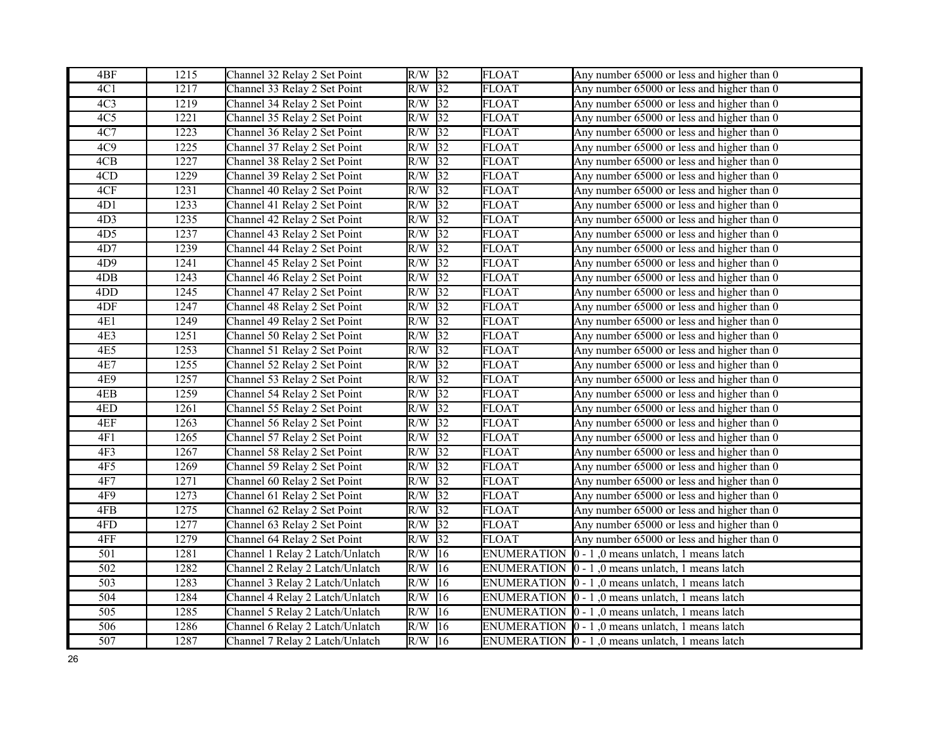| 4BF              | 1215 | Channel 32 Relay 2 Set Point    | $R/W$ 32 |                 | <b>FLOAT</b>       | Any number 65000 or less and higher than 0                       |
|------------------|------|---------------------------------|----------|-----------------|--------------------|------------------------------------------------------------------|
| 4C1              | 1217 | Channel 33 Relay 2 Set Point    | R/W      | $\overline{32}$ | <b>FLOAT</b>       | Any number 65000 or less and higher than 0                       |
| 4C <sub>3</sub>  | 1219 | Channel 34 Relay 2 Set Point    | $R/W$ 32 |                 | <b>FLOAT</b>       | Any number 65000 or less and higher than 0                       |
| 4C <sub>5</sub>  | 1221 | Channel 35 Relay 2 Set Point    | R/W      | $\overline{32}$ | <b>FLOAT</b>       | Any number 65000 or less and higher than 0                       |
| 4C7              | 1223 | Channel 36 Relay 2 Set Point    | R/W      | $\sqrt{32}$     | <b>FLOAT</b>       | Any number 65000 or less and higher than 0                       |
| 4C9              | 1225 | Channel 37 Relay 2 Set Point    | R/W      | 32              | <b>FLOAT</b>       | Any number 65000 or less and higher than 0                       |
| 4CB              | 1227 | Channel 38 Relay 2 Set Point    | R/W      | 32              | <b>FLOAT</b>       | Any number 65000 or less and higher than 0                       |
| 4CD              | 1229 | Channel 39 Relay 2 Set Point    | R/W      | $\sqrt{32}$     | FLOAT              | Any number 65000 or less and higher than 0                       |
| 4CF              | 1231 | Channel 40 Relay 2 Set Point    | R/W      | 32              | <b>FLOAT</b>       | Any number 65000 or less and higher than 0                       |
| 4D1              | 1233 | Channel 41 Relay 2 Set Point    | R/W      | 32              | <b>FLOAT</b>       | Any number 65000 or less and higher than 0                       |
| 4D <sub>3</sub>  | 1235 | Channel 42 Relay 2 Set Point    | R/W      | $\sqrt{32}$     | <b>FLOAT</b>       | Any number 65000 or less and higher than 0                       |
| 4D <sub>5</sub>  | 1237 | Channel 43 Relay 2 Set Point    | R/W      | 32              | <b>FLOAT</b>       | Any number 65000 or less and higher than 0                       |
| 4D7              | 1239 | Channel 44 Relay 2 Set Point    | R/W      | 32              | <b>FLOAT</b>       | Any number 65000 or less and higher than 0                       |
| 4D9              | 1241 | Channel 45 Relay 2 Set Point    | R/W      | 32              | FLOAT              | Any number 65000 or less and higher than 0                       |
| 4DB              | 1243 | Channel 46 Relay 2 Set Point    | R/W      | 32              | FLOAT              | Any number 65000 or less and higher than 0                       |
| 4 <sub>D</sub> D | 1245 | Channel 47 Relay 2 Set Point    | R/W      | $\overline{32}$ | <b>FLOAT</b>       | Any number 65000 or less and higher than 0                       |
| 4DF              | 1247 | Channel 48 Relay 2 Set Point    | R/W      | $\overline{32}$ | <b>FLOAT</b>       | Any number 65000 or less and higher than 0                       |
| <b>4E1</b>       | 1249 | Channel 49 Relay 2 Set Point    | R/W      | 32              | <b>FLOAT</b>       | Any number 65000 or less and higher than 0                       |
| 4E3              | 1251 | Channel 50 Relay 2 Set Point    | R/W      | $\sqrt{32}$     | <b>FLOAT</b>       | Any number 65000 or less and higher than 0                       |
| 4E5              | 1253 | Channel 51 Relay 2 Set Point    | R/W      | $\sqrt{32}$     | <b>FLOAT</b>       | Any number 65000 or less and higher than 0                       |
| 4E7              | 1255 | Channel 52 Relay 2 Set Point    | R/W      | 32              | <b>FLOAT</b>       | Any number 65000 or less and higher than 0                       |
| 4E9              | 1257 | Channel 53 Relay 2 Set Point    | R/W      | 32              | FLOAT              | Any number 65000 or less and higher than 0                       |
| 4EB              | 1259 | Channel 54 Relay 2 Set Point    | R/W      | 32              | <b>FLOAT</b>       | Any number 65000 or less and higher than 0                       |
| 4ED              | 1261 | Channel 55 Relay 2 Set Point    | R/W      | 32              | <b>FLOAT</b>       | Any number 65000 or less and higher than 0                       |
| 4EF              | 1263 | Channel 56 Relay 2 Set Point    | R/W      | $\overline{32}$ | <b>FLOAT</b>       | Any number 65000 or less and higher than 0                       |
| 4F1              | 1265 | Channel 57 Relay 2 Set Point    | R/W      | $\overline{32}$ | <b>FLOAT</b>       | Any number 65000 or less and higher than 0                       |
| 4F <sub>3</sub>  | 1267 | Channel 58 Relay 2 Set Point    | R/W      | $\overline{32}$ | <b>FLOAT</b>       | Any number 65000 or less and higher than 0                       |
| 4F5              | 1269 | Channel 59 Relay 2 Set Point    | R/W      | $\overline{32}$ | <b>FLOAT</b>       | Any number 65000 or less and higher than 0                       |
| 4F7              | 1271 | Channel 60 Relay 2 Set Point    | R/W      | 32              | <b>FLOAT</b>       | Any number 65000 or less and higher than 0                       |
| 4F9              | 1273 | Channel 61 Relay 2 Set Point    | R/W      | 32              | FLOAT              | Any number 65000 or less and higher than 0                       |
| 4FB              | 1275 | Channel 62 Relay 2 Set Point    | R/W      | $\sqrt{32}$     | <b>FLOAT</b>       | Any number 65000 or less and higher than 0                       |
| 4FD              | 1277 | Channel 63 Relay 2 Set Point    | R/W      | 32              | <b>FLOAT</b>       | Any number 65000 or less and higher than 0                       |
| 4FF              | 1279 | Channel 64 Relay 2 Set Point    | R/W      | $\overline{32}$ | <b>FLOAT</b>       | Any number 65000 or less and higher than 0                       |
| 501              | 1281 | Channel 1 Relay 2 Latch/Unlatch | R/W      | $ 16\rangle$    | <b>ENUMERATION</b> | $ 0 - 1 $ , 0 means unlatch, 1 means latch                       |
| 502              | 1282 | Channel 2 Relay 2 Latch/Unlatch | R/W      | 16              | <b>ENUMERATION</b> | $ 0 - 1 $ , 0 means unlatch, 1 means latch                       |
| 503              | 1283 | Channel 3 Relay 2 Latch/Unlatch | R/W      | 16              | <b>ENUMERATION</b> | $ 0 - 1 $ , 0 means unlatch, 1 means latch                       |
| $\overline{504}$ | 1284 | Channel 4 Relay 2 Latch/Unlatch | R/W      | $ 16\rangle$    |                    | ENUMERATION $\vert 0 - 1 \vert$ , 0 means unlatch, 1 means latch |
| 505              | 1285 | Channel 5 Relay 2 Latch/Unlatch | R/W      | $ 16\rangle$    |                    | ENUMERATION $[0 - 1, 0$ means unlatch, 1 means latch             |
| 506              | 1286 | Channel 6 Relay 2 Latch/Unlatch | R/W      | $ 16\rangle$    |                    | ENUMERATION $\vert 0 - 1 \vert$ , 0 means unlatch, 1 means latch |
| $\overline{507}$ | 1287 | Channel 7 Relay 2 Latch/Unlatch | $R/W$ 16 |                 |                    | ENUMERATION $\vert 0 - 1 \vert$ , 0 means unlatch, 1 means latch |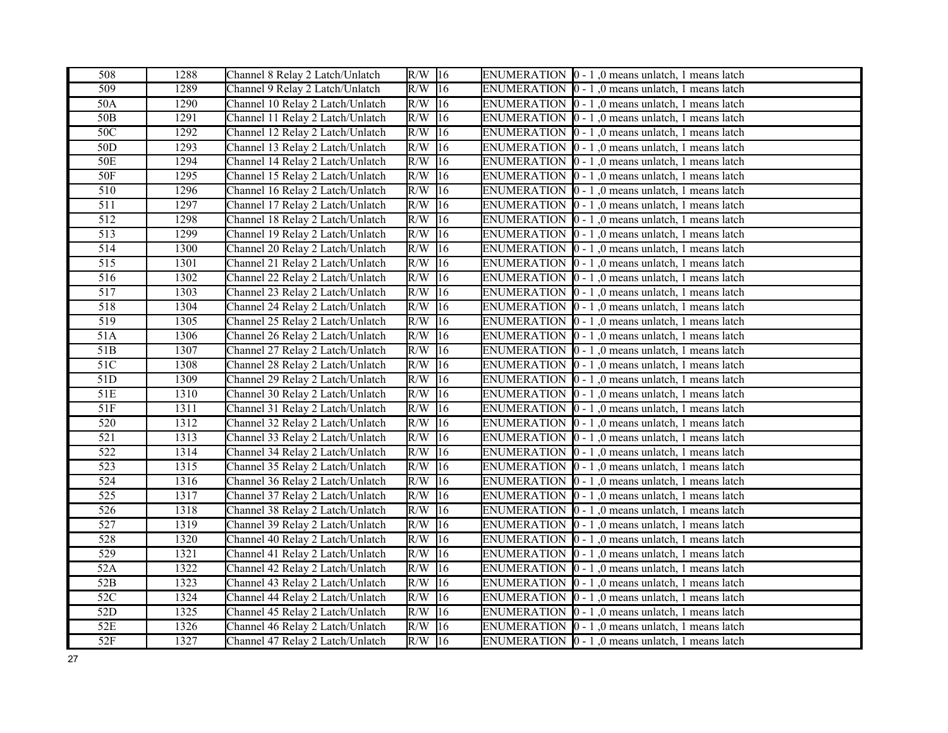| 508              | 1288              | Channel 8 Relay 2 Latch/Unlatch  | $R/W$ 16                   |    | ENUMERATION $\vert 0 - 1 \vert$ , 0 means unlatch, 1 means latch |
|------------------|-------------------|----------------------------------|----------------------------|----|------------------------------------------------------------------|
| 509              | 1289              | Channel 9 Relay 2 Latch/Unlatch  | $R/W$ 16                   |    | ENUMERATION  0 - 1,0 means unlatch, 1 means latch                |
| 50A              | 1290              | Channel 10 Relay 2 Latch/Unlatch | $R/W$ 16                   |    | ENUMERATION $\vert 0 - 1 \vert$ , 0 means unlatch, 1 means latch |
| 50 <sub>B</sub>  | 1291              | Channel 11 Relay 2 Latch/Unlatch | R/W                        | 16 | ENUMERATION  0 - 1,0 means unlatch, 1 means latch                |
| 50C              | 1292              | Channel 12 Relay 2 Latch/Unlatch | $R/W$ <sup>16</sup>        |    | ENUMERATION $[0 - 1]$ , 0 means unlatch, 1 means latch           |
| 50D              | 1293              | Channel 13 Relay 2 Latch/Unlatch | R/W                        | 16 | ENUMERATION $\vert 0 - 1 \vert$ , 0 means unlatch, 1 means latch |
| 50E              | 1294              | Channel 14 Relay 2 Latch/Unlatch | $R/W$ 16                   |    | ENUMERATION 0 - 1,0 means unlatch, 1 means latch                 |
| 50F              | 1295              | Channel 15 Relay 2 Latch/Unlatch | R/W                        | 16 | ENUMERATION $\vert 0 - 1 \vert$ , 0 means unlatch, 1 means latch |
| 510              | $\overline{1}296$ | Channel 16 Relay 2 Latch/Unlatch | R/W                        | 16 | ENUMERATION $[0 - 1]$ , 0 means unlatch, 1 means latch           |
| 511              | 1297              | Channel 17 Relay 2 Latch/Unlatch | $R/W$ 16                   |    | ENUMERATION $\vert 0 - 1 \vert$ , 0 means unlatch, 1 means latch |
| $\overline{512}$ | 1298              | Channel 18 Relay 2 Latch/Unlatch | $\overline{\text{R/W}}$ 16 |    | ENUMERATION $\vert 0 - 1 \vert$ , 0 means unlatch, 1 means latch |
| 513              | 1299              | Channel 19 Relay 2 Latch/Unlatch | $R/W$ 16                   |    | ENUMERATION $\vert 0 - 1 \vert$ , 0 means unlatch, 1 means latch |
| 514              | 1300              | Channel 20 Relay 2 Latch/Unlatch | R/W                        | 16 | ENUMERATION $\vert 0 - 1 \vert$ , 0 means unlatch, 1 means latch |
| 515              | 1301              | Channel 21 Relay 2 Latch/Unlatch | $R/W$ 16                   |    | ENUMERATION $[0 - 1]$ , 0 means unlatch, 1 means latch           |
| 516              | 1302              | Channel 22 Relay 2 Latch/Unlatch | $R/W$ 16                   |    | ENUMERATION 0 - 1,0 means unlatch, 1 means latch                 |
| 517              | 1303              | Channel 23 Relay 2 Latch/Unlatch | $R/W$ 16                   |    | ENUMERATION $\vert 0 - 1 \vert$ , 0 means unlatch, 1 means latch |
| 518              | 1304              | Channel 24 Relay 2 Latch/Unlatch | $R/W$ 16                   |    | ENUMERATION $\vert 0 - 1 \vert$ , 0 means unlatch, 1 means latch |
| 519              | 1305              | Channel 25 Relay 2 Latch/Unlatch | $R/W$ 16                   |    | ENUMERATION $\vert 0 - 1 \vert$ , 0 means unlatch, 1 means latch |
| 51A              | 1306              | Channel 26 Relay 2 Latch/Unlatch | $R/W$ 16                   |    | ENUMERATION 0 - 1,0 means unlatch, 1 means latch                 |
| 51B              | 1307              | Channel 27 Relay 2 Latch/Unlatch | $\overline{\text{R/W}}$ 16 |    | ENUMERATION $\vert 0 - 1 \vert$ , 0 means unlatch, 1 means latch |
| 51C              | 1308              | Channel 28 Relay 2 Latch/Unlatch | R/W                        | 16 | ENUMERATION $\vert 0 - 1 \vert$ , 0 means unlatch, 1 means latch |
| 51D              | 1309              | Channel 29 Relay 2 Latch/Unlatch | $\overline{R/W}$ 16        |    | ENUMERATION $\vert 0 - 1 \vert$ , 0 means unlatch, 1 means latch |
| 51E              | 1310              | Channel 30 Relay 2 Latch/Unlatch | R/W                        | 16 | ENUMERATION $\vert 0 - 1 \vert$ , 0 means unlatch, 1 means latch |
| 51F              | 1311              | Channel 31 Relay 2 Latch/Unlatch | R/W                        | 16 | ENUMERATION $\vert 0 - 1 \vert$ , 0 means unlatch, 1 means latch |
| 520              | 1312              | Channel 32 Relay 2 Latch/Unlatch | $R/W$ 16                   |    | ENUMERATION $\vert 0 - 1 \vert$ , 0 means unlatch, 1 means latch |
| 521              | 1313              | Channel 33 Relay 2 Latch/Unlatch | $R/W$ 16                   |    | ENUMERATION $\vert 0 - 1 \vert$ , 0 means unlatch, 1 means latch |
| $\overline{522}$ | 1314              | Channel 34 Relay 2 Latch/Unlatch | R/W                        | 16 | ENUMERATION $\vert 0 - 1 \vert$ , 0 means unlatch, 1 means latch |
| $\overline{523}$ | 1315              | Channel 35 Relay 2 Latch/Unlatch | $R/W$ 16                   |    | ENUMERATION $\vert 0 - 1 \vert$ , 0 means unlatch, 1 means latch |
| 524              | 1316              | Channel 36 Relay 2 Latch/Unlatch | R/W                        | 16 | ENUMERATION $\vert 0 - 1 \vert$ , 0 means unlatch, 1 means latch |
| 525              | 1317              | Channel 37 Relay 2 Latch/Unlatch | $R/W$ 16                   |    | ENUMERATION $\vert 0 - 1 \vert$ , 0 means unlatch, 1 means latch |
| $\overline{526}$ | 1318              | Channel 38 Relay 2 Latch/Unlatch | $R/W$ 16                   |    | ENUMERATION  0 - 1,0 means unlatch, 1 means latch                |
| 527              | 1319              | Channel 39 Relay 2 Latch/Unlatch | $R/W$ 16                   |    | ENUMERATION $\vert 0 - 1 \vert$ , 0 means unlatch, 1 means latch |
| 528              | 1320              | Channel 40 Relay 2 Latch/Unlatch | $R/W$ 16                   |    | ENUMERATION $\vert 0 - 1 \vert$ , 0 means unlatch, 1 means latch |
| 529              | 1321              | Channel 41 Relay 2 Latch/Unlatch | $\overline{R}/W$ 16        |    | ENUMERATION  0 - 1,0 means unlatch, 1 means latch                |
| 52A              | 1322              | Channel 42 Relay 2 Latch/Unlatch | R/W                        | 16 | ENUMERATION  0 - 1,0 means unlatch, 1 means latch                |
| 52B              | 1323              | Channel 43 Relay 2 Latch/Unlatch | R/W                        | 16 | ENUMERATION $\vert 0 - 1 \vert$ , 0 means unlatch, 1 means latch |
| 52C              | 1324              | Channel 44 Relay 2 Latch/Unlatch | R/W                        | 16 | ENUMERATION $\vert 0 - 1 \vert$ , 0 means unlatch, 1 means latch |
| 52D              | 1325              | Channel 45 Relay 2 Latch/Unlatch | $R/W$ 16                   |    | ENUMERATION $[0 - 1]$ , 0 means unlatch, 1 means latch           |
| 52E              | 1326              | Channel 46 Relay 2 Latch/Unlatch | R/W                        | 16 | ENUMERATION $\vert 0 - 1 \vert$ , 0 means unlatch, 1 means latch |
| 52F              | 1327              | Channel 47 Relay 2 Latch/Unlatch | $R/W$ 16                   |    | ENUMERATION $\vert 0 - 1 \vert$ , 0 means unlatch, 1 means latch |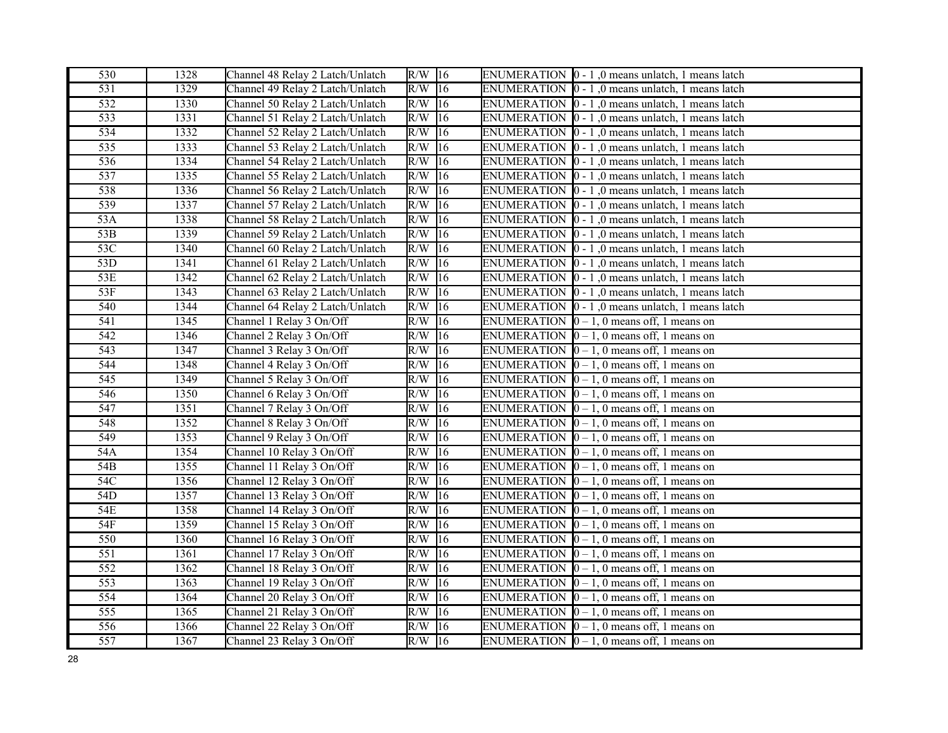| 530              | 1328        | Channel 48 Relay 2 Latch/Unlatch | $R/W$ 16             |    | ENUMERATION $\vert 0 - 1 \vert$ , 0 means unlatch, 1 means latch |
|------------------|-------------|----------------------------------|----------------------|----|------------------------------------------------------------------|
| 531              | 1329        | Channel 49 Relay 2 Latch/Unlatch | $R/W$ 16             |    | ENUMERATION $\vert 0 - 1 \vert$ , 0 means unlatch, 1 means latch |
| $\overline{532}$ | 1330        | Channel 50 Relay 2 Latch/Unlatch | $R/W$ <sup>16</sup>  |    | ENUMERATION $\vert 0 - 1 \vert$ , 0 means unlatch, 1 means latch |
| 533              | 1331        | Channel 51 Relay 2 Latch/Unlatch | $R/W$ 16             |    | ENUMERATION $\vert 0 - 1 \vert$ , 0 means unlatch, 1 means latch |
| $\overline{534}$ | 1332        | Channel 52 Relay 2 Latch/Unlatch | $R/W$ 16             |    | ENUMERATION $\vert 0 - 1 \vert$ , 0 means unlatch, 1 means latch |
| 535              | 1333        | Channel 53 Relay 2 Latch/Unlatch | $\overline{R/W}$ 16  |    | ENUMERATION $\vert 0 - 1 \vert$ , 0 means unlatch, 1 means latch |
| 536              | 1334        | Channel 54 Relay 2 Latch/Unlatch | $R/W$ 16             |    | ENUMERATION $\vert 0 - 1 \vert$ , 0 means unlatch, 1 means latch |
| 537              | 1335        | Channel 55 Relay 2 Latch/Unlatch | $R/W$ 16             |    | ENUMERATION $\vert 0 - 1 \vert$ , 0 means unlatch, 1 means latch |
| 538              | 1336        | Channel 56 Relay 2 Latch/Unlatch | R/W                  | 16 | ENUMERATION $\vert 0 - 1 \vert$ , 0 means unlatch, 1 means latch |
| 539              | 1337        | Channel 57 Relay 2 Latch/Unlatch | $R/W$ 16             |    | ENUMERATION $\vert 0 - 1 \vert$ , 0 means unlatch, 1 means latch |
| 53A              | 1338        | Channel 58 Relay 2 Latch/Unlatch | $R/W$ 16             |    | ENUMERATION $\vert 0 - 1 \vert$ , 0 means unlatch, 1 means latch |
| 53B              | 1339        | Channel 59 Relay 2 Latch/Unlatch | $\overline{R}/W$     | 16 | ENUMERATION $\vert 0 - 1 \vert$ , 0 means unlatch, 1 means latch |
| 53C              | 1340        | Channel 60 Relay 2 Latch/Unlatch | $R/W$ 16             |    | ENUMERATION $\vert 0 - 1 \vert$ , 0 means unlatch, 1 means latch |
| 53D              | 1341        | Channel 61 Relay 2 Latch/Unlatch | $R/W$ 16             |    | ENUMERATION $\vert 0 - 1 \vert$ , 0 means unlatch, 1 means latch |
| 53E              | 1342        | Channel 62 Relay 2 Latch/Unlatch | $R/W$ 16             |    | ENUMERATION $\vert 0 - 1 \vert$ , 0 means unlatch, 1 means latch |
| 53F              | 1343        | Channel 63 Relay 2 Latch/Unlatch | $R/W$ 16             |    | ENUMERATION $\vert 0 - 1 \vert$ , 0 means unlatch, 1 means latch |
| 540              | 1344        | Channel 64 Relay 2 Latch/Unlatch | $R/W$ <sup>16</sup>  |    | ENUMERATION $\vert 0 - 1 \vert$ , 0 means unlatch, 1 means latch |
| 541              | 1345        | Channel 1 Relay 3 On/Off         | $R/W$ 16             |    | ENUMERATION $\vert 0-1, 0 \vert$ means off, 1 means on           |
| 542              | 1346        | Channel 2 Relay 3 On/Off         | $R/W$ 16             |    | ENUMERATION $[0 - 1, 0$ means off, 1 means on                    |
| $\overline{543}$ | 1347        | Channel 3 Relay 3 On/Off         | $\overline{R/W}$  16 |    | ENUMERATION $[0 - 1, 0$ means off, 1 means on                    |
| 544              | 1348        | Channel 4 Relay 3 On/Off         | $R/W$ 16             |    | ENUMERATION $\vert 0-1, 0 \vert$ means off, 1 means on           |
| $\overline{545}$ | 1349        | Channel 5 Relay 3 On/Off         | $R/W$ 16             |    | ENUMERATION $\vert 0-1, 0 \vert$ means off, 1 means on           |
| 546              | 1350        | Channel 6 Relay 3 On/Off         | $R/W$ 16             |    | ENUMERATION $\vert 0-1, 0 \vert$ means off, 1 means on           |
| 547              | 1351        | Channel 7 Relay 3 On/Off         | $R/W$ 16             |    | ENUMERATION $\vert 0-1, 0 \vert$ means off, 1 means on           |
| 548              | 1352        | Channel 8 Relay 3 On/Off         | $R/W$ 16             |    | ENUMERATION $[0 - 1, 0$ means off, 1 means on                    |
| 549              | 1353        | Channel 9 Relay 3 On/Off         | $R/W$ 16             |    | ENUMERATION $[0 - 1, 0$ means off, 1 means on                    |
| 54A              | 1354        | Channel 10 Relay 3 On/Off        | $R/W$ 16             |    | ENUMERATION $[0 - 1, 0$ means off, 1 means on                    |
| 54B              | 1355        | Channel 11 Relay 3 On/Off        | $\overline{R/W}$  16 |    | ENUMERATION $[0 - 1, 0$ means off, 1 means on                    |
| 54C              | 1356        | Channel 12 Relay 3 On/Off        | $R/W$ 16             |    | ENUMERATION $\vert 0-1, 0 \vert$ means off, 1 means on           |
| 54D              | 1357        | Channel 13 Relay 3 On/Off        | $R/W$ 16             |    | ENUMERATION $[0 - 1, 0$ means off, 1 means on                    |
| 54E              | 1358        | Channel 14 Relay 3 On/Off        | $R/W$ 16             |    | ENUMERATION $\vert 0-1, 0 \vert$ means off, 1 means on           |
| 54F              | 1359        | Channel 15 Relay 3 On/Off        | $R/W$ 16             |    | ENUMERATION $[0 - 1, 0$ means off, 1 means on                    |
| 550              | 1360        | Channel 16 Relay 3 On/Off        | $R/W$ 16             |    | ENUMERATION $\vert 0-1, 0 \vert$ means off, 1 means on           |
| $\overline{551}$ | 1361        | Channel 17 Relay 3 On/Off        | $R/W$ 16             |    | ENUMERATION $[0 - 1, 0$ means off, 1 means on                    |
| 552              | 1362        | Channel 18 Relay 3 On/Off        | R/W                  | 16 | ENUMERATION $\vert 0-1, 0 \vert$ means off, 1 means on           |
| 553              | 1363        | Channel 19 Relay 3 On/Off        | $\overline{R/W}$ 16  |    | ENUMERATION $\vert 0-1, 0 \vert$ means off, 1 means on           |
| 554              | 1364        | Channel 20 Relay 3 On/Off        | $R/W$ 16             |    | ENUMERATION $\vert 0-1, 0 \vert$ means off, 1 means on           |
| 555              | 1365        | Channel 21 Relay 3 On/Off        | $R/W$ 16             |    | ENUMERATION $\vert 0-1, 0 \vert$ means off, 1 means on           |
| 556              | <b>1366</b> | Channel 22 Relay 3 On/Off        | $R/W$ 16             |    | ENUMERATION $\vert 0-1, 0 \vert$ means off, 1 means on           |
| 557              | 1367        | Channel 23 Relay 3 On/Off        | $R/W$ 16             |    | ENUMERATION $\vert 0 - 1$ , 0 means off, 1 means on              |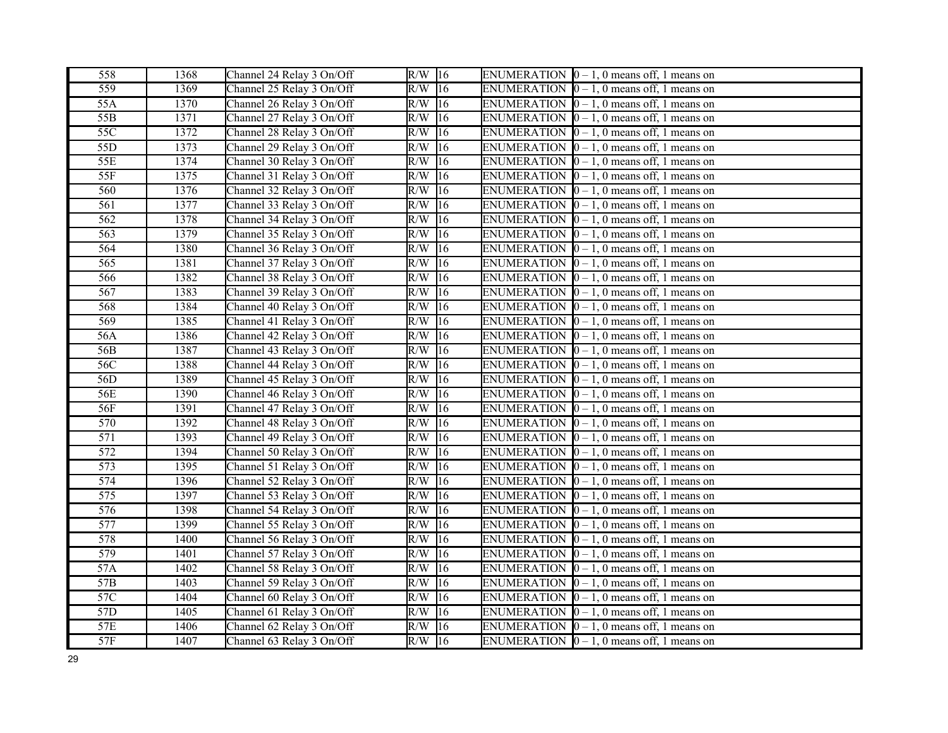| 558              | 1368 | Channel 24 Relay 3 On/Off | $R/W$ 16            | ENUMERATION $[0 - 1, 0$ means off, 1 means on          |
|------------------|------|---------------------------|---------------------|--------------------------------------------------------|
| 559              | 1369 | Channel 25 Relay 3 On/Off | $R/W$ 16            | ENUMERATION $[0 - 1, 0$ means off, 1 means on          |
| 55A              | 1370 | Channel 26 Relay 3 On/Off | $R/W$ 16            | ENUMERATION $[0 - 1, 0$ means off, 1 means on          |
| 55B              | 1371 | Channel 27 Relay 3 On/Off | $R/W$ 16            | ENUMERATION $[0 - 1, 0$ means off, 1 means on          |
| $\overline{55C}$ | 1372 | Channel 28 Relay 3 On/Off | $R/W$ <sup>16</sup> | ENUMERATION $[0 - 1, 0$ means off, 1 means on          |
| 55D              | 1373 | Channel 29 Relay 3 On/Off | $R/W$ 16            | ENUMERATION $[0 - 1, 0$ means off, 1 means on          |
| 55E              | 1374 | Channel 30 Relay 3 On/Off | $R/W$ 16            | ENUMERATION $\vert 0-1, 0 \vert$ means off, 1 means on |
| 55F              | 1375 | Channel 31 Relay 3 On/Off | $\sqrt{16}$<br>R/W  | ENUMERATION $[0 - 1, 0$ means off, 1 means on          |
| 560              | 1376 | Channel 32 Relay 3 On/Off | $R/W$ 16            | ENUMERATION $[0 - 1, 0$ means off, 1 means on          |
| 561              | 1377 | Channel 33 Relay 3 On/Off | $R/W$ 16            | ENUMERATION $\vert 0-1, 0 \vert$ means off, 1 means on |
| 562              | 1378 | Channel 34 Relay 3 On/Off | $R/W$ 16            | ENUMERATION $[0 - 1, 0$ means off, 1 means on          |
| 563              | 1379 | Channel 35 Relay 3 On/Off | R/W<br>16           | ENUMERATION $\vert 0-1, 0 \vert$ means off, 1 means on |
| 564              | 1380 | Channel 36 Relay 3 On/Off | $R/W$ 16            | ENUMERATION $[0 - 1, 0$ means off, 1 means on          |
| $\overline{565}$ | 1381 | Channel 37 Relay 3 On/Off | $R/W$ 16            | ENUMERATION $[0 - 1, 0$ means off, 1 means on          |
| 566              | 1382 | Channel 38 Relay 3 On/Off | $R/W$ 16            | ENUMERATION $\vert 0 - 1$ , 0 means off, 1 means on    |
| 567              | 1383 | Channel 39 Relay 3 On/Off | $R/W$ 16            | ENUMERATION $[0 - 1, 0$ means off, 1 means on          |
| 568              | 1384 | Channel 40 Relay 3 On/Off | $R/W$ 16            | ENUMERATION $[0 - 1, 0$ means off, 1 means on          |
| 569              | 1385 | Channel 41 Relay 3 On/Off | $R/W$ 16            | ENUMERATION $[0 - 1, 0$ means off, 1 means on          |
| 56A              | 1386 | Channel 42 Relay 3 On/Off | R/W<br>$ 16\rangle$ | ENUMERATION $[0 - 1, 0$ means off, 1 means on          |
| 56B              | 1387 | Channel 43 Relay 3 On/Off | $R/W$ <sup>16</sup> | ENUMERATION $[0 - 1, 0$ means off, 1 means on          |
| 56C              | 1388 | Channel 44 Relay 3 On/Off | $R/W$ 16            | ENUMERATION $\vert 0-1, 0 \vert$ means off, 1 means on |
| 56D              | 1389 | Channel 45 Relay 3 On/Off | $R/W$ 16            | ENUMERATION $\vert 0-1, 0 \vert$ means off, 1 means on |
| 56E              | 1390 | Channel 46 Relay 3 On/Off | $ 16\rangle$<br>R/W | ENUMERATION $\vert 0-1, 0 \vert$ means off, 1 means on |
| 56F              | 1391 | Channel 47 Relay 3 On/Off | $R/W$ 16            | ENUMERATION $[0 - 1, 0$ means off, 1 means on          |
| 570              | 1392 | Channel 48 Relay 3 On/Off | $R/W$ 16            | ENUMERATION $\vert 0-1, 0 \vert$ means off, 1 means on |
| $\overline{571}$ | 1393 | Channel 49 Relay 3 On/Off | $R/W$ 16            | ENUMERATION $[0 - 1, 0$ means off, 1 means on          |
| 572              | 1394 | Channel 50 Relay 3 On/Off | $R/W$ 16            | ENUMERATION $[0 - 1, 0$ means off, 1 means on          |
| 573              | 1395 | Channel 51 Relay 3 On/Off | $R/W$ 16            | ENUMERATION $[0 - 1, 0$ means off, 1 means on          |
| 574              | 1396 | Channel 52 Relay 3 On/Off | $R/W$ 16            | ENUMERATION $[0 - 1, 0$ means off, 1 means on          |
| $\overline{575}$ | 1397 | Channel 53 Relay 3 On/Off | $R/W$ 16            | ENUMERATION $[0 - 1, 0$ means off, 1 means on          |
| 576              | 1398 | Channel 54 Relay 3 On/Off | $R/W$ 16            | ENUMERATION $[0 - 1, 0$ means off, 1 means on          |
| 577              | 1399 | Channel 55 Relay 3 On/Off | $R/W$ 16            | ENUMERATION $[0 - 1, 0$ means off, 1 means on          |
| 578              | 1400 | Channel 56 Relay 3 On/Off | $R/W$ 16            | ENUMERATION $[0 - 1, 0$ means off, 1 means on          |
| 579              | 1401 | Channel 57 Relay 3 On/Off | $R/W$ 16            | ENUMERATION $[0 - 1, 0$ means off, 1 means on          |
| 57A              | 1402 | Channel 58 Relay 3 On/Off | R/W<br> 16          | ENUMERATION $[0 - 1, 0$ means off, 1 means on          |
| 57B              | 1403 | Channel 59 Relay 3 On/Off | $R/W$ 16            | ENUMERATION $\vert 0-1, 0 \vert$ means off, 1 means on |
| 57C              | 1404 | Channel 60 Relay 3 On/Off | $R/W$ 16            | ENUMERATION $[0 - 1, 0$ means off, 1 means on          |
| 57D              | 1405 | Channel 61 Relay 3 On/Off | $R/W$ 16            | ENUMERATION $[0 - 1, 0$ means off, 1 means on          |
| 57E              | 1406 | Channel 62 Relay 3 On/Off | R/W<br>16           | ENUMERATION $\vert 0-1, 0 \vert$ means off, 1 means on |
| 57F              | 1407 | Channel 63 Relay 3 On/Off | $R/W$ 16            | ENUMERATION $\vert 0-1, 0 \vert$ means off, 1 means on |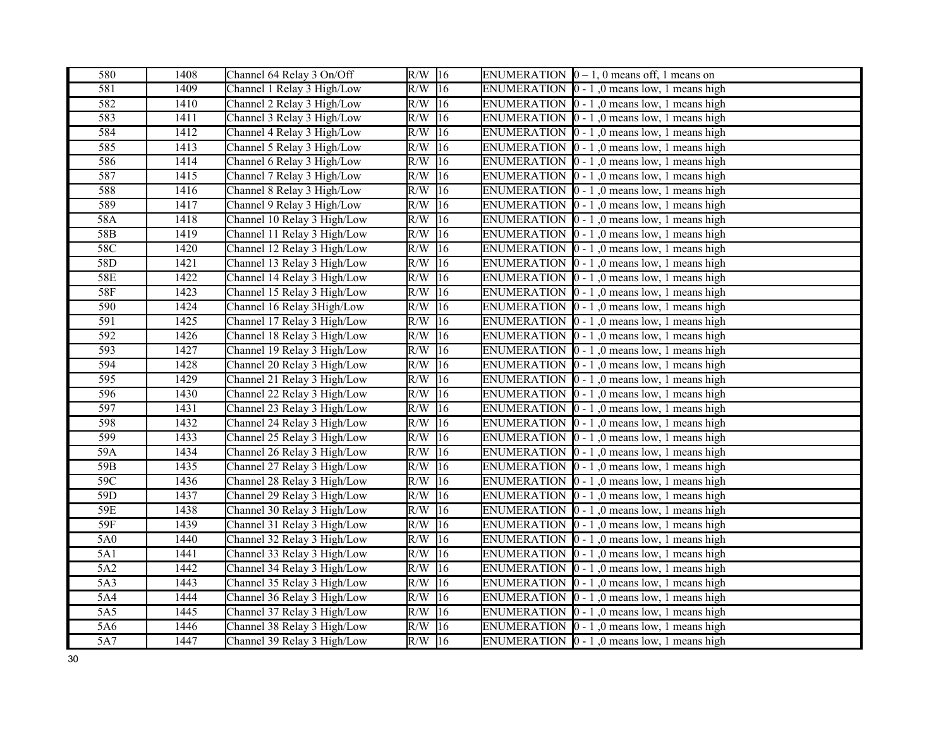| 580              | 1408 | Channel 64 Relay 3 On/Off   | $R/W$ 16            | ENUMERATION $[0 - 1, 0$ means off, 1 means on                           |
|------------------|------|-----------------------------|---------------------|-------------------------------------------------------------------------|
| $\overline{581}$ | 1409 | Channel 1 Relay 3 High/Low  | $R/W$ 16            | ENUMERATION $\vert 0 - 1 \vert$ , 0 means low, 1 means high             |
| 582              | 1410 | Channel 2 Relay 3 High/Low  | $R/W$ 16            | ENUMERATION $\vert 0 - 1 \vert$ , 0 means low, 1 means high             |
| 583              | 1411 | Channel 3 Relay 3 High/Low  | R/W<br>16           | ENUMERATION $\vert 0 - 1 \vert$ , 0 means low, 1 means high             |
| 584              | 1412 | Channel 4 Relay 3 High/Low  | R/W<br>16           | ENUMERATION $\vert 0 - 1 \vert$ , 0 means low, 1 means high             |
| 585              | 1413 | Channel 5 Relay 3 High/Low  | $R/W$ 16            | ENUMERATION $\vert 0 - 1 \vert$ , 0 means low, 1 means high             |
| 586              | 1414 | Channel 6 Relay 3 High/Low  | R/W<br> 16          | ENUMERATION $[0 - 1]$ , 0 means low, 1 means high                       |
| 587              | 1415 | Channel 7 Relay 3 High/Low  | 16<br>R/W           | ENUMERATION $[0 - 1, 0$ means low, 1 means high                         |
| 588              | 1416 | Channel 8 Relay 3 High/Low  | R/W<br>16           | ENUMERATION $[0 - 1]$ , 0 means low, 1 means high                       |
| 589              | 1417 | Channel 9 Relay 3 High/Low  | $R/W$ 16            | ENUMERATION $\vert 0 - 1 \vert$ , 0 means low, 1 means high             |
| 58A              | 1418 | Channel 10 Relay 3 High/Low | $R/W$ 16            | ENUMERATION $\vert 0 - 1 \vert$ , 0 means low, 1 means high             |
| 58B              | 1419 | Channel 11 Relay 3 High/Low | R/W<br> 16          | ENUMERATION $\vert 0 - 1 \vert$ , 0 means low, 1 means high             |
| 58C              | 1420 | Channel 12 Relay 3 High/Low | R/W<br> 16          | ENUMERATION $\vert 0 - 1 \vert$ , 0 means low, 1 means high             |
| 58D              | 1421 | Channel 13 Relay 3 High/Low | $R/W$ 16            | ENUMERATION $[0 - 1]$ , 0 means low, 1 means high                       |
| <b>58E</b>       | 1422 | Channel 14 Relay 3 High/Low | $R/W$ 16            | ENUMERATION $\vert 0 - 1 \vert$ , 0 means low, 1 means high             |
| <b>58F</b>       | 1423 | Channel 15 Relay 3 High/Low | R/W<br>16           | ENUMERATION $[0 - 1, 0$ means low, 1 means high                         |
| 590              | 1424 | Channel 16 Relay 3 High/Low | R/W<br> 16          | ENUMERATION $[0 - 1, 0$ means low, 1 means high                         |
| 591              | 1425 | Channel 17 Relay 3 High/Low | $R/W$ 16            | ENUMERATION $\vert 0 - 1 \vert$ , 0 means low, 1 means high             |
| 592              | 1426 | Channel 18 Relay 3 High/Low | R/W<br>16           | ENUMERATION $[0 - 1]$ , 0 means low, 1 means high                       |
| 593              | 1427 | Channel 19 Relay 3 High/Low | R/W<br> 16          | ENUMERATION $\vert 0 - 1 \vert$ , 0 means low, 1 means high             |
| 594              | 1428 | Channel 20 Relay 3 High/Low | R/W<br> 16          | ENUMERATION $\vert 0 - 1 \vert$ , 0 means low, 1 means high             |
| 595              | 1429 | Channel 21 Relay 3 High/Low | R/W<br>16           | ENUMERATION $\vert 0 - 1 \vert$ , 0 means low, 1 means high             |
| 596              | 1430 | Channel 22 Relay 3 High/Low | R/W<br>16           | ENUMERATION $\vert 0 - 1 \vert$ , 0 means low, 1 means high             |
| 597              | 1431 | Channel 23 Relay 3 High/Low | R/W<br>$ 16\rangle$ | ENUMERATION $\vert 0 - 1 \vert$ , 0 means low, 1 means high             |
| 598              | 1432 | Channel 24 Relay 3 High/Low | R/W<br>16           | ENUMERATION $\vert 0 - 1 \vert$ , 0 means low, 1 means high             |
| 599              | 1433 | Channel 25 Relay 3 High/Low | R/W<br>16           | ENUMERATION $\vert 0 - 1 \vert$ , 0 means low, 1 means high             |
| 59A              | 1434 | Channel 26 Relay 3 High/Low | R/W<br> 16          | ENUMERATION $\vert 0 - 1 \vert$ , 0 means low, 1 means high             |
| 59B              | 1435 | Channel 27 Relay 3 High/Low | R/W<br> 16          | ENUMERATION $[0 - 1, 0$ means low, 1 means high                         |
| 59C              | 1436 | Channel 28 Relay 3 High/Low | R/W<br> 16          | ENUMERATION $\vert 0 - 1 \vert$ , 0 means low, 1 means high             |
| 59D              | 1437 | Channel 29 Relay 3 High/Low | $R/W$ 16            | ENUMERATION $\vert 0 - 1 \vert$ , 0 means low, 1 means high             |
| 59E              | 1438 | Channel 30 Relay 3 High/Low | $R/W$ 16            | ENUMERATION $[0 - 1, 0$ means low, 1 means high                         |
| 59F              | 1439 | Channel 31 Relay 3 High/Low | R/W<br> 16          | ENUMERATION $\vert 0 - 1 \vert$ , 0 means low, 1 means high             |
| 5A0              | 1440 | Channel 32 Relay 3 High/Low | R/W<br> 16          | ENUMERATION $\vert 0 - 1 \vert$ , 0 means low, 1 means high             |
| 5A1              | 1441 | Channel 33 Relay 3 High/Low | $R/W$ 16            | ENUMERATION $\vert 0 - 1 \vert$ , 0 means low, 1 means high             |
| 5A2              | 1442 | Channel 34 Relay 3 High/Low | R/W<br>16           | ENUMERATION $\vert 0 - 1 \vert$ , 0 means low, 1 means high             |
| 5A3              | 1443 | Channel 35 Relay 3 High/Low | R/W<br> 16          | <b>ENUMERATION</b><br>$\vert 0 - 1 \rangle$ , 0 means low, 1 means high |
| 5A4              | 1444 | Channel 36 Relay 3 High/Low | R/W<br> 16          | ENUMERATION $\vert 0 - 1 \vert$ , 0 means low, 1 means high             |
| 5A5              | 1445 | Channel 37 Relay 3 High/Low | R/W<br> 16          | ENUMERATION $[0 - 1]$ , 0 means low, 1 means high                       |
| 5A6              | 1446 | Channel 38 Relay 3 High/Low | 16<br>R/W           | ENUMERATION $\vert 0 - 1 \vert$ , 0 means low, 1 means high             |
| 5A7              | 1447 | Channel 39 Relay 3 High/Low | $R/W$ 16            | ENUMERATION $\vert 0 - 1 \vert$ , 0 means low, 1 means high             |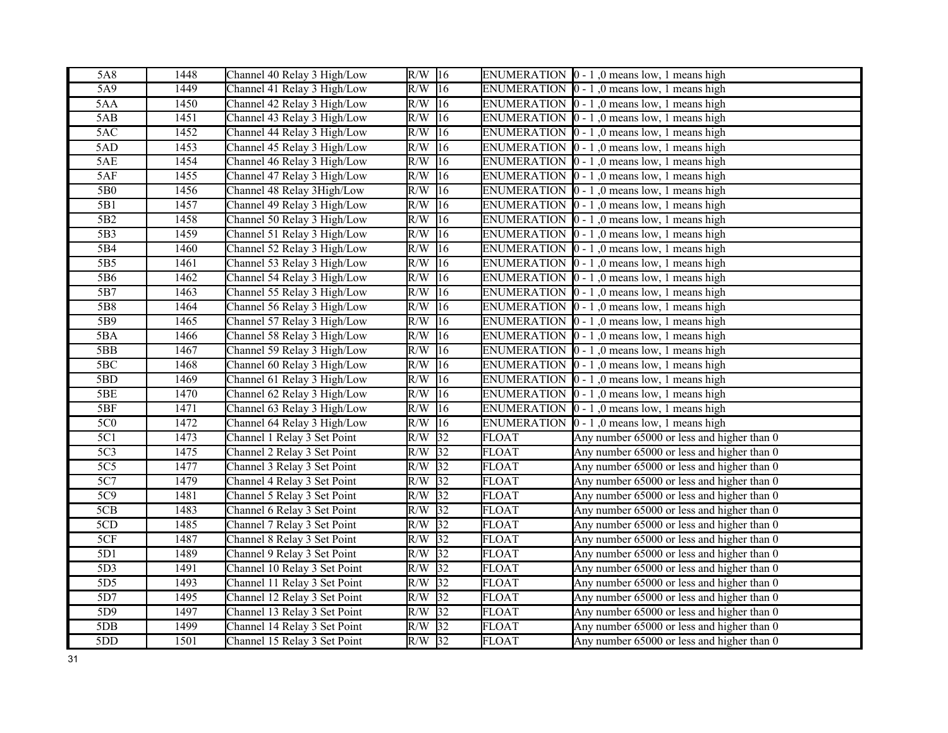| 5A8              | 1448 | Channel 40 Relay 3 High/Low  | $R/W$ 16 |                 |              | ENUMERATION $\vert 0 - 1 \vert$ , 0 means low, 1 means high |
|------------------|------|------------------------------|----------|-----------------|--------------|-------------------------------------------------------------|
| 5A9              | 1449 | Channel 41 Relay 3 High/Low  | R/W      | $\sqrt{16}$     |              | ENUMERATION $\vert 0 - 1 \vert$ , 0 means low, 1 means high |
| 5AA              | 1450 | Channel 42 Relay 3 High/Low  | $R/W$ 16 |                 |              | ENUMERATION $\vert 0 - 1 \vert$ , 0 means low, 1 means high |
| 5AB              | 1451 | Channel 43 Relay 3 High/Low  | R/W      | 16              |              | ENUMERATION $\vert 0 - 1 \vert$ , 0 means low, 1 means high |
| 5AC              | 1452 | Channel 44 Relay 3 High/Low  | R/W      | 16              |              | ENUMERATION $\vert 0 - 1 \vert$ , 0 means low, 1 means high |
| 5AD              | 1453 | Channel 45 Relay 3 High/Low  | R/W      | 16              |              | ENUMERATION $\vert 0 - 1 \vert$ , 0 means low, 1 means high |
| 5AE              | 1454 | Channel 46 Relay 3 High/Low  | R/W      | 16              |              | ENUMERATION $[0 - 1]$ , 0 means low, 1 means high           |
| 5AF              | 1455 | Channel 47 Relay 3 High/Low  | R/W      | $ 16\rangle$    |              | ENUMERATION $\vert 0 - 1 \vert$ , 0 means low, 1 means high |
| 5B0              | 1456 | Channel 48 Relay 3High/Low   | R/W      | 16              |              | ENUMERATION $[0 - 1]$ , 0 means low, 1 means high           |
| 5B1              | 1457 | Channel 49 Relay 3 High/Low  | R/W      | 16              |              | ENUMERATION $\vert 0 - 1 \vert$ , 0 means low, 1 means high |
| $\overline{5B2}$ | 1458 | Channel 50 Relay 3 High/Low  | R/W      | 16              |              | ENUMERATION $\vert 0 - 1 \vert$ , 0 means low, 1 means high |
| 5B3              | 1459 | Channel 51 Relay 3 High/Low  | R/W      | 16              |              | ENUMERATION $\vert 0 - 1 \vert$ , 0 means low, 1 means high |
| 5B4              | 1460 | Channel 52 Relay 3 High/Low  | R/W      | 16              |              | ENUMERATION $\vert 0 - 1 \vert$ , 0 means low, 1 means high |
| 5B5              | 1461 | Channel 53 Relay 3 High/Low  | R/W      | 16              |              | ENUMERATION $[0 - 1, 0$ means low, 1 means high             |
| 5B6              | 1462 | Channel 54 Relay 3 High/Low  | R/W      | 16              |              | ENUMERATION $\vert 0 - 1 \vert$ , 0 means low, 1 means high |
| 5B7              | 1463 | Channel 55 Relay 3 High/Low  | R/W      | 16              |              | ENUMERATION $\vert 0 - 1 \vert$ , 0 means low, 1 means high |
| 5B8              | 1464 | Channel 56 Relay 3 High/Low  | R/W      | 16              |              | ENUMERATION $[0 - 1]$ , 0 means low, 1 means high           |
| 5B9              | 1465 | Channel 57 Relay 3 High/Low  | R/W      | 16              |              | ENUMERATION $\vert 0 - 1 \vert$ , 0 means low, 1 means high |
| 5BA              | 1466 | Channel 58 Relay 3 High/Low  | R/W      | 16              |              | ENUMERATION $\vert 0 - 1 \vert$ , 0 means low, 1 means high |
| 5BB              | 1467 | Channel 59 Relay 3 High/Low  | R/W      | 16              |              | ENUMERATION $\vert 0 - 1 \vert$ , 0 means low, 1 means high |
| 5BC              | 1468 | Channel 60 Relay 3 High/Low  | R/W      | 16              |              | ENUMERATION $\vert 0 - 1 \vert$ , 0 means low, 1 means high |
| 5BD              | 1469 | Channel 61 Relay 3 High/Low  | R/W      | 16              |              | ENUMERATION $\vert 0 - 1 \vert$ , 0 means low, 1 means high |
| 5BE              | 1470 | Channel 62 Relay 3 High/Low  | R/W      | 16              |              | ENUMERATION $[0 - 1, 0$ means low, 1 means high             |
| 5BF              | 1471 | Channel 63 Relay 3 High/Low  | R/W      | 16              |              | ENUMERATION $\vert 0 - 1 \vert$ , 0 means low, 1 means high |
| 5C <sub>0</sub>  | 1472 | Channel 64 Relay 3 High/Low  | R/W      | $ 16\rangle$    |              | ENUMERATION $\vert 0 - 1 \vert$ , 0 means low, 1 means high |
| 5C1              | 1473 | Channel 1 Relay 3 Set Point  | R/W      | $\overline{32}$ | <b>FLOAT</b> | Any number 65000 or less and higher than 0                  |
| 5C <sub>3</sub>  | 1475 | Channel 2 Relay 3 Set Point  | R/W      | $\overline{32}$ | <b>FLOAT</b> | Any number 65000 or less and higher than 0                  |
| $\overline{5C5}$ | 1477 | Channel 3 Relay 3 Set Point  | R/W      | $\sqrt{32}$     | <b>FLOAT</b> | Any number 65000 or less and higher than 0                  |
| 5C7              | 1479 | Channel 4 Relay 3 Set Point  | R/W      | 32              | <b>FLOAT</b> | Any number 65000 or less and higher than 0                  |
| 5C9              | 1481 | Channel 5 Relay 3 Set Point  | $R/W$ 32 |                 | <b>FLOAT</b> | Any number 65000 or less and higher than 0                  |
| 5CB              | 1483 | Channel 6 Relay 3 Set Point  | R/W      | $\sqrt{32}$     | <b>FLOAT</b> | Any number 65000 or less and higher than 0                  |
| 5CD              | 1485 | Channel 7 Relay 3 Set Point  | $R/W$ 32 |                 | <b>FLOAT</b> | Any number 65000 or less and higher than 0                  |
| 5CF              | 1487 | Channel 8 Relay 3 Set Point  | R/W      | $\overline{32}$ | FLOAT        | Any number 65000 or less and higher than 0                  |
| 5D1              | 1489 | Channel 9 Relay 3 Set Point  | R/W      | $\sqrt{32}$     | <b>FLOAT</b> | Any number 65000 or less and higher than 0                  |
| 5D3              | 1491 | Channel 10 Relay 3 Set Point | R/W      | $\overline{32}$ | <b>FLOAT</b> | Any number 65000 or less and higher than 0                  |
| 5D <sub>5</sub>  | 1493 | Channel 11 Relay 3 Set Point | R/W      | $\sqrt{32}$     | <b>FLOAT</b> | Any number 65000 or less and higher than 0                  |
| 5D7              | 1495 | Channel 12 Relay 3 Set Point | $R/W$ 32 |                 | <b>FLOAT</b> | Any number 65000 or less and higher than 0                  |
| 5D9              | 1497 | Channel 13 Relay 3 Set Point | $R/W$ 32 |                 | <b>FLOAT</b> | Any number 65000 or less and higher than 0                  |
| 5 <sub>DB</sub>  | 1499 | Channel 14 Relay 3 Set Point | R/W      | $\sqrt{32}$     | <b>FLOAT</b> | Any number 65000 or less and higher than 0                  |
| 5DD              | 1501 | Channel 15 Relay 3 Set Point | $R/W$ 32 |                 | <b>FLOAT</b> | Any number 65000 or less and higher than 0                  |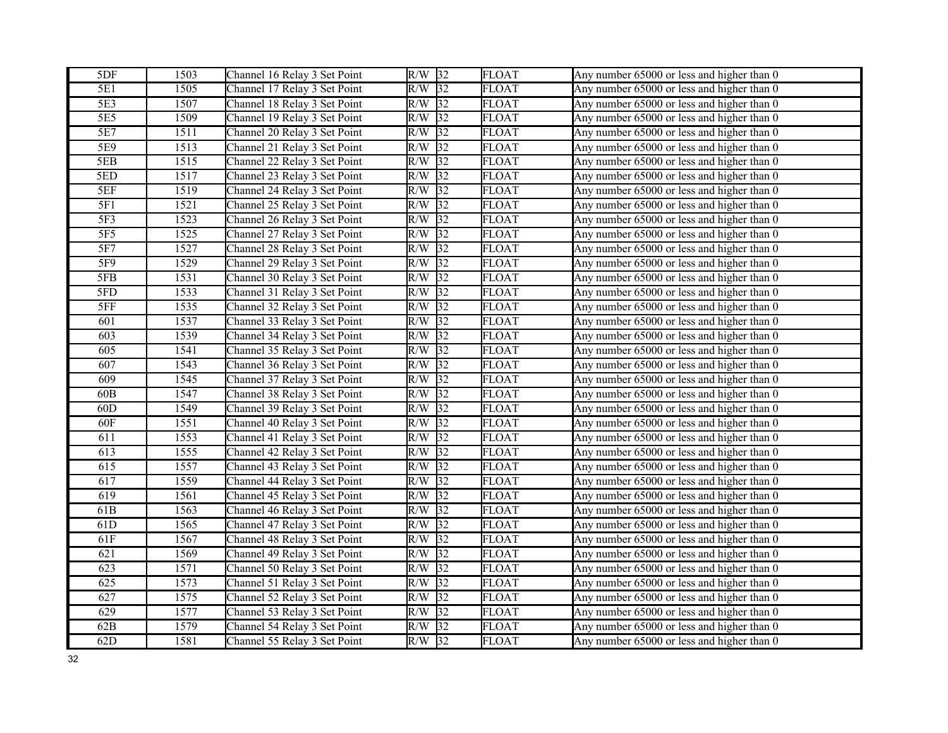| 5DF             | 1503 | Channel 16 Relay 3 Set Point | $R/W$ 32               | <b>FLOAT</b> | Any number 65000 or less and higher than 0 |
|-----------------|------|------------------------------|------------------------|--------------|--------------------------------------------|
| 5E1             | 1505 | Channel 17 Relay 3 Set Point | $\overline{32}$<br>R/W | <b>FLOAT</b> | Any number 65000 or less and higher than 0 |
| 5E3             | 1507 | Channel 18 Relay 3 Set Point | R/W<br> 32             | <b>FLOAT</b> | Any number 65000 or less and higher than 0 |
| 5E5             | 1509 | Channel 19 Relay 3 Set Point | 32 <br>R/W             | <b>FLOAT</b> | Any number 65000 or less and higher than 0 |
| 5E7             | 1511 | Channel 20 Relay 3 Set Point | $\overline{32}$<br>R/W | <b>FLOAT</b> | Any number 65000 or less and higher than 0 |
| 5E9             | 1513 | Channel 21 Relay 3 Set Point | R/W<br>32              | <b>FLOAT</b> | Any number 65000 or less and higher than 0 |
| 5EB             | 1515 | Channel 22 Relay 3 Set Point | 32<br>R/W              | <b>FLOAT</b> | Any number 65000 or less and higher than 0 |
| 5ED             | 1517 | Channel 23 Relay 3 Set Point | $\overline{32}$<br>R/W | <b>FLOAT</b> | Any number 65000 or less and higher than 0 |
| 5EF             | 1519 | Channel 24 Relay 3 Set Point | 32 <br>R/W             | <b>FLOAT</b> | Any number 65000 or less and higher than 0 |
| 5F1             | 1521 | Channel 25 Relay 3 Set Point | 32<br>R/W              | <b>FLOAT</b> | Any number 65000 or less and higher than 0 |
| 5F3             | 1523 | Channel 26 Relay 3 Set Point | R/W<br>$\sqrt{32}$     | <b>FLOAT</b> | Any number 65000 or less and higher than 0 |
| 5F <sub>5</sub> | 1525 | Channel 27 Relay 3 Set Point | 32 <br>R/W             | <b>FLOAT</b> | Any number 65000 or less and higher than 0 |
| 5F7             | 1527 | Channel 28 Relay 3 Set Point | 32<br>R/W              | <b>FLOAT</b> | Any number 65000 or less and higher than 0 |
| 5F9             | 1529 | Channel 29 Relay 3 Set Point | 32<br>R/W              | <b>FLOAT</b> | Any number 65000 or less and higher than 0 |
| 5FB             | 1531 | Channel 30 Relay 3 Set Point | 32 <br>R/W             | <b>FLOAT</b> | Any number 65000 or less and higher than 0 |
| 5FD             | 1533 | Channel 31 Relay 3 Set Point | $\overline{32}$<br>R/W | <b>FLOAT</b> | Any number 65000 or less and higher than 0 |
| 5FF             | 1535 | Channel 32 Relay 3 Set Point | R/W<br>32              | <b>FLOAT</b> | Any number 65000 or less and higher than 0 |
| 601             | 1537 | Channel 33 Relay 3 Set Point | 32 <br>R/W             | <b>FLOAT</b> | Any number 65000 or less and higher than 0 |
| 603             | 1539 | Channel 34 Relay 3 Set Point | 32 <br>R/W             | <b>FLOAT</b> | Any number 65000 or less and higher than 0 |
| 605             | 1541 | Channel 35 Relay 3 Set Point | $\overline{32}$<br>R/W | <b>FLOAT</b> | Any number 65000 or less and higher than 0 |
| 607             | 1543 | Channel 36 Relay 3 Set Point | R/W<br>32              | <b>FLOAT</b> | Any number 65000 or less and higher than 0 |
| 609             | 1545 | Channel 37 Relay 3 Set Point | R/W<br>32              | <b>FLOAT</b> | Any number 65000 or less and higher than 0 |
| 60B             | 1547 | Channel 38 Relay 3 Set Point | 32 <br>R/W             | <b>FLOAT</b> | Any number 65000 or less and higher than 0 |
| 60D             | 1549 | Channel 39 Relay 3 Set Point | 32<br>R/W              | <b>FLOAT</b> | Any number 65000 or less and higher than 0 |
| 60F             | 1551 | Channel 40 Relay 3 Set Point | $\overline{32}$<br>R/W | <b>FLOAT</b> | Any number 65000 or less and higher than 0 |
| 611             | 1553 | Channel 41 Relay 3 Set Point | $\overline{32}$<br>R/W | <b>FLOAT</b> | Any number 65000 or less and higher than 0 |
| 613             | 1555 | Channel 42 Relay 3 Set Point | R/W<br> 32             | <b>FLOAT</b> | Any number 65000 or less and higher than 0 |
| 615             | 1557 | Channel 43 Relay 3 Set Point | $\overline{32}$<br>R/W | <b>FLOAT</b> | Any number 65000 or less and higher than 0 |
| 617             | 1559 | Channel 44 Relay 3 Set Point | 32<br>R/W              | <b>FLOAT</b> | Any number 65000 or less and higher than 0 |
| 619             | 1561 | Channel 45 Relay 3 Set Point | 32<br>R/W              | <b>FLOAT</b> | Any number 65000 or less and higher than 0 |
| 61 <sub>B</sub> | 1563 | Channel 46 Relay 3 Set Point | 32 <br>R/W             | <b>FLOAT</b> | Any number 65000 or less and higher than 0 |
| 61D             | 1565 | Channel 47 Relay 3 Set Point | 32<br>R/W              | <b>FLOAT</b> | Any number 65000 or less and higher than 0 |
| 61F             | 1567 | Channel 48 Relay 3 Set Point | 32<br>R/W              | <b>FLOAT</b> | Any number 65000 or less and higher than 0 |
| 621             | 1569 | Channel 49 Relay 3 Set Point | $\sqrt{32}$<br>R/W     | <b>FLOAT</b> | Any number 65000 or less and higher than 0 |
| 623             | 1571 | Channel 50 Relay 3 Set Point | 32 <br>R/W             | <b>FLOAT</b> | Any number 65000 or less and higher than 0 |
| 625             | 1573 | Channel 51 Relay 3 Set Point | $\overline{32}$<br>R/W | <b>FLOAT</b> | Any number 65000 or less and higher than 0 |
| 627             | 1575 | Channel 52 Relay 3 Set Point | R/W<br>32              | <b>FLOAT</b> | Any number 65000 or less and higher than 0 |
| 629             | 1577 | Channel 53 Relay 3 Set Point | R/W<br>32              | <b>FLOAT</b> | Any number 65000 or less and higher than 0 |
| 62B             | 1579 | Channel 54 Relay 3 Set Point | $\sqrt{32}$<br>R/W     | <b>FLOAT</b> | Any number 65000 or less and higher than 0 |
| 62D             | 1581 | Channel 55 Relay 3 Set Point | $R/W$ 32               | <b>FLOAT</b> | Any number 65000 or less and higher than 0 |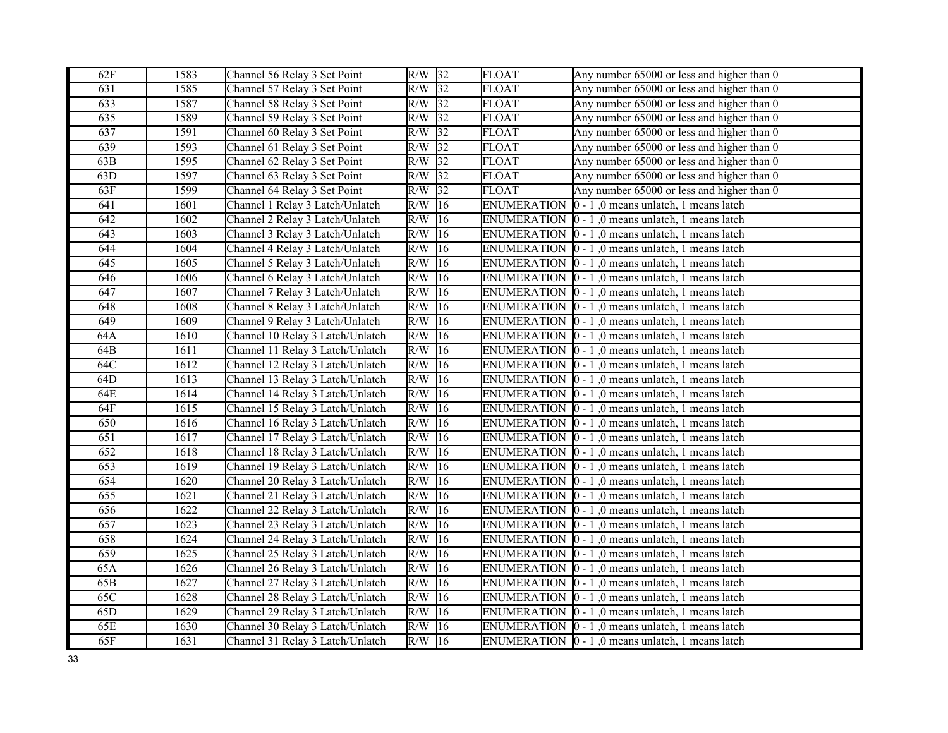| 62F | 1583 | Channel 56 Relay 3 Set Point     | $R/W$ 32         |              | <b>FLOAT</b>       | Any number 65000 or less and higher than 0                       |
|-----|------|----------------------------------|------------------|--------------|--------------------|------------------------------------------------------------------|
| 631 | 1585 | Channel 57 Relay 3 Set Point     | $R/W$ 32         |              | <b>FLOAT</b>       | Any number 65000 or less and higher than 0                       |
| 633 | 1587 | Channel 58 Relay 3 Set Point     | $R/W$ 32         |              | <b>FLOAT</b>       | Any number 65000 or less and higher than 0                       |
| 635 | 1589 | Channel 59 Relay 3 Set Point     | $R/W$ 32         |              | <b>FLOAT</b>       | Any number 65000 or less and higher than 0                       |
| 637 | 1591 | Channel 60 Relay 3 Set Point     | $R/W$ 32         |              | <b>FLOAT</b>       | Any number 65000 or less and higher than 0                       |
| 639 | 1593 | Channel 61 Relay 3 Set Point     | $R/W$ 32         |              | <b>FLOAT</b>       | Any number 65000 or less and higher than 0                       |
| 63B | 1595 | Channel 62 Relay 3 Set Point     | $R/W$ 32         |              | FLOAT              | Any number 65000 or less and higher than 0                       |
| 63D | 1597 | Channel 63 Relay 3 Set Point     | $R/W$ 32         |              | <b>FLOAT</b>       | Any number 65000 or less and higher than 0                       |
| 63F | 1599 | Channel 64 Relay 3 Set Point     | R/W              | 32           | <b>FLOAT</b>       | Any number 65000 or less and higher than 0                       |
| 641 | 1601 | Channel 1 Relay 3 Latch/Unlatch  | $R/W$ 16         |              | <b>ENUMERATION</b> | $0 - 1$ , 0 means unlatch, 1 means latch                         |
| 642 | 1602 | Channel 2 Relay 3 Latch/Unlatch  | R/W              | 16           |                    | ENUMERATION  0 - 1,0 means unlatch, 1 means latch                |
| 643 | 1603 | Channel 3 Relay 3 Latch/Unlatch  | R/W              | 16           |                    | ENUMERATION $\vert 0 - 1 \vert$ , 0 means unlatch, 1 means latch |
| 644 | 1604 | Channel 4 Relay 3 Latch/Unlatch  | R/W              | 16           |                    | ENUMERATION $\vert 0 - 1 \vert$ , 0 means unlatch, 1 means latch |
| 645 | 1605 | Channel 5 Relay 3 Latch/Unlatch  | $R/W$ 16         |              |                    | ENUMERATION $[0 - 1]$ , 0 means unlatch, 1 means latch           |
| 646 | 1606 | Channel 6 Relay 3 Latch/Unlatch  | $R/W$ 16         |              |                    | ENUMERATION 0 - 1,0 means unlatch, 1 means latch                 |
| 647 | 1607 | Channel 7 Relay 3 Latch/Unlatch  | R/W              | $ 16\rangle$ |                    | ENUMERATION $\vert 0 - 1 \vert$ , 0 means unlatch, 1 means latch |
| 648 | 1608 | Channel 8 Relay 3 Latch/Unlatch  | R/W              | 16           |                    | ENUMERATION $[0 - 1]$ , 0 means unlatch, 1 means latch           |
| 649 | 1609 | Channel 9 Relay 3 Latch/Unlatch  | $R/W$ 16         |              |                    | ENUMERATION $\vert 0 - 1 \vert$ , 0 means unlatch, 1 means latch |
| 64A | 1610 | Channel 10 Relay 3 Latch/Unlatch | R/W              | 16           |                    | ENUMERATION $[0 - 1, 0$ means unlatch, 1 means latch             |
| 64B | 1611 | Channel 11 Relay 3 Latch/Unlatch | R/W              | 16           |                    | ENUMERATION $\vert 0 - 1 \vert$ , 0 means unlatch, 1 means latch |
| 64C | 1612 | Channel 12 Relay 3 Latch/Unlatch | R/W              | 16           |                    | ENUMERATION $\vert 0 - 1 \vert$ , 0 means unlatch, 1 means latch |
| 64D | 1613 | Channel 13 Relay 3 Latch/Unlatch | R/W              | 16           |                    | ENUMERATION $\vert 0 - 1 \vert$ , 0 means unlatch, 1 means latch |
| 64E | 1614 | Channel 14 Relay 3 Latch/Unlatch | R/W              | 16           |                    | ENUMERATION $\vert 0 - 1 \vert$ , 0 means unlatch, 1 means latch |
| 64F | 1615 | Channel 15 Relay 3 Latch/Unlatch | R/W              | 16           |                    | ENUMERATION $\vert 0 - 1 \vert$ , 0 means unlatch, 1 means latch |
| 650 | 1616 | Channel 16 Relay 3 Latch/Unlatch | R/W              | $ 16\rangle$ |                    | ENUMERATION $\vert 0 - 1 \vert$ , 0 means unlatch, 1 means latch |
| 651 | 1617 | Channel 17 Relay 3 Latch/Unlatch | R/W              | 16           |                    | ENUMERATION $\vert 0 - 1 \vert$ , 0 means unlatch, 1 means latch |
| 652 | 1618 | Channel 18 Relay 3 Latch/Unlatch | R/W              | 16           |                    | ENUMERATION $\vert 0 - 1 \vert$ , 0 means unlatch, 1 means latch |
| 653 | 1619 | Channel 19 Relay 3 Latch/Unlatch | R/W              | 16           |                    | ENUMERATION $\vert 0 - 1 \vert$ , 0 means unlatch, 1 means latch |
| 654 | 1620 | Channel 20 Relay 3 Latch/Unlatch | R/W              | 16           |                    | ENUMERATION $\vert 0 - 1 \vert$ , 0 means unlatch, 1 means latch |
| 655 | 1621 | Channel 21 Relay 3 Latch/Unlatch | R/W              | 16           |                    | ENUMERATION $\vert 0 - 1 \vert$ , 0 means unlatch, 1 means latch |
| 656 | 1622 | Channel 22 Relay 3 Latch/Unlatch | R/W              | 16           |                    | ENUMERATION  0 - 1,0 means unlatch, 1 means latch                |
| 657 | 1623 | Channel 23 Relay 3 Latch/Unlatch | R/W              | 16           |                    | ENUMERATION $\vert 0 - 1 \vert$ , 0 means unlatch, 1 means latch |
| 658 | 1624 | Channel 24 Relay 3 Latch/Unlatch | $\overline{R/W}$ | 16           |                    | ENUMERATION $\vert 0 - 1 \vert$ , 0 means unlatch, 1 means latch |
| 659 | 1625 | Channel 25 Relay 3 Latch/Unlatch | R/W              | 16           |                    | ENUMERATION $\vert 0 - 1 \vert$ , 0 means unlatch, 1 means latch |
| 65A | 1626 | Channel 26 Relay 3 Latch/Unlatch | R/W              | 16           |                    | ENUMERATION $\vert 0 - 1 \vert$ , 0 means unlatch, 1 means latch |
| 65B | 1627 | Channel 27 Relay 3 Latch/Unlatch | R/W              | 16           |                    | ENUMERATION $\vert 0 - 1 \vert$ , 0 means unlatch, 1 means latch |
| 65C | 1628 | Channel 28 Relay 3 Latch/Unlatch | R/W              | 16           |                    | ENUMERATION $\vert 0 - 1 \vert$ , 0 means unlatch, 1 means latch |
| 65D | 1629 | Channel 29 Relay 3 Latch/Unlatch | R/W              | 16           |                    | ENUMERATION $\vert 0 - 1 \vert$ , 0 means unlatch, 1 means latch |
| 65E | 1630 | Channel 30 Relay 3 Latch/Unlatch | R/W              | 16           |                    | ENUMERATION $\vert 0 - 1 \vert$ , 0 means unlatch, 1 means latch |
| 65F | 1631 | Channel 31 Relay 3 Latch/Unlatch | $R/W$ 16         |              |                    | ENUMERATION $\vert 0 - 1 \vert$ , 0 means unlatch, 1 means latch |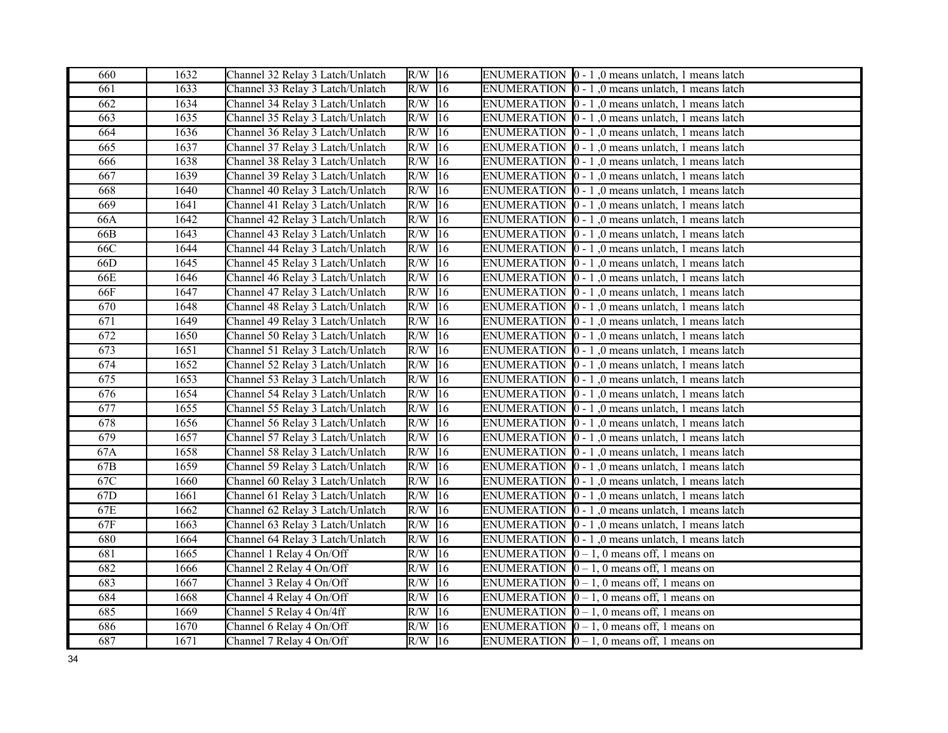| 660 | 1632 | Channel 32 Relay 3 Latch/Unlatch | $R/W$ 16            |              | ENUMERATION  0 - 1,0 means unlatch, 1 means latch                |
|-----|------|----------------------------------|---------------------|--------------|------------------------------------------------------------------|
| 661 | 1633 | Channel 33 Relay 3 Latch/Unlatch | $R/W$ 16            |              | ENUMERATION  0 - 1,0 means unlatch, 1 means latch                |
| 662 | 1634 | Channel 34 Relay 3 Latch/Unlatch | $R/W$ <sup>16</sup> |              | ENUMERATION $\vert 0 - 1 \vert$ , 0 means unlatch, 1 means latch |
| 663 | 1635 | Channel 35 Relay 3 Latch/Unlatch | R/W                 | 16           | ENUMERATION $\vert 0 - 1 \vert$ , 0 means unlatch, 1 means latch |
| 664 | 1636 | Channel 36 Relay 3 Latch/Unlatch | R/W                 | 16           | ENUMERATION $\vert 0 - 1 \vert$ , 0 means unlatch, 1 means latch |
| 665 | 1637 | Channel 37 Relay 3 Latch/Unlatch | R/W                 | 16           | ENUMERATION $\vert 0 - 1 \vert$ , 0 means unlatch, 1 means latch |
| 666 | 1638 | Channel 38 Relay 3 Latch/Unlatch | R/W                 | 16           | ENUMERATION 0 - 1,0 means unlatch, 1 means latch                 |
| 667 | 1639 | Channel 39 Relay 3 Latch/Unlatch | R/W                 | $\sqrt{16}$  | ENUMERATION $\vert 0 - 1 \vert$ , 0 means unlatch, 1 means latch |
| 668 | 1640 | Channel 40 Relay 3 Latch/Unlatch | R/W                 | 16           | ENUMERATION $\vert 0 - 1 \vert$ , 0 means unlatch, 1 means latch |
| 669 | 1641 | Channel 41 Relay 3 Latch/Unlatch | $R/W$ 16            |              | ENUMERATION $\vert 0 - 1 \vert$ , 0 means unlatch, 1 means latch |
| 66A | 1642 | Channel 42 Relay 3 Latch/Unlatch | R/W                 | 16           | ENUMERATION $\vert 0 - 1 \vert$ , 0 means unlatch, 1 means latch |
| 66B | 1643 | Channel 43 Relay 3 Latch/Unlatch | R/W                 | 16           | ENUMERATION $\vert 0 - 1 \vert$ , 0 means unlatch, 1 means latch |
| 66C | 1644 | Channel 44 Relay 3 Latch/Unlatch | R/W                 | 16           | ENUMERATION $\vert 0 - 1 \vert$ , 0 means unlatch, 1 means latch |
| 66D | 1645 | Channel 45 Relay 3 Latch/Unlatch | $\overline{R/W}$ 16 |              | ENUMERATION $\vert 0 - 1 \vert$ , 0 means unlatch, 1 means latch |
| 66E | 1646 | Channel 46 Relay 3 Latch/Unlatch | $R/W$ 16            |              | ENUMERATION $[0 - 1]$ , 0 means unlatch, 1 means latch           |
| 66F | 1647 | Channel 47 Relay 3 Latch/Unlatch | $R/W$ 16            |              | ENUMERATION $\vert 0 - 1 \vert$ , 0 means unlatch, 1 means latch |
| 670 | 1648 | Channel 48 Relay 3 Latch/Unlatch | R/W                 | 16           | ENUMERATION $\vert 0 - 1 \vert$ , 0 means unlatch, 1 means latch |
| 671 | 1649 | Channel 49 Relay 3 Latch/Unlatch | $R/W$ 16            |              | ENUMERATION $\vert 0 - 1 \vert$ , 0 means unlatch, 1 means latch |
| 672 | 1650 | Channel 50 Relay 3 Latch/Unlatch | $\overline{R/W}$    | $ 16\rangle$ | ENUMERATION $\vert 0 - 1 \vert$ , 0 means unlatch, 1 means latch |
| 673 | 1651 | Channel 51 Relay 3 Latch/Unlatch | R/W                 | 16           | ENUMERATION $\vert 0 - 1 \vert$ , 0 means unlatch, 1 means latch |
| 674 | 1652 | Channel 52 Relay 3 Latch/Unlatch | R/W                 | 16           | ENUMERATION $\vert 0 - 1 \vert$ , 0 means unlatch, 1 means latch |
| 675 | 1653 | Channel 53 Relay 3 Latch/Unlatch | R/W                 | 16           | ENUMERATION $\vert 0 - 1 \vert$ , 0 means unlatch, 1 means latch |
| 676 | 1654 | Channel 54 Relay 3 Latch/Unlatch | R/W                 | 16           | ENUMERATION $\vert 0 - 1 \vert$ , 0 means unlatch, 1 means latch |
| 677 | 1655 | Channel 55 Relay 3 Latch/Unlatch | R/W                 | 16           | ENUMERATION $\vert 0 - 1 \vert$ , 0 means unlatch, 1 means latch |
| 678 | 1656 | Channel 56 Relay 3 Latch/Unlatch | $R/W$ 16            |              | ENUMERATION $\vert 0 - 1 \vert$ , 0 means unlatch, 1 means latch |
| 679 | 1657 | Channel 57 Relay 3 Latch/Unlatch | R/W                 | 16           | ENUMERATION $\vert 0 - 1 \vert$ , 0 means unlatch, 1 means latch |
| 67A | 1658 | Channel 58 Relay 3 Latch/Unlatch | R/W                 | 16           | ENUMERATION $\vert 0 - 1 \vert$ , 0 means unlatch, 1 means latch |
| 67B | 1659 | Channel 59 Relay 3 Latch/Unlatch | R/W                 | 16           | ENUMERATION $\vert 0 - 1 \vert$ , 0 means unlatch, 1 means latch |
| 67C | 1660 | Channel 60 Relay 3 Latch/Unlatch | $R/W$ 16            |              | ENUMERATION $\vert 0 - 1 \vert$ , 0 means unlatch, 1 means latch |
| 67D | 1661 | Channel 61 Relay 3 Latch/Unlatch | $R/W$ 16            |              | ENUMERATION $[0 - 1]$ , 0 means unlatch, 1 means latch           |
| 67E | 1662 | Channel 62 Relay 3 Latch/Unlatch | $R/W$ 16            |              | ENUMERATION $\vert 0 - 1 \vert$ , 0 means unlatch, 1 means latch |
| 67F | 1663 | Channel 63 Relay 3 Latch/Unlatch | R/W                 | 16           | ENUMERATION $\vert 0 - 1 \vert$ , 0 means unlatch, 1 means latch |
| 680 | 1664 | Channel 64 Relay 3 Latch/Unlatch | $R/W$ 16            |              | ENUMERATION $\vert 0 - 1 \vert$ , 0 means unlatch, 1 means latch |
| 681 | 1665 | Channel 1 Relay 4 On/Off         | R/W                 | 16           | ENUMERATION $[0 - 1, 0$ means off, 1 means on                    |
| 682 | 1666 | Channel 2 Relay 4 On/Off         | R/W                 | 16           | ENUMERATION $[0 - 1, 0$ means off, 1 means on                    |
| 683 | 1667 | Channel 3 Relay 4 On/Off         | $R/W$ 16            |              | ENUMERATION $[0 - 1, 0$ means off, 1 means on                    |
| 684 | 1668 | Channel 4 Relay 4 On/Off         | $R/W$ 16            |              | ENUMERATION $[0 - 1, 0$ means off, 1 means on                    |
| 685 | 1669 | Channel 5 Relay 4 On/4ff         | $R/W$ 16            |              | ENUMERATION $[0 - 1, 0$ means off, 1 means on                    |
| 686 | 1670 | Channel 6 Relay 4 On/Off         | R/W                 | 16           | ENUMERATION $\vert 0-1, 0 \vert$ means off, 1 means on           |
| 687 | 1671 | Channel 7 Relay 4 On/Off         | $R/W$ 16            |              | ENUMERATION $\vert 0-1, 0 \vert$ means off, 1 means on           |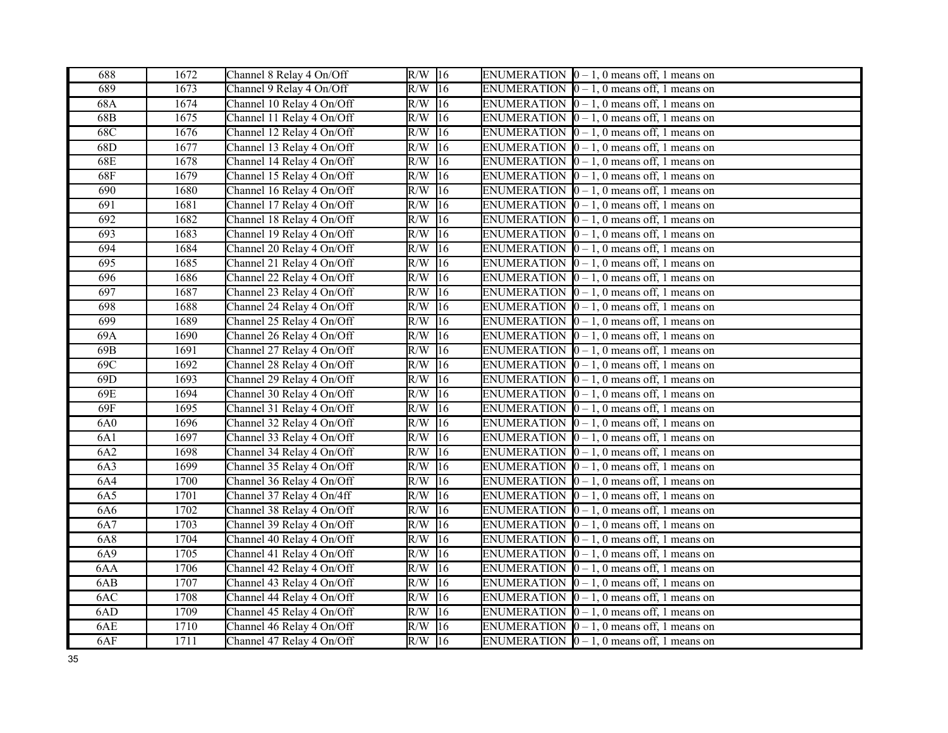| 688 | 1672              | Channel 8 Relay 4 On/Off  | $R/W$ 16 |              | ENUMERATION $[0 - 1, 0$ means off, 1 means on            |
|-----|-------------------|---------------------------|----------|--------------|----------------------------------------------------------|
| 689 | 1673              | Channel 9 Relay 4 On/Off  | $R/W$ 16 |              | ENUMERATION $\vert 0-1, 0 \rangle$ means off, 1 means on |
| 68A | 1674              | Channel 10 Relay 4 On/Off | $R/W$ 16 |              | ENUMERATION $[0 - 1, 0$ means off, 1 means on            |
| 68B | 1675              | Channel 11 Relay 4 On/Off | $R/W$ 16 |              | ENUMERATION $[0 - 1, 0$ means off, 1 means on            |
| 68C | 1676              | Channel 12 Relay 4 On/Off | $R/W$ 16 |              | ENUMERATION $[0 - 1, 0$ means off, 1 means on            |
| 68D | 1677              | Channel 13 Relay 4 On/Off | $R/W$ 16 |              | ENUMERATION $[0 - 1, 0$ means off, 1 means on            |
| 68E | 1678              | Channel 14 Relay 4 On/Off | R/W      | 16           | ENUMERATION $\vert 0-1, 0 \vert$ means off, 1 means on   |
| 68F | $\overline{1679}$ | Channel 15 Relay 4 On/Off | R/W      | $ 16\rangle$ | ENUMERATION $[0 - 1, 0$ means off, 1 means on            |
| 690 | 1680              | Channel 16 Relay 4 On/Off | R/W      | 16           | ENUMERATION $[0 - 1, 0$ means off, 1 means on            |
| 691 | 1681              | Channel 17 Relay 4 On/Off | $R/W$ 16 |              | ENUMERATION $\vert 0-1, 0 \vert$ means off, 1 means on   |
| 692 | 1682              | Channel 18 Relay 4 On/Off | $R/W$ 16 |              | ENUMERATION $[0 - 1, 0$ means off, 1 means on            |
| 693 | 1683              | Channel 19 Relay 4 On/Off | R/W      | 16           | ENUMERATION $\vert 0-1, 0 \vert$ means off, 1 means on   |
| 694 | 1684              | Channel 20 Relay 4 On/Off | $R/W$ 16 |              | ENUMERATION $[0 - 1, 0$ means off, 1 means on            |
| 695 | 1685              | Channel 21 Relay 4 On/Off | $R/W$ 16 |              | ENUMERATION $[0 - 1, 0$ means off, 1 means on            |
| 696 | 1686              | Channel 22 Relay 4 On/Off | $R/W$ 16 |              | ENUMERATION $\vert 0 - 1$ , 0 means off, 1 means on      |
| 697 | 1687              | Channel 23 Relay 4 On/Off | $R/W$ 16 |              | ENUMERATION $[0 - 1, 0$ means off, 1 means on            |
| 698 | 1688              | Channel 24 Relay 4 On/Off | $R/W$ 16 |              | ENUMERATION $[0 - 1, 0$ means off, 1 means on            |
| 699 | 1689              | Channel 25 Relay 4 On/Off | $R/W$ 16 |              | ENUMERATION $\vert 0 - 1$ , 0 means off, 1 means on      |
| 69A | 1690              | Channel 26 Relay 4 On/Off | R/W      | $\sqrt{16}$  | ENUMERATION $[0 - 1, 0$ means off, 1 means on            |
| 69B | 1691              | Channel 27 Relay 4 On/Off | $R/W$ 16 |              | ENUMERATION $[0 - 1, 0$ means off, 1 means on            |
| 69C | 1692              | Channel 28 Relay 4 On/Off | R/W      | 16           | ENUMERATION $\vert 0-1, 0 \vert$ means off, 1 means on   |
| 69D | 1693              | Channel 29 Relay 4 On/Off | R/W      | 16           | ENUMERATION $\vert 0-1, 0 \vert$ means off, 1 means on   |
| 69E | 1694              | Channel 30 Relay 4 On/Off | R/W      | 16           | ENUMERATION $\vert 0-1, 0 \vert$ means off, 1 means on   |
| 69F | 1695              | Channel 31 Relay 4 On/Off | R/W      | 16           | ENUMERATION $[0 - 1, 0$ means off, 1 means on            |
| 6A0 | 1696              | Channel 32 Relay 4 On/Off | $R/W$ 16 |              | ENUMERATION $\vert 0-1, 0 \vert$ means off, 1 means on   |
| 6A1 | 1697              | Channel 33 Relay 4 On/Off | $R/W$ 16 |              | ENUMERATION $[0 - 1, 0$ means off, 1 means on            |
| 6A2 | 1698              | Channel 34 Relay 4 On/Off | $R/W$ 16 |              | ENUMERATION $\vert 0 - 1, 0 \vert$ means off, 1 means on |
| 6A3 | 1699              | Channel 35 Relay 4 On/Off | $R/W$ 16 |              | ENUMERATION $[0 - 1, 0$ means off, 1 means on            |
| 6A4 | 1700              | Channel 36 Relay 4 On/Off | $R/W$ 16 |              | ENUMERATION $\vert 0-1, 0 \vert$ means off, 1 means on   |
| 6A5 | 1701              | Channel 37 Relay 4 On/4ff | $R/W$ 16 |              | ENUMERATION $[0 - 1, 0$ means off, 1 means on            |
| 6A6 | 1702              | Channel 38 Relay 4 On/Off | $R/W$ 16 |              | ENUMERATION $[0 - 1, 0$ means off, 1 means on            |
| 6A7 | 1703              | Channel 39 Relay 4 On/Off | R/W      | 16           | ENUMERATION $[0 - 1, 0$ means off, 1 means on            |
| 6A8 | 1704              | Channel 40 Relay 4 On/Off | $R/W$ 16 |              | ENUMERATION $[0 - 1, 0$ means off, 1 means on            |
| 6A9 | 1705              | Channel 41 Relay 4 On/Off | R/W      | 16           | ENUMERATION $[0 - 1, 0$ means off, 1 means on            |
| 6AA | 1706              | Channel 42 Relay 4 On/Off | R/W      | 16           | ENUMERATION $[0 - 1, 0$ means off, 1 means on            |
| 6AB | 1707              | Channel 43 Relay 4 On/Off | R/W      | 16           | ENUMERATION $\vert 0-1, 0 \vert$ means off, 1 means on   |
| 6AC | 1708              | Channel 44 Relay 4 On/Off | $R/W$ 16 |              | ENUMERATION $\vert 0-1, 0 \vert$ means off, 1 means on   |
| 6AD | 1709              | Channel 45 Relay 4 On/Off | $R/W$ 16 |              | ENUMERATION $[0 - 1, 0$ means off, 1 means on            |
| 6AE | 1710              | Channel 46 Relay 4 On/Off | R/W      | 16           | ENUMERATION $\vert 0-1, 0 \vert$ means off, 1 means on   |
| 6AF | 1711              | Channel 47 Relay 4 On/Off | $R/W$ 16 |              | ENUMERATION $\vert 0-1, 0 \vert$ means off, 1 means on   |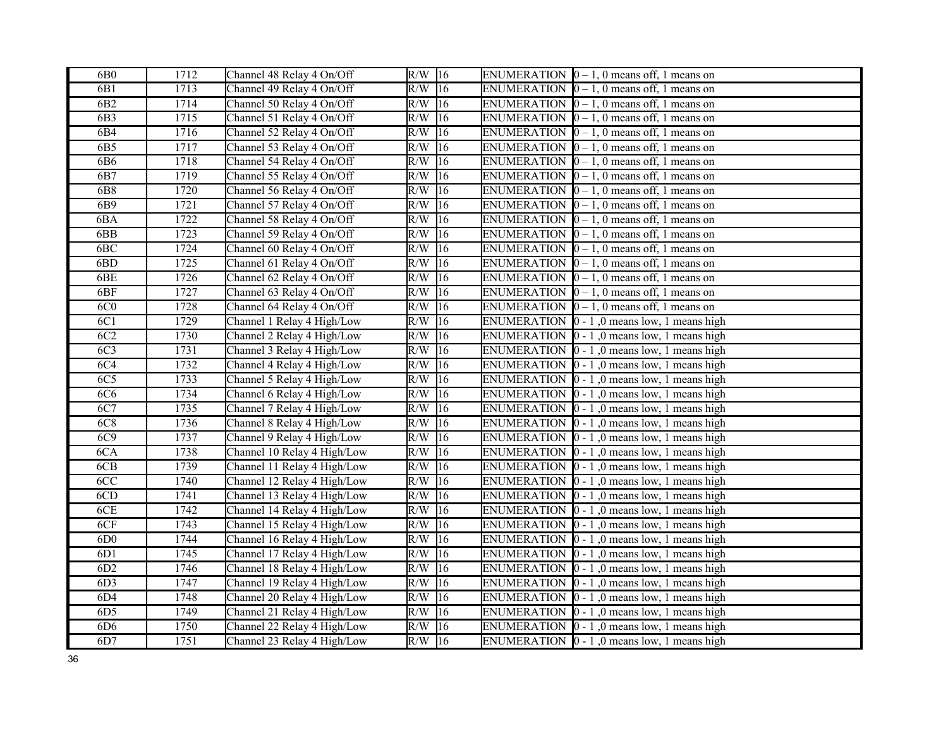| 6B0             | 1712              | Channel 48 Relay 4 On/Off   | $\overline{R/W}$ 16    | ENUMERATION $[0 - 1, 0$ means off, 1 means on               |
|-----------------|-------------------|-----------------------------|------------------------|-------------------------------------------------------------|
| 6B1             | 1713              | Channel 49 Relay 4 On/Off   | $R/W$ 16               | ENUMERATION $[0 - 1, 0$ means off, 1 means on               |
| 6B <sub>2</sub> | 1714              | Channel 50 Relay 4 On/Off   | $R/W$ 16               | ENUMERATION $\vert 0-1, 0 \vert$ means off, 1 means on      |
| 6B3             | 1715              | Channel 51 Relay 4 On/Off   | $R/W$ 16               | ENUMERATION $\vert 0-1, 0 \vert$ means off, 1 means on      |
| 6B4             | 1716              | Channel 52 Relay 4 On/Off   | R/W<br>16              | ENUMERATION $[0 - 1, 0$ means off, 1 means on               |
| 6B5             | 1717              | Channel 53 Relay 4 On/Off   | $R/W$ 16               | ENUMERATION $\vert 0-1, 0 \vert$ means off, 1 means on      |
| 6B6             | 1718              | Channel 54 Relay 4 On/Off   | 16<br>R/W              | ENUMERATION $[0 - 1, 0$ means off, 1 means on               |
| 6B7             | 1719              | Channel 55 Relay 4 On/Off   | R/W<br>16              | ENUMERATION $\vert 0-1, 0 \vert$ means off, 1 means on      |
| 6B8             | 1720              | Channel 56 Relay 4 On/Off   | R/W<br>16              | ENUMERATION $\vert 0 - 1$ , 0 means off, 1 means on         |
| 6B9             | 1721              | Channel 57 Relay 4 On/Off   | $R/W$ 16               | ENUMERATION $\vert 0-1, 0 \vert$ means off, 1 means on      |
| 6BA             | 1722              | Channel 58 Relay 4 On/Off   | $R/W$ 16               | ENUMERATION $\vert 0-1, 0 \vert$ means off, 1 means on      |
| 6BB             | 1723              | Channel 59 Relay 4 On/Off   | R/W<br>16              | ENUMERATION $[0 - 1, 0$ means off, 1 means on               |
| 6BC             | 1724              | Channel 60 Relay 4 On/Off   | R/W<br>16              | ENUMERATION $[0 - 1, 0$ means off, 1 means on               |
| 6BD             | 1725              | Channel 61 Relay 4 On/Off   | $R/W$ 16               | ENUMERATION $[0 - 1, 0$ means off, 1 means on               |
| 6BE             | 1726              | Channel 62 Relay 4 On/Off   | $R/W$ 16               | ENUMERATION $\vert 0-1, 0 \vert$ means off, 1 means on      |
| 6BF             | 1727              | Channel 63 Relay 4 On/Off   | $R/W$ 16               | ENUMERATION $[0 - 1, 0$ means off, 1 means on               |
| 6C <sub>0</sub> | 1728              | Channel 64 Relay 4 On/Off   | $R/W$ 16               | ENUMERATION $[0 - 1, 0$ means off, 1 means on               |
| 6C1             | 1729              | Channel 1 Relay 4 High/Low  | $R/W$ 16               | ENUMERATION $\vert 0 - 1 \vert$ , 0 means low, 1 means high |
| 6C2             | 1730              | Channel 2 Relay 4 High/Low  | $R/W$ 16               | ENUMERATION $\vert 0 - 1 \vert$ , 0 means low, 1 means high |
| 6C <sub>3</sub> | 1731              | Channel 3 Relay 4 High/Low  | R/W<br>16              | ENUMERATION $\vert 0 - 1 \vert$ , 0 means low, 1 means high |
| 6C4             | 1732              | Channel 4 Relay 4 High/Low  | R/W<br> 16             | ENUMERATION $\vert 0 - 1 \vert$ , 0 means low, 1 means high |
| 6C <sub>5</sub> | 1733              | Channel 5 Relay 4 High/Low  | $R/W$ 16               | ENUMERATION $\vert 0 - 1 \vert$ , 0 means low, 1 means high |
| 6C6             | 1734              | Channel 6 Relay 4 High/Low  | $R/W$ 16               | ENUMERATION $\vert 0 - 1 \vert$ , 0 means low, 1 means high |
| 6C7             | 1735              | Channel 7 Relay 4 High/Low  | R/W<br>16              | ENUMERATION $\vert 0 - 1 \vert$ , 0 means low, 1 means high |
| 6C8             | 1736              | Channel 8 Relay 4 High/Low  | $R/W$ 16               | ENUMERATION $\vert 0 - 1 \vert$ , 0 means low, 1 means high |
| 6C9             | 1737              | Channel 9 Relay 4 High/Low  | $R/W$ 16               | ENUMERATION $\vert 0 - 1 \vert$ , 0 means low, 1 means high |
| 6CA             | 1738              | Channel 10 Relay 4 High/Low | R/W<br>16              | ENUMERATION $\vert 0 - 1 \vert$ , 0 means low, 1 means high |
| 6CB             | 1739              | Channel 11 Relay 4 High/Low | R/W<br>16              | ENUMERATION $[0 - 1, 0$ means low, 1 means high             |
| 6CC             | 1740              | Channel 12 Relay 4 High/Low | $R/W$ 16               | ENUMERATION $\vert 0 - 1 \vert$ , 0 means low, 1 means high |
| 6CD             | $\overline{174}1$ | Channel 13 Relay 4 High/Low | $R/W$ 16               | ENUMERATION $\vert 0 - 1 \vert$ , 0 means low, 1 means high |
| 6CE             | 1742              | Channel 14 Relay 4 High/Low | $R/W$ 16               | ENUMERATION $[0 - 1, 0$ means low, 1 means high             |
| 6CF             | 1743              | Channel 15 Relay 4 High/Low | $R/W$ 16               | ENUMERATION $\vert 0 - 1 \vert$ , 0 means low, 1 means high |
| 6D <sub>0</sub> | 1744              | Channel 16 Relay 4 High/Low | $R/W$ 16               | ENUMERATION $\vert 0 - 1 \vert$ , 0 means low, 1 means high |
| 6D1             | 1745              | Channel 17 Relay 4 High/Low | $R/W$ 16               | ENUMERATION $\vert 0 - 1 \vert$ , 0 means low, 1 means high |
| 6D2             | 1746              | Channel 18 Relay 4 High/Low | R/W<br>16              | ENUMERATION $\vert 0 - 1 \vert$ , 0 means low, 1 means high |
| 6D <sub>3</sub> | 1747              | Channel 19 Relay 4 High/Low | R/W<br>16              | ENUMERATION $\vert 0 - 1 \vert$ , 0 means low, 1 means high |
| 6D4             | 1748              | Channel 20 Relay 4 High/Low | $\overline{R/W}$<br>16 | ENUMERATION $\vert 0 - 1 \vert$ , 0 means low, 1 means high |
| 6D5             | 1749              | Channel 21 Relay 4 High/Low | $R/W$ 16               | ENUMERATION $\vert 0 - 1 \vert$ , 0 means low, 1 means high |
| 6D6             | 1750              | Channel 22 Relay 4 High/Low | $R/W$ 16               | ENUMERATION $\vert 0 - 1 \vert$ , 0 means low, 1 means high |
| 6D7             | 1751              | Channel 23 Relay 4 High/Low | $R/W$ 16               | ENUMERATION $\vert 0 - 1 \vert$ , 0 means low, 1 means high |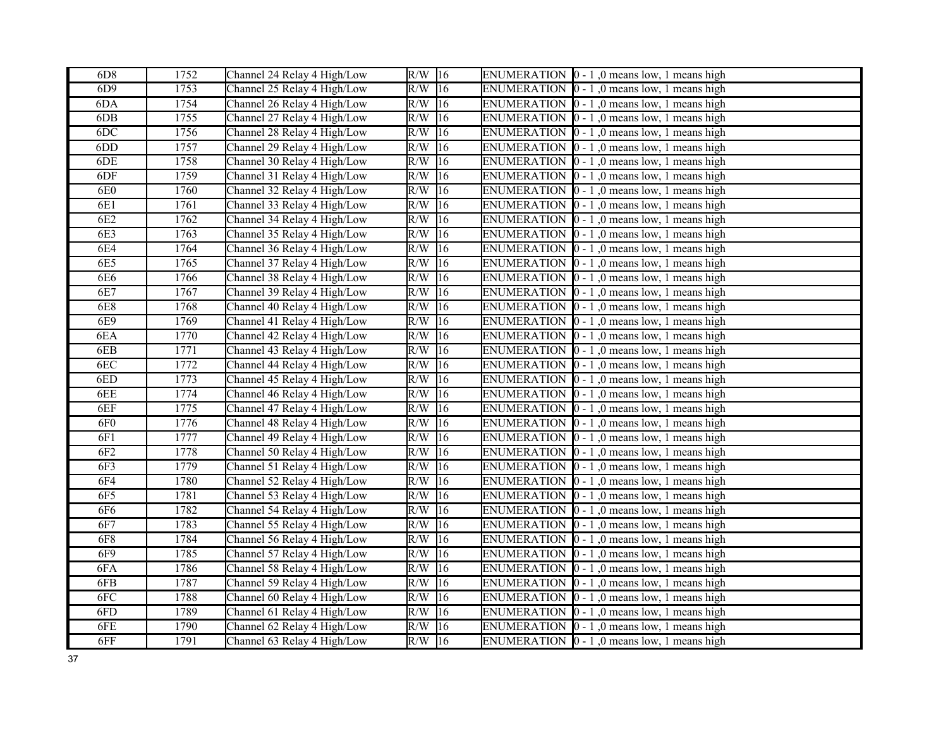| 6D <sub>8</sub> | 1752 | Channel 24 Relay 4 High/Low | $R/W$ 16            | ENUMERATION $\vert 0 - 1 \vert$ , 0 means low, 1 means high |
|-----------------|------|-----------------------------|---------------------|-------------------------------------------------------------|
| 6D9             | 1753 | Channel 25 Relay 4 High/Low | $R/W$ 16            | ENUMERATION $\vert 0 - 1 \vert$ , 0 means low, 1 means high |
| 6DA             | 1754 | Channel 26 Relay 4 High/Low | $R/W$ 16            | ENUMERATION $\vert 0 - 1 \vert$ , 0 means low, 1 means high |
| 6DB             | 1755 | Channel 27 Relay 4 High/Low | R/W<br>16           | ENUMERATION $\vert 0 - 1 \vert$ , 0 means low, 1 means high |
| 6DC             | 1756 | Channel 28 Relay 4 High/Low | R/W<br>16           | ENUMERATION $\vert 0 - 1 \vert$ , 0 means low, 1 means high |
| 6DD             | 1757 | Channel 29 Relay 4 High/Low | R/W<br>16           | ENUMERATION $\vert 0 - 1 \vert$ , 0 means low, 1 means high |
| 6DE             | 1758 | Channel 30 Relay 4 High/Low | R/W<br> 16          | ENUMERATION $[0 - 1]$ , 0 means low, 1 means high           |
| 6DF             | 1759 | Channel 31 Relay 4 High/Low | R/W<br>16           | ENUMERATION $[0 - 1, 0$ means low, 1 means high             |
| 6E0             | 1760 | Channel 32 Relay 4 High/Low | R/W<br> 16          | ENUMERATION $[0 - 1]$ , 0 means low, 1 means high           |
| 6E1             | 1761 | Channel 33 Relay 4 High/Low | R/W<br>16           | ENUMERATION $\vert 0 - 1 \vert$ , 0 means low, 1 means high |
| 6E2             | 1762 | Channel 34 Relay 4 High/Low | $R/W$ 16            | ENUMERATION $\vert 0 - 1 \vert$ , 0 means low, 1 means high |
| 6E3             | 1763 | Channel 35 Relay 4 High/Low | R/W<br> 16          | ENUMERATION $\vert 0 - 1 \vert$ , 0 means low, 1 means high |
| 6E4             | 1764 | Channel 36 Relay 4 High/Low | R/W<br> 16          | ENUMERATION $\vert 0 - 1 \vert$ , 0 means low, 1 means high |
| 6E5             | 1765 | Channel 37 Relay 4 High/Low | $R/W$ 16            | ENUMERATION $[0 - 1]$ , 0 means low, 1 means high           |
| 6E6             | 1766 | Channel 38 Relay 4 High/Low | $R/W$ 16            | ENUMERATION $\vert 0 - 1 \vert$ , 0 means low, 1 means high |
| 6E7             | 1767 | Channel 39 Relay 4 High/Low | $R/W$ 16            | ENUMERATION $[0 - 1, 0$ means low, 1 means high             |
| <b>6E8</b>      | 1768 | Channel 40 Relay 4 High/Low | R/W<br> 16          | ENUMERATION $[0 - 1]$ , 0 means low, 1 means high           |
| 6E9             | 1769 | Channel 41 Relay 4 High/Low | $R/W$ 16            | ENUMERATION $\vert 0 - 1 \vert$ , 0 means low, 1 means high |
| 6EA             | 1770 | Channel 42 Relay 4 High/Low | R/W<br>16           | ENUMERATION $[0 - 1]$ , 0 means low, 1 means high           |
| 6EB             | 1771 | Channel 43 Relay 4 High/Low | R/W<br> 16          | ENUMERATION $\vert 0 - 1 \vert$ , 0 means low, 1 means high |
| 6EC             | 1772 | Channel 44 Relay 4 High/Low | R/W<br> 16          | ENUMERATION $\vert 0 - 1 \vert$ , 0 means low, 1 means high |
| 6ED             | 1773 | Channel 45 Relay 4 High/Low | R/W<br>16           | ENUMERATION $\vert 0 - 1 \vert$ , 0 means low, 1 means high |
| 6EE             | 1774 | Channel 46 Relay 4 High/Low | R/W<br>$ 16\rangle$ | ENUMERATION $\vert 0 - 1 \vert$ , 0 means low, 1 means high |
| 6EF             | 1775 | Channel 47 Relay 4 High/Low | R/W<br> 16          | ENUMERATION $\vert 0 - 1 \vert$ , 0 means low, 1 means high |
| 6F <sub>0</sub> | 1776 | Channel 48 Relay 4 High/Low | R/W<br> 16          | ENUMERATION $\vert 0 - 1 \vert$ , 0 means low, 1 means high |
| 6F1             | 1777 | Channel 49 Relay 4 High/Low | R/W<br>16           | ENUMERATION $\vert 0 - 1 \vert$ , 0 means low, 1 means high |
| 6F <sub>2</sub> | 1778 | Channel 50 Relay 4 High/Low | R/W<br> 16          | ENUMERATION $\vert 0 - 1 \vert$ , 0 means low, 1 means high |
| 6F3             | 1779 | Channel 51 Relay 4 High/Low | R/W<br> 16          | ENUMERATION $[0 - 1, 0$ means low, 1 means high             |
| <b>6F4</b>      | 1780 | Channel 52 Relay 4 High/Low | R/W<br> 16          | ENUMERATION $\vert 0 - 1 \vert$ , 0 means low, 1 means high |
| 6F5             | 1781 | Channel 53 Relay 4 High/Low | $R/W$ 16            | ENUMERATION $\vert 0 - 1 \vert$ , 0 means low, 1 means high |
| 6F6             | 1782 | Channel 54 Relay 4 High/Low | $R/W$ 16            | ENUMERATION $[0 - 1, 0$ means low, 1 means high             |
| 6F7             | 1783 | Channel 55 Relay 4 High/Low | R/W<br>16           | ENUMERATION $\vert 0 - 1 \vert$ , 0 means low, 1 means high |
| <b>6F8</b>      | 1784 | Channel 56 Relay 4 High/Low | R/W<br> 16          | ENUMERATION $\vert 0 - 1 \vert$ , 0 means low, 1 means high |
| 6F9             | 1785 | Channel 57 Relay 4 High/Low | $R/W$ 16            | ENUMERATION $\vert 0 - 1 \vert$ , 0 means low, 1 means high |
| 6FA             | 1786 | Channel 58 Relay 4 High/Low | R/W<br>16           | ENUMERATION $\vert 0 - 1 \vert$ , 0 means low, 1 means high |
| 6FB             | 1787 | Channel 59 Relay 4 High/Low | R/W<br> 16          | <b>ENUMERATION</b><br>$[0 - 1]$ , 0 means low, 1 means high |
| 6FC             | 1788 | Channel 60 Relay 4 High/Low | R/W<br> 16          | ENUMERATION $\vert 0 - 1 \vert$ , 0 means low, 1 means high |
| 6FD             | 1789 | Channel 61 Relay 4 High/Low | R/W<br> 16          | ENUMERATION $[0 - 1]$ , 0 means low, 1 means high           |
| 6FE             | 1790 | Channel 62 Relay 4 High/Low | 16<br>R/W           | ENUMERATION $\vert 0 - 1 \vert$ , 0 means low, 1 means high |
| 6FF             | 1791 | Channel 63 Relay 4 High/Low | $R/W$ 16            | ENUMERATION $\vert 0 - 1 \vert$ , 0 means low, 1 means high |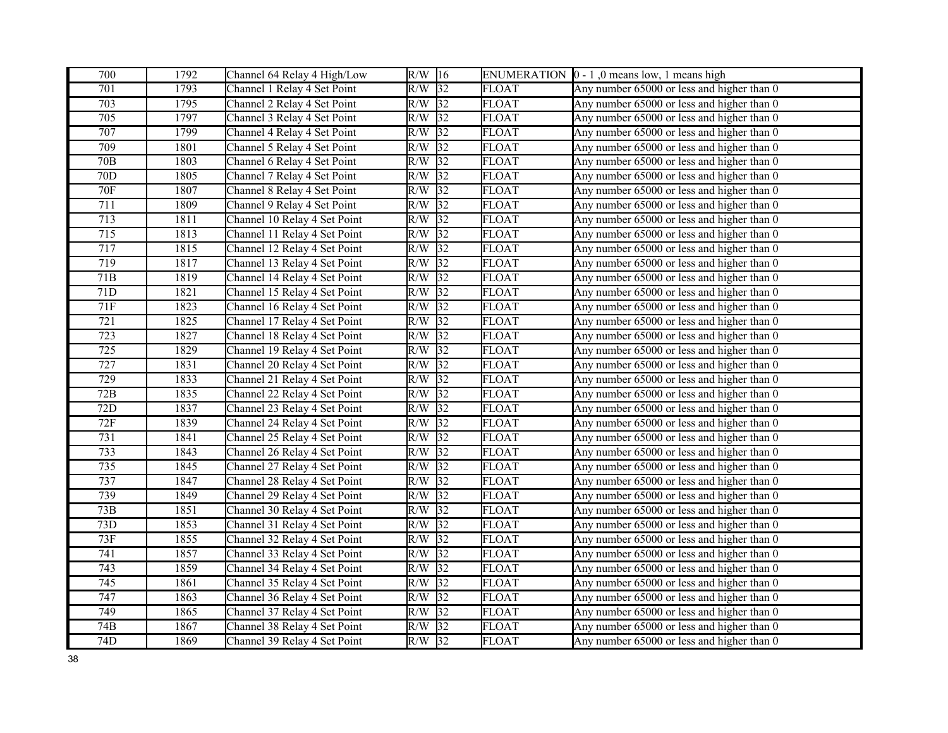| 700              | 1792 | Channel 64 Relay 4 High/Low  | $R/W$ 16 |                 |              | ENUMERATION $\vert 0 - 1 \vert$ , 0 means low, 1 means high |
|------------------|------|------------------------------|----------|-----------------|--------------|-------------------------------------------------------------|
| 701              | 1793 | Channel 1 Relay 4 Set Point  | R/W      | $\overline{32}$ | <b>FLOAT</b> | Any number 65000 or less and higher than 0                  |
| $\overline{703}$ | 1795 | Channel 2 Relay 4 Set Point  | R/W      | $\sqrt{32}$     | <b>FLOAT</b> | Any number 65000 or less and higher than 0                  |
| 705              | 1797 | Channel 3 Relay 4 Set Point  | R/W      | 32              | <b>FLOAT</b> | Any number 65000 or less and higher than 0                  |
| 707              | 1799 | Channel 4 Relay 4 Set Point  | R/W      | 32              | <b>FLOAT</b> | Any number 65000 or less and higher than 0                  |
| 709              | 1801 | Channel 5 Relay 4 Set Point  | R/W      | 32              | <b>FLOAT</b> | Any number 65000 or less and higher than 0                  |
| 70 <sub>B</sub>  | 1803 | Channel 6 Relay 4 Set Point  | R/W      | 32              | <b>FLOAT</b> | Any number 65000 or less and higher than 0                  |
| 70 <sub>D</sub>  | 1805 | Channel 7 Relay 4 Set Point  | R/W      | $\sqrt{32}$     | <b>FLOAT</b> | Any number 65000 or less and higher than 0                  |
| <b>70F</b>       | 1807 | Channel 8 Relay 4 Set Point  | R/W      | 32              | <b>FLOAT</b> | Any number 65000 or less and higher than 0                  |
| 711              | 1809 | Channel 9 Relay 4 Set Point  | R/W      | 32              | <b>FLOAT</b> | Any number 65000 or less and higher than 0                  |
| 713              | 1811 | Channel 10 Relay 4 Set Point | R/W      | $\sqrt{32}$     | <b>FLOAT</b> | Any number 65000 or less and higher than 0                  |
| 715              | 1813 | Channel 11 Relay 4 Set Point | R/W      | 32              | <b>FLOAT</b> | Any number 65000 or less and higher than 0                  |
| 717              | 1815 | Channel 12 Relay 4 Set Point | R/W      | 32              | <b>FLOAT</b> | Any number 65000 or less and higher than 0                  |
| 719              | 1817 | Channel 13 Relay 4 Set Point | R/W      | 32              | <b>FLOAT</b> | Any number 65000 or less and higher than 0                  |
| 71B              | 1819 | Channel 14 Relay 4 Set Point | R/W      | 32              | <b>FLOAT</b> | Any number 65000 or less and higher than 0                  |
| $71D$            | 1821 | Channel 15 Relay 4 Set Point | R/W      | 32              | <b>FLOAT</b> | Any number 65000 or less and higher than 0                  |
| 71F              | 1823 | Channel 16 Relay 4 Set Point | R/W      | $\sqrt{32}$     | <b>FLOAT</b> | Any number 65000 or less and higher than 0                  |
| 721              | 1825 | Channel 17 Relay 4 Set Point | R/W      | 32              | <b>FLOAT</b> | Any number 65000 or less and higher than 0                  |
| 723              | 1827 | Channel 18 Relay 4 Set Point | R/W      | $\overline{32}$ | <b>FLOAT</b> | Any number 65000 or less and higher than 0                  |
| 725              | 1829 | Channel 19 Relay 4 Set Point | R/W      | 32              | <b>FLOAT</b> | Any number 65000 or less and higher than 0                  |
| 727              | 1831 | Channel 20 Relay 4 Set Point | R/W      | 32              | <b>FLOAT</b> | Any number 65000 or less and higher than 0                  |
| 729              | 1833 | Channel 21 Relay 4 Set Point | R/W      | 32              | <b>FLOAT</b> | Any number 65000 or less and higher than 0                  |
| 72B              | 1835 | Channel 22 Relay 4 Set Point | R/W      | $\sqrt{32}$     | <b>FLOAT</b> | Any number 65000 or less and higher than 0                  |
| 72D              | 1837 | Channel 23 Relay 4 Set Point | R/W      | 32              | <b>FLOAT</b> | Any number 65000 or less and higher than 0                  |
| 72F              | 1839 | Channel 24 Relay 4 Set Point | R/W      | 32              | <b>FLOAT</b> | Any number 65000 or less and higher than 0                  |
| $\overline{731}$ | 1841 | Channel 25 Relay 4 Set Point | R/W      | $\sqrt{32}$     | <b>FLOAT</b> | Any number 65000 or less and higher than 0                  |
| 733              | 1843 | Channel 26 Relay 4 Set Point | R/W      | $\overline{32}$ | <b>FLOAT</b> | Any number 65000 or less and higher than 0                  |
| 735              | 1845 | Channel 27 Relay 4 Set Point | R/W      | $\sqrt{32}$     | <b>FLOAT</b> | Any number 65000 or less and higher than 0                  |
| 737              | 1847 | Channel 28 Relay 4 Set Point | R/W      | 32              | <b>FLOAT</b> | Any number 65000 or less and higher than 0                  |
| 739              | 1849 | Channel 29 Relay 4 Set Point | R/W      | 32              | FLOAT        | Any number 65000 or less and higher than 0                  |
| 73B              | 1851 | Channel 30 Relay 4 Set Point | R/W      | $\sqrt{32}$     | <b>FLOAT</b> | Any number 65000 or less and higher than 0                  |
| 73D              | 1853 | Channel 31 Relay 4 Set Point | R/W      | 32              | <b>FLOAT</b> | Any number 65000 or less and higher than 0                  |
| 73F              | 1855 | Channel 32 Relay 4 Set Point | R/W      | $\overline{32}$ | <b>FLOAT</b> | Any number 65000 or less and higher than 0                  |
| 741              | 1857 | Channel 33 Relay 4 Set Point | R/W      | $\sqrt{32}$     | <b>FLOAT</b> | Any number 65000 or less and higher than 0                  |
| 743              | 1859 | Channel 34 Relay 4 Set Point | R/W      | $\overline{32}$ | <b>FLOAT</b> | Any number 65000 or less and higher than 0                  |
| 745              | 1861 | Channel 35 Relay 4 Set Point | R/W      | $\sqrt{32}$     | <b>FLOAT</b> | Any number 65000 or less and higher than 0                  |
| 747              | 1863 | Channel 36 Relay 4 Set Point | R/W      | $\sqrt{32}$     | <b>FLOAT</b> | Any number 65000 or less and higher than 0                  |
| 749              | 1865 | Channel 37 Relay 4 Set Point | R/W      | 32              | <b>FLOAT</b> | Any number 65000 or less and higher than 0                  |
| 74B              | 1867 | Channel 38 Relay 4 Set Point | R/W      | $\overline{32}$ | <b>FLOAT</b> | Any number 65000 or less and higher than 0                  |
| 74D              | 1869 | Channel 39 Relay 4 Set Point | $R/W$ 32 |                 | <b>FLOAT</b> | Any number 65000 or less and higher than 0                  |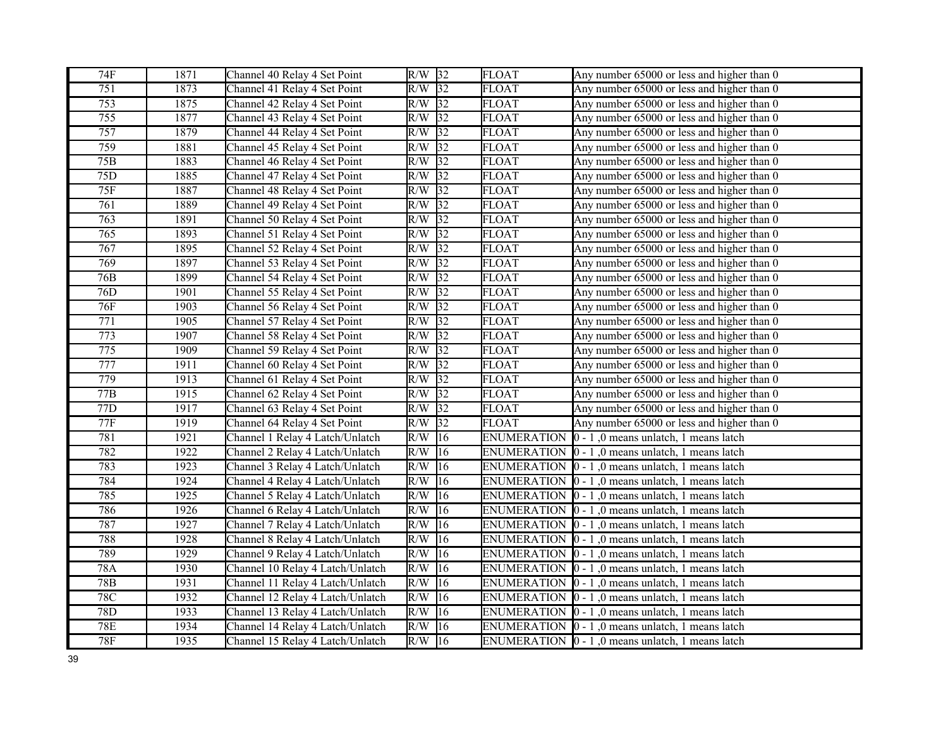| 74F              | 1871 | Channel 40 Relay 4 Set Point     | $R/W$ 32 |                 | <b>FLOAT</b>       | Any number 65000 or less and higher than 0                       |
|------------------|------|----------------------------------|----------|-----------------|--------------------|------------------------------------------------------------------|
| 751              | 1873 | Channel 41 Relay 4 Set Point     | $R/W$ 32 |                 | <b>FLOAT</b>       | Any number 65000 or less and higher than 0                       |
| $\overline{753}$ | 1875 | Channel 42 Relay 4 Set Point     | $R/W$ 32 |                 | <b>FLOAT</b>       | Any number 65000 or less and higher than 0                       |
| 755              | 1877 | Channel 43 Relay 4 Set Point     | R/W      | $\overline{32}$ | <b>FLOAT</b>       | Any number 65000 or less and higher than 0                       |
| 757              | 1879 | Channel 44 Relay 4 Set Point     | $R/W$ 32 |                 | <b>FLOAT</b>       | Any number 65000 or less and higher than 0                       |
| 759              | 1881 | Channel 45 Relay 4 Set Point     | $R/W$ 32 |                 | <b>FLOAT</b>       | Any number 65000 or less and higher than 0                       |
| 75B              | 1883 | Channel 46 Relay 4 Set Point     | $R/W$ 32 |                 | <b>FLOAT</b>       | Any number 65000 or less and higher than 0                       |
| 75D              | 1885 | Channel 47 Relay 4 Set Point     | R/W      | $\overline{32}$ | <b>FLOAT</b>       | Any number 65000 or less and higher than 0                       |
| <b>75F</b>       | 1887 | Channel 48 Relay 4 Set Point     | R/W      | 32              | <b>FLOAT</b>       | Any number 65000 or less and higher than 0                       |
| 761              | 1889 | Channel 49 Relay 4 Set Point     | R/W      | 32              | <b>FLOAT</b>       | Any number 65000 or less and higher than 0                       |
| 763              | 1891 | Channel 50 Relay 4 Set Point     | R/W      | $\sqrt{32}$     | <b>FLOAT</b>       | Any number 65000 or less and higher than 0                       |
| 765              | 1893 | Channel 51 Relay 4 Set Point     | R/W      | 32              | <b>FLOAT</b>       | Any number 65000 or less and higher than 0                       |
| 767              | 1895 | Channel 52 Relay 4 Set Point     | $R/W$ 32 |                 | <b>FLOAT</b>       | Any number 65000 or less and higher than 0                       |
| 769              | 1897 | Channel 53 Relay 4 Set Point     | $R/W$ 32 |                 | <b>FLOAT</b>       | Any number 65000 or less and higher than 0                       |
| 76B              | 1899 | Channel 54 Relay 4 Set Point     | $R/W$ 32 |                 | <b>FLOAT</b>       | Any number 65000 or less and higher than 0                       |
| 76D              | 1901 | Channel 55 Relay 4 Set Point     | R/W      | $\overline{32}$ | <b>FLOAT</b>       | Any number 65000 or less and higher than 0                       |
| 76F              | 1903 | Channel 56 Relay 4 Set Point     | R/W      | $\sqrt{32}$     | <b>FLOAT</b>       | Any number 65000 or less and higher than 0                       |
| 771              | 1905 | Channel 57 Relay 4 Set Point     | R/W      | $\sqrt{32}$     | <b>FLOAT</b>       | Any number 65000 or less and higher than 0                       |
| 773              | 1907 | Channel 58 Relay 4 Set Point     | R/W      | $\sqrt{32}$     | <b>FLOAT</b>       | Any number 65000 or less and higher than 0                       |
| 775              | 1909 | Channel 59 Relay 4 Set Point     | R/W      | $\sqrt{32}$     | <b>FLOAT</b>       | Any number 65000 or less and higher than 0                       |
| 777              | 1911 | Channel 60 Relay 4 Set Point     | R/W      | 32              | <b>FLOAT</b>       | Any number 65000 or less and higher than 0                       |
| 779              | 1913 | Channel 61 Relay 4 Set Point     | $R/W$ 32 |                 | <b>FLOAT</b>       | Any number 65000 or less and higher than 0                       |
| 77B              | 1915 | Channel 62 Relay 4 Set Point     | R/W      | $\overline{32}$ | <b>FLOAT</b>       | Any number 65000 or less and higher than 0                       |
| 77D              | 1917 | Channel 63 Relay 4 Set Point     | R/W      | 32              | <b>FLOAT</b>       | Any number 65000 or less and higher than 0                       |
| 77F              | 1919 | Channel 64 Relay 4 Set Point     | R/W      | $\overline{32}$ | <b>FLOAT</b>       | Any number 65000 or less and higher than 0                       |
| 781              | 1921 | Channel 1 Relay 4 Latch/Unlatch  | R/W      | 16              | <b>ENUMERATION</b> | $[0 - 1]$ , 0 means unlatch, 1 means latch                       |
| 782              | 1922 | Channel 2 Relay 4 Latch/Unlatch  | R/W      | 16              | <b>ENUMERATION</b> | $ 0 - 1 $ , 0 means unlatch, 1 means latch                       |
| 783              | 1923 | Channel 3 Relay 4 Latch/Unlatch  | R/W      | 16              |                    | ENUMERATION $\vert 0 - 1 \vert$ , 0 means unlatch, 1 means latch |
| 784              | 1924 | Channel 4 Relay 4 Latch/Unlatch  | R/W      | 16              |                    | ENUMERATION $\vert 0 - 1 \vert$ , 0 means unlatch, 1 means latch |
| 785              | 1925 | Channel 5 Relay 4 Latch/Unlatch  | R/W      | 16              |                    | ENUMERATION $\vert 0 - 1 \vert$ , 0 means unlatch, 1 means latch |
| 786              | 1926 | Channel 6 Relay 4 Latch/Unlatch  | R/W      | 16              |                    | ENUMERATION $\vert 0 - 1 \vert$ , 0 means unlatch, 1 means latch |
| 787              | 1927 | Channel 7 Relay 4 Latch/Unlatch  | R/W      | 16              |                    | ENUMERATION $\vert 0 - 1 \vert$ , 0 means unlatch, 1 means latch |
| 788              | 1928 | Channel 8 Relay 4 Latch/Unlatch  | R/W      | 16              |                    | ENUMERATION $\vert 0 - 1 \vert$ , 0 means unlatch, 1 means latch |
| 789              | 1929 | Channel 9 Relay 4 Latch/Unlatch  | R/W      | 16              |                    | ENUMERATION  0 - 1,0 means unlatch, 1 means latch                |
| 78A              | 1930 | Channel 10 Relay 4 Latch/Unlatch | R/W      | 16              |                    | ENUMERATION $\vert 0 - 1 \vert$ , 0 means unlatch, 1 means latch |
| 78B              | 1931 | Channel 11 Relay 4 Latch/Unlatch | R/W      | 16              |                    | ENUMERATION $\vert 0 - 1 \vert$ , 0 means unlatch, 1 means latch |
| 78C              | 1932 | Channel 12 Relay 4 Latch/Unlatch | R/W      | 16              |                    | ENUMERATION $\vert 0 - 1 \vert$ , 0 means unlatch, 1 means latch |
| 78D              | 1933 | Channel 13 Relay 4 Latch/Unlatch | R/W      | $ 16\rangle$    |                    | ENUMERATION $\vert 0 - 1 \vert$ , 0 means unlatch, 1 means latch |
| <b>78E</b>       | 1934 | Channel 14 Relay 4 Latch/Unlatch | R/W      | 16              |                    | ENUMERATION  0 - 1,0 means unlatch, 1 means latch                |
| 78F              | 1935 | Channel 15 Relay 4 Latch/Unlatch | $R/W$ 16 |                 |                    | ENUMERATION $\vert 0 - 1 \vert$ , 0 means unlatch, 1 means latch |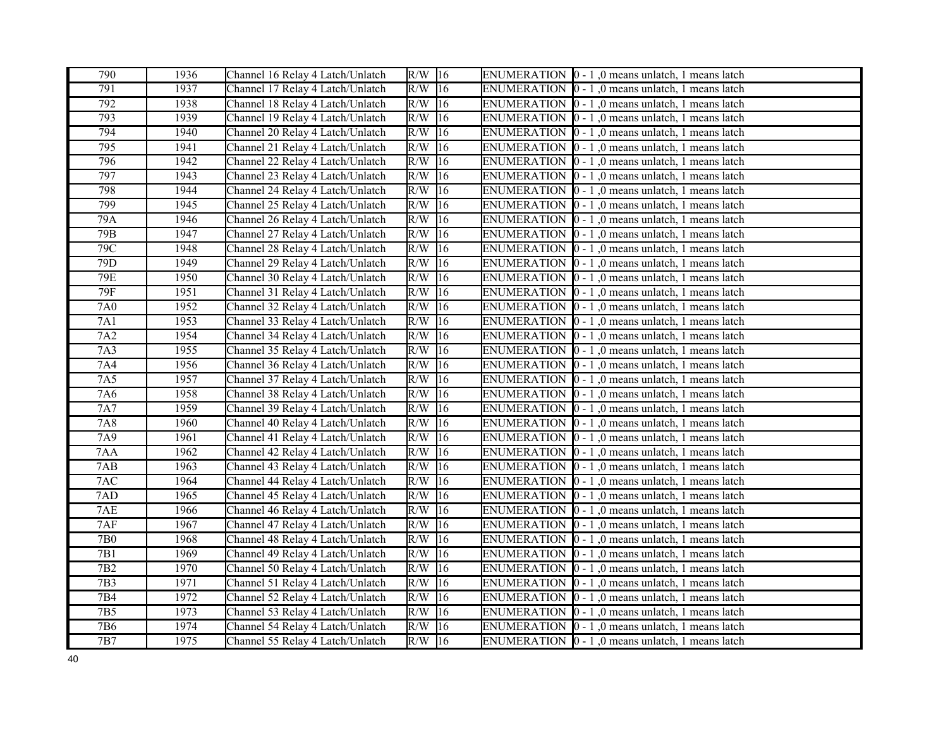| 790              | 1936        | Channel 16 Relay 4 Latch/Unlatch | $R/W$ 16            |              | ENUMERATION $\vert 0 - 1 \vert$ , 0 means unlatch, 1 means latch |
|------------------|-------------|----------------------------------|---------------------|--------------|------------------------------------------------------------------|
| $\overline{791}$ | 1937        | Channel 17 Relay 4 Latch/Unlatch | $R/W$ 16            |              | ENUMERATION $\vert 0 - 1 \vert$ , 0 means unlatch, 1 means latch |
| 792              | 1938        | Channel 18 Relay 4 Latch/Unlatch | $R/W$ 16            |              | ENUMERATION $\vert 0 - 1 \vert$ , 0 means unlatch, 1 means latch |
| 793              | 1939        | Channel 19 Relay 4 Latch/Unlatch | $R/W$ 16            |              | ENUMERATION  0 - 1,0 means unlatch, 1 means latch                |
| 794              | 1940        | Channel 20 Relay 4 Latch/Unlatch | R/W                 | 16           | ENUMERATION $\vert 0 - 1 \vert$ , 0 means unlatch, 1 means latch |
| 795              | 1941        | Channel 21 Relay 4 Latch/Unlatch | R/W                 | 16           | ENUMERATION $\vert 0 - 1 \vert$ , 0 means unlatch, 1 means latch |
| 796              | 1942        | Channel 22 Relay 4 Latch/Unlatch | R/W                 | 16           | ENUMERATION $\vert 0 - 1 \vert$ , 0 means unlatch, 1 means latch |
| 797              | 1943        | Channel 23 Relay 4 Latch/Unlatch | $R/W$ 16            |              | ENUMERATION $\vert 0 - 1 \vert$ , 0 means unlatch, 1 means latch |
| 798              | 1944        | Channel 24 Relay 4 Latch/Unlatch | R/W                 | 16           | ENUMERATION $\vert 0 - 1 \vert$ , 0 means unlatch, 1 means latch |
| 799              | 1945        | Channel 25 Relay 4 Latch/Unlatch | $R/W$ 16            |              | ENUMERATION $\vert 0 - 1 \vert$ , 0 means unlatch, 1 means latch |
| 79A              | 1946        | Channel 26 Relay 4 Latch/Unlatch | $R/W$ 16            |              | ENUMERATION $\vert 0 - 1 \vert$ , 0 means unlatch, 1 means latch |
| 79B              | 1947        | Channel 27 Relay 4 Latch/Unlatch | R/W                 | 16           | ENUMERATION $\vert 0 - 1 \vert$ , 0 means unlatch, 1 means latch |
| 79C              | 1948        | Channel 28 Relay 4 Latch/Unlatch | R/W                 | 16           | ENUMERATION $\vert 0 - 1 \vert$ , 0 means unlatch, 1 means latch |
| 79D              | 1949        | Channel 29 Relay 4 Latch/Unlatch | $R/W$ 16            |              | ENUMERATION $\vert 0 - 1 \vert$ , 0 means unlatch, 1 means latch |
| <b>79E</b>       | 1950        | Channel 30 Relay 4 Latch/Unlatch | $R/W$  16           |              | ENUMERATION $\vert 0 - 1 \vert$ , 0 means unlatch, 1 means latch |
| 79F              | 1951        | Channel 31 Relay 4 Latch/Unlatch | $\overline{R/W}$ 16 |              | ENUMERATION $\vert 0 - 1 \vert$ , 0 means unlatch, 1 means latch |
| 7A0              | 1952        | Channel 32 Relay 4 Latch/Unlatch | $\overline{R/W}$ 16 |              | ENUMERATION  0 - 1,0 means unlatch, 1 means latch                |
| 7A1              | 1953        | Channel 33 Relay 4 Latch/Unlatch | $R/W$ 16            |              | ENUMERATION $\vert 0 - 1 \vert$ , 0 means unlatch, 1 means latch |
| 7A2              | 1954        | Channel 34 Relay 4 Latch/Unlatch | $R/W$ 16            |              | ENUMERATION $[0 - 1]$ , 0 means unlatch, 1 means latch           |
| 7A3              | 1955        | Channel 35 Relay 4 Latch/Unlatch | R/W                 | 16           | ENUMERATION $\vert 0 - 1 \vert$ , 0 means unlatch, 1 means latch |
| 7A4              | 1956        | Channel 36 Relay 4 Latch/Unlatch | R/W                 | $ 16\rangle$ | ENUMERATION $\vert 0 - 1 \vert$ , 0 means unlatch, 1 means latch |
| 7A5              | 1957        | Channel 37 Relay 4 Latch/Unlatch | R/W                 | 16           | ENUMERATION $\vert 0 - 1 \vert$ , 0 means unlatch, 1 means latch |
| 7A6              | 1958        | Channel 38 Relay 4 Latch/Unlatch | R/W                 | 16           | ENUMERATION $\vert 0 - 1 \vert$ , 0 means unlatch, 1 means latch |
| <b>7A7</b>       | 1959        | Channel 39 Relay 4 Latch/Unlatch | R/W                 | 16           | ENUMERATION $\vert 0 - 1 \vert$ , 0 means unlatch, 1 means latch |
| <b>7A8</b>       | 1960        | Channel 40 Relay 4 Latch/Unlatch | R/W                 | 16           | ENUMERATION $\vert 0 - 1 \vert$ , 0 means unlatch, 1 means latch |
| 7A9              | 1961        | Channel 41 Relay 4 Latch/Unlatch | $R/W$ 16            |              | ENUMERATION $\vert 0 - 1 \vert$ , 0 means unlatch, 1 means latch |
| 7AA              | 1962        | Channel 42 Relay 4 Latch/Unlatch | R/W                 | 16           | ENUMERATION $\vert 0 - 1 \vert$ , 0 means unlatch, 1 means latch |
| 7AB              | 1963        | Channel 43 Relay 4 Latch/Unlatch | $\overline{R}/W$    | 16           | ENUMERATION $\vert 0 - 1 \vert$ , 0 means unlatch, 1 means latch |
| $7AC$            | 1964        | Channel 44 Relay 4 Latch/Unlatch | R/W                 | 16           | ENUMERATION $\vert 0 - 1 \vert$ , 0 means unlatch, 1 means latch |
| 7AD              | 1965        | Channel 45 Relay 4 Latch/Unlatch | $R/W$ 16            |              | ENUMERATION $\vert 0 - 1 \vert$ , 0 means unlatch, 1 means latch |
| 7AE              | <b>1966</b> | Channel 46 Relay 4 Latch/Unlatch | $R/W$ 16            |              | ENUMERATION $\vert 0 - 1 \vert$ , 0 means unlatch, 1 means latch |
| 7AF              | 1967        | Channel 47 Relay 4 Latch/Unlatch | $R/W$ 16            |              | ENUMERATION $\vert 0 - 1 \vert$ , 0 means unlatch, 1 means latch |
| <b>7B0</b>       | 1968        | Channel 48 Relay 4 Latch/Unlatch | $R/W$ 16            |              | ENUMERATION $\vert 0 - 1 \vert$ , 0 means unlatch, 1 means latch |
| 7B1              | 1969        | Channel 49 Relay 4 Latch/Unlatch | $R/W$ 16            |              | ENUMERATION $\vert 0 - 1 \vert$ , 0 means unlatch, 1 means latch |
| 7B <sub>2</sub>  | 1970        | Channel 50 Relay 4 Latch/Unlatch | $\overline{R}/W$    | 16           | ENUMERATION $\vert 0 - 1 \vert$ , 0 means unlatch, 1 means latch |
| 7B3              | 1971        | Channel 51 Relay 4 Latch/Unlatch | R/W                 | 16           | ENUMERATION $\vert 0 - 1 \vert$ , 0 means unlatch, 1 means latch |
| 7B4              | 1972        | Channel 52 Relay 4 Latch/Unlatch | R/W                 | 16           | ENUMERATION $\vert 0 - 1 \vert$ , 0 means unlatch, 1 means latch |
| 7B <sub>5</sub>  | 1973        | Channel 53 Relay 4 Latch/Unlatch | $R/W$ 16            |              | ENUMERATION $\vert 0 - 1 \vert$ , 0 means unlatch, 1 means latch |
| 7B6              | 1974        | Channel 54 Relay 4 Latch/Unlatch | $R/W$ 16            |              | ENUMERATION $\vert 0 - 1 \vert$ , 0 means unlatch, 1 means latch |
| 7B7              | 1975        | Channel 55 Relay 4 Latch/Unlatch | $R/W$ 16            |              | ENUMERATION $\vert 0 - 1 \vert$ , 0 means unlatch, 1 means latch |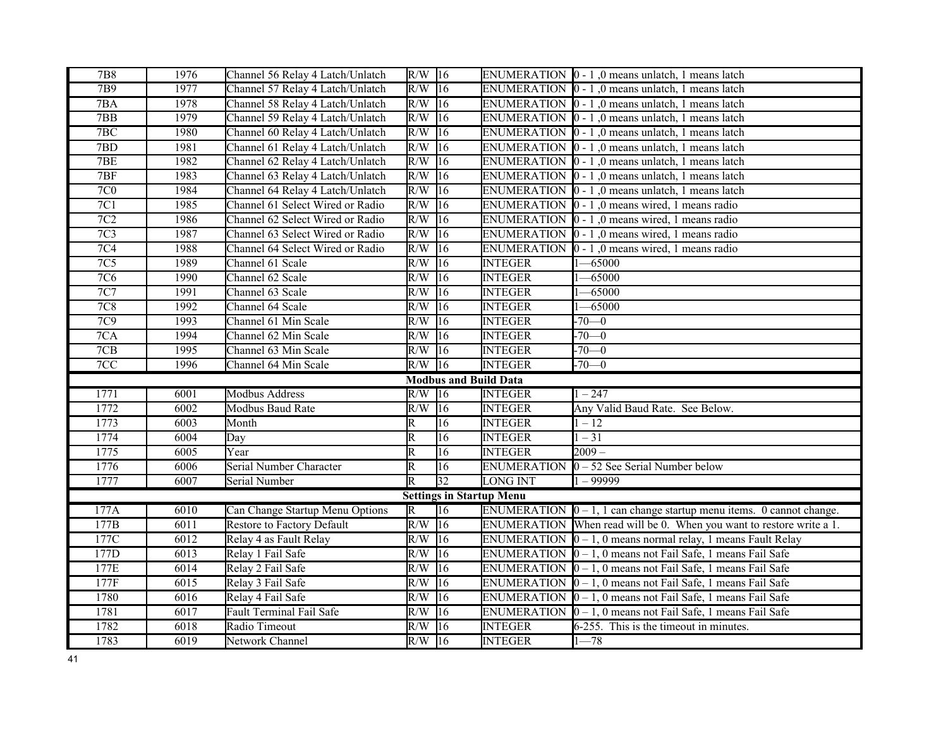| <b>7B8</b>     | 1976         | Channel 56 Relay 4 Latch/Unlatch | $R/W$ 16                |                              |                                  | ENUMERATION $\vert 0 - 1 \vert$ , 0 means unlatch, 1 means latch         |
|----------------|--------------|----------------------------------|-------------------------|------------------------------|----------------------------------|--------------------------------------------------------------------------|
| 7B9            | 1977         | Channel 57 Relay 4 Latch/Unlatch | $R/W$ 16                |                              |                                  | ENUMERATION $\vert 0 - 1 \vert$ , 0 means unlatch, 1 means latch         |
| 7BA            | 1978         | Channel 58 Relay 4 Latch/Unlatch | R/W                     | $ 16\rangle$                 |                                  | ENUMERATION  0 - 1,0 means unlatch, 1 means latch                        |
| 7BB            | 1979         | Channel 59 Relay 4 Latch/Unlatch | R/W                     | $\overline{16}$              |                                  | ENUMERATION $\vert 0 - 1 \vert$ , 0 means unlatch, 1 means latch         |
| 7BC            | 1980         | Channel 60 Relay 4 Latch/Unlatch | R/W                     | 16                           |                                  | ENUMERATION $\vert 0 - 1 \vert$ , 0 means unlatch, 1 means latch         |
| 7BD            | 1981         | Channel 61 Relay 4 Latch/Unlatch | R/W                     | 16                           |                                  | ENUMERATION $\vert 0 - 1 \vert$ , 0 means unlatch, 1 means latch         |
| 7BE            | 1982         | Channel 62 Relay 4 Latch/Unlatch | R/W                     | 16                           |                                  | ENUMERATION $\vert 0 - 1 \vert$ , 0 means unlatch, 1 means latch         |
| 7BF            | 1983         | Channel 63 Relay 4 Latch/Unlatch | R/W                     | $\overline{16}$              |                                  | ENUMERATION $\vert 0 - 1 \vert$ , 0 means unlatch, 1 means latch         |
| $7\mathrm{C}0$ | 1984         | Channel 64 Relay 4 Latch/Unlatch | R/W                     | 16                           |                                  | ENUMERATION $\vert 0 - 1 \vert$ , 0 means unlatch, 1 means latch         |
| 7C1            | 1985         | Channel 61 Select Wired or Radio | R/W                     | 16                           |                                  | ENUMERATION $\vert 0 - 1 \vert$ , 0 means wired, 1 means radio           |
| 7C2            | 1986         | Channel 62 Select Wired or Radio | R/W                     | 16                           |                                  | ENUMERATION $\vert 0 - 1 \vert$ , 0 means wired, 1 means radio           |
| 7C3            | 1987         | Channel 63 Select Wired or Radio | R/W                     | 16                           |                                  | ENUMERATION $\vert 0 - 1 \vert$ , 0 means wired, 1 means radio           |
| 7C4            | 1988         | Channel 64 Select Wired or Radio | R/W                     | 16                           |                                  | ENUMERATION $\vert 0 - 1 \vert$ , 0 means wired, 1 means radio           |
| 7C5            | 1989         | Channel 61 Scale                 | R/W                     | 16                           | <b>INTEGER</b>                   | $-65000$                                                                 |
| 7C6            | <b>1990</b>  | Channel 62 Scale                 | R/W                     | 16                           | <b>INTEGER</b>                   | $-65000$                                                                 |
| 7C7            | 1991         | Channel 63 Scale                 | R/W                     | $\overline{16}$              | <b>INTEGER</b>                   | $-65000$                                                                 |
| 7C8            | 1992         | Channel 64 Scale                 | R/W                     | $\overline{16}$              | <b>INTEGER</b>                   | $-65000$                                                                 |
| 7C9            | 1993         | Channel 61 Min Scale             | R/W                     | $\overline{16}$              | <b>INTEGER</b>                   | $-70-0$                                                                  |
| 7CA            | 1994         | Channel 62 Min Scale             | R/W                     | $ 16\rangle$                 | <b>INTEGER</b>                   | $-70-0$                                                                  |
| 7CB            | 1995         | Channel 63 Min Scale             | R/W                     | $ 16\rangle$                 | <b>INTEGER</b>                   | $-70-0$                                                                  |
|                |              |                                  |                         |                              |                                  |                                                                          |
| 7CC            | 1996         | Channel 64 Min Scale             | $R/W$ 16                |                              | <b>INTEGER</b>                   | $-70-0$                                                                  |
|                |              |                                  |                         | <b>Modbus and Build Data</b> |                                  |                                                                          |
| 1771           | 6001         | <b>Modbus Address</b>            | R/W                     | $\sqrt{16}$                  | <b>INTEGER</b>                   | $1 - 247$                                                                |
| 1772           | 6002         | Modbus Baud Rate                 | R/W                     | 16                           | <b>INTEGER</b>                   | Any Valid Baud Rate. See Below.                                          |
| 1773           | 6003         | Month                            | R                       | $\overline{16}$              | <b>INTEGER</b>                   | $1 - 12$                                                                 |
| 1774           | 6004         | Day                              | $\overline{\mathsf{R}}$ | $\overline{16}$              | <b>INTEGER</b>                   | $1 - 31$                                                                 |
| 1775           | 6005         | Year                             | $\overline{\mathrm{R}}$ | $\overline{16}$              | <b>INTEGER</b>                   | $\sqrt{2009}$ –                                                          |
| 1776           | 6006         | Serial Number Character          | $\overline{\mathrm{R}}$ | $\overline{16}$              | <b>ENUMERATION</b>               | $0 - 52$ See Serial Number below                                         |
| 1777           | 6007         | Serial Number                    | $\overline{\mathsf{R}}$ | $\overline{32}$              | <b>LONG INT</b>                  | 1 – 99999                                                                |
|                |              |                                  |                         |                              | <b>Settings in Startup Menu</b>  |                                                                          |
| 177A           | 6010         | Can Change Startup Menu Options  | $\overline{\mathbb{R}}$ | $\overline{16}$              |                                  | ENUMERATION $[0 - 1, 1]$ can change startup menu items. 0 cannot change. |
| 177B           | 6011         | Restore to Factory Default       | $R/W$ 16                |                              |                                  | ENUMERATION When read will be 0. When you want to restore write a 1.     |
| 177C           | 6012         | Relay 4 as Fault Relay           | $R/W$ 16                |                              |                                  | ENUMERATION $[0 - 1, 0$ means normal relay, 1 means Fault Relay          |
| 177D           | 6013         | Relay 1 Fail Safe                | R/W                     | 16                           |                                  | ENUMERATION $\vert 0 - 1$ , 0 means not Fail Safe, 1 means Fail Safe     |
| 177E           | 6014         | Relay 2 Fail Safe                | R/W                     | 16                           |                                  | ENUMERATION $\vert 0 - 1$ , 0 means not Fail Safe, 1 means Fail Safe     |
| 177F           | 6015         | Relay 3 Fail Safe                | R/W                     | 16                           |                                  | ENUMERATION $\vert 0 - 1$ , 0 means not Fail Safe, 1 means Fail Safe     |
| 1780           | 6016         | Relay 4 Fail Safe                | R/W                     | 16                           |                                  | ENUMERATION $\vert 0 - 1$ , 0 means not Fail Safe, 1 means Fail Safe     |
| 1781           | 6017         | Fault Terminal Fail Safe         | R/W                     | $\overline{16}$              |                                  | ENUMERATION $\vert 0 - 1$ , 0 means not Fail Safe, 1 means Fail Safe     |
| 1782<br>1783   | 6018<br>6019 | Radio Timeout<br>Network Channel | R/W<br>$R/W$ 16         | 16                           | <b>INTEGER</b><br><b>INTEGER</b> | 6-255. This is the timeout in minutes.<br>$-78$                          |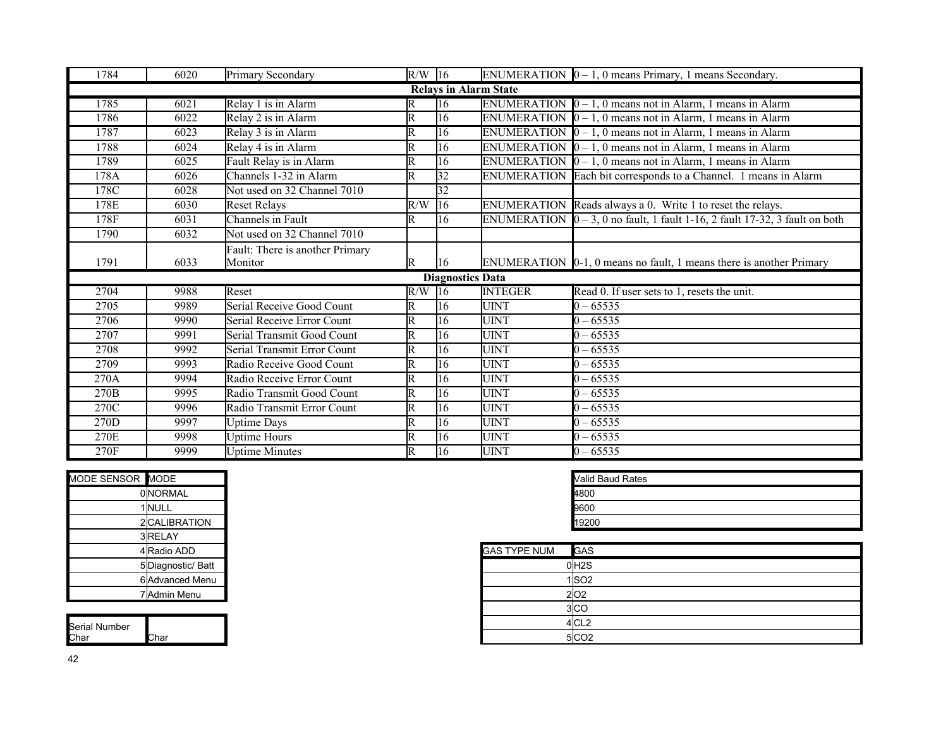| 1784             | 6020 | Primary Secondary               | $R/W$ 16                |                              |                | ENUMERATION $[0 - 1, 0$ means Primary, 1 means Secondary.                                 |
|------------------|------|---------------------------------|-------------------------|------------------------------|----------------|-------------------------------------------------------------------------------------------|
|                  |      |                                 |                         | <b>Relays in Alarm State</b> |                |                                                                                           |
| 1785             | 6021 | Relay 1 is in Alarm             | R                       | 16                           |                | ENUMERATION $[0 - 1, 0$ means not in Alarm, 1 means in Alarm                              |
| 1786             | 6022 | Relay 2 is in Alarm             | R                       | 16                           |                | ENUMERATION $\vert 0 - 1$ , 0 means not in Alarm, 1 means in Alarm                        |
| 1787             | 6023 | Relay 3 is in Alarm             | $\overline{\mathsf{R}}$ | $\overline{16}$              |                | ENUMERATION $[0 - 1, 0$ means not in Alarm, 1 means in Alarm                              |
| 1788             | 6024 | Relay 4 is in Alarm             | R                       | 16                           |                | ENUMERATION $\vert 0 - 1$ , 0 means not in Alarm, 1 means in Alarm                        |
| 1789             | 6025 | Fault Relay is in Alarm         | R                       | 16                           |                | ENUMERATION $\vert 0-1, 0 \vert$ means not in Alarm, 1 means in Alarm                     |
| 178A             | 6026 | Channels 1-32 in Alarm          | $\overline{\mathsf{R}}$ | $\overline{32}$              |                | ENUMERATION Each bit corresponds to a Channel. 1 means in Alarm                           |
| 178C             | 6028 | Not used on 32 Channel 7010     |                         | $\overline{32}$              |                |                                                                                           |
| 178E             | 6030 | <b>Reset Relays</b>             | R/W                     | 16                           |                | ENUMERATION Reads always a 0. Write 1 to reset the relays.                                |
| 178F             | 6031 | Channels in Fault               | R                       | 16                           |                | ENUMERATION $\vert 0-3, 0 \rangle$ no fault, 1 fault 1-16, 2 fault 17-32, 3 fault on both |
| 1790             | 6032 | Not used on 32 Channel 7010     |                         |                              |                |                                                                                           |
|                  |      | Fault: There is another Primary |                         |                              |                |                                                                                           |
| 1791             | 6033 | Monitor                         | R                       | 16                           |                | ENUMERATION $[0-1, 0$ means no fault, 1 means there is another Primary                    |
|                  |      |                                 |                         | <b>Diagnostics Data</b>      |                |                                                                                           |
| 2704             | 9988 | Reset                           | $R/W$ 16                |                              | <b>INTEGER</b> | Read 0. If user sets to 1, resets the unit.                                               |
| 2705             | 9989 | Serial Receive Good Count       | R                       | 16                           | <b>UINT</b>    | $0 - 65535$                                                                               |
| 2706             | 9990 | Serial Receive Error Count      | R                       | 16                           | <b>UINT</b>    | $10 - 65535$                                                                              |
| 2707             | 9991 | Serial Transmit Good Count      | $\overline{\text{R}}$   | 16                           | <b>UINT</b>    | $0 - 65535$                                                                               |
| 2708             | 9992 | Serial Transmit Error Count     | R                       | 16                           | <b>UINT</b>    | $0 - 65535$                                                                               |
| 2709             | 9993 | Radio Receive Good Count        | $\overline{\mathrm{R}}$ | 16                           | <b>UINT</b>    | $0 - 65535$                                                                               |
| 270A             | 9994 | Radio Receive Error Count       | $\overline{\mathrm{R}}$ | 16                           | <b>UINT</b>    | $0 - 65535$                                                                               |
| 270 <sub>B</sub> | 9995 | Radio Transmit Good Count       | Ir                      | 16                           | <b>UINT</b>    | $0 - 65535$                                                                               |
| 270C             | 9996 | Radio Transmit Error Count      | $\overline{\mathrm{R}}$ | 16                           | <b>UINT</b>    | $0 - 65535$                                                                               |
| 270D             | 9997 | <b>Uptime Days</b>              | $\overline{\mathbb{R}}$ | 16                           | <b>UINT</b>    | $0 - 65535$                                                                               |
| 270E             | 9998 | <b>Uptime Hours</b>             | R                       | 16                           | <b>UINT</b>    | $0 - 65535$                                                                               |
| 270F             | 9999 | <b>Uptime Minutes</b>           | R                       | 16                           | <b>UINT</b>    | $0 - 65535$                                                                               |

| MODE SENSOR MODE |                  |                     | Valid Baud Rates |
|------------------|------------------|---------------------|------------------|
|                  | <b>ONORMAL</b>   |                     | 4800             |
|                  | 1 NULL           |                     | 9600             |
|                  | 2 CALIBRATION    |                     | 19200            |
|                  | 3RELAY           |                     |                  |
|                  | 4 Radio ADD      | <b>GAS TYPE NUM</b> | <b>GAS</b>       |
|                  | 5Diagnostic/Batt |                     | 0H2S             |
|                  | 6 Advanced Menu  |                     | 1 SO2            |
|                  | 7 Admin Menu     |                     | 2 02             |
|                  |                  |                     | $-1 - -$         |

| Serial Number |       |
|---------------|-------|
| Char          | .`har |

| Valid Baud Rates |  |
|------------------|--|
| 4800             |  |
| 9600             |  |
| 19200            |  |

| 4 Radio ADD        |
|--------------------|
| 5 Diagnostic/ Batt |
| 6 Advanced Menu    |
| 7 Admin Menu       |
|                    |
|                    |
| Char               |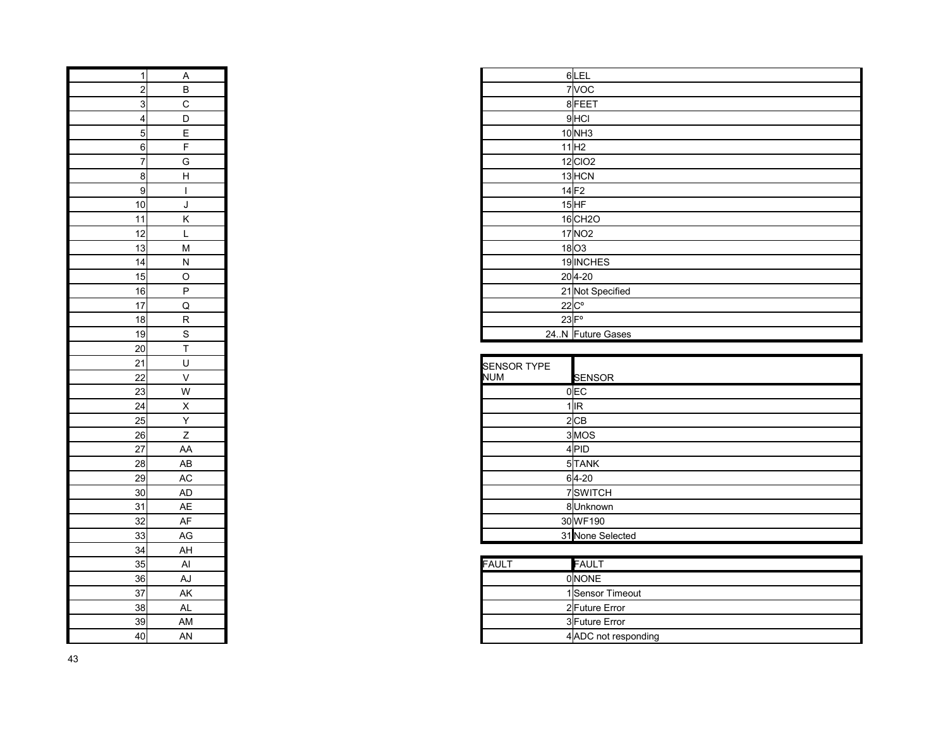| 1               | $\overline{A}$           |
|-----------------|--------------------------|
| $\overline{c}$  | $\overline{B}$           |
| $\overline{3}$  | $\mathbf{C}$             |
| 4               | D                        |
| 5               | E                        |
| 6               | F                        |
| 7               | G                        |
| 8               | H                        |
| 9               | $\overline{\phantom{a}}$ |
| 10              | J                        |
| 11              | K                        |
| 12              | L                        |
| 13              | M                        |
| 14              | N                        |
| 15              | $\circ$                  |
| 16              | P                        |
| 17              | $\overline{Q}$           |
| 18              | $\overline{\mathsf{R}}$  |
| 19              |                          |
| 20              | $rac{S}{T}$              |
| 21              | Ű                        |
| $\overline{22}$ | V                        |
| 23              | $\overline{\mathsf{w}}$  |
| 24              |                          |
| 25              | $\frac{x}{Y}$            |
| 26              | Z                        |
| $\overline{27}$ | AA                       |
| 28              | AB                       |
| 29              | AC                       |
| 30              | AD                       |
| 31              | AE                       |
| 32              | AF                       |
| 33              | AG                       |
| 34              | AH                       |
| 35              | Al                       |
| 36              | AJ                       |
| 37              | AK                       |
| 38              | AL                       |
| 39              | AM                       |
| 40              | AN                       |
|                 |                          |

| Α                 |  | $6$ LEL               |
|-------------------|--|-----------------------|
| $\, {\sf B}$      |  | 7VOC                  |
| 3<br>$\mathbf C$  |  | 8FEET                 |
| D                 |  | 9 <sub>HCI</sub>      |
| $\mathsf E$       |  | 10NH3                 |
| F                 |  | 11 H2                 |
| G                 |  | $12$ CIO <sub>2</sub> |
| 81<br>$\mathsf H$ |  | 13 HCN                |
|                   |  | $14$ F <sub>2</sub>   |
| J                 |  | $15$ HF               |
| K                 |  | 16 CH <sub>2</sub> O  |
| L                 |  | 17 NO <sub>2</sub>    |
| 3 <br>M           |  | $18$ O3               |
| ${\sf N}$<br>41   |  | 19 INCHES             |
| $\circ$           |  | $20 4-20$             |
| P<br>6            |  | 21 Not Specified      |
| $\mathsf Q$       |  | $22C^{\circ}$         |
| ${\sf R}$<br>81   |  | $23$ $F^{\circ}$      |
| S                 |  | 24.N Future Gases     |
|                   |  |                       |

| $\overline{17}$                              | Q              |
|----------------------------------------------|----------------|
| $\overline{18}$                              | $\mathsf{R}$   |
| $\frac{1}{19}$                               | S              |
|                                              | $\mathsf{T}$   |
|                                              | U              |
|                                              | $\vee$         |
| 20<br>21 22 23 24 25<br>26 27 28 29 30 31 32 | W              |
|                                              | $\pmb{\times}$ |
|                                              | Y              |
|                                              | Z              |
|                                              | AA             |
|                                              | AB             |
|                                              | $\mathsf{AC}$  |
|                                              | AD             |
|                                              | AE             |
|                                              | AF             |
|                                              | AG             |
| 33<br>34<br>35<br>36<br>37                   | AH             |
|                                              | Al             |
|                                              | AJ             |
|                                              | AK             |
| $\frac{38}{2}$                               | <b>AL</b>      |
| $\frac{39}{40}$                              | AM             |
|                                              | AN             |

| 35 | ΑI | FAULT | FAULT                |
|----|----|-------|----------------------|
| 36 | AJ |       | <b>ONONE</b>         |
| 37 | AK |       | 1 Sensor Timeout     |
| 38 | AL |       | 2 Future Error       |
| 39 | AM |       | 3 Future Error       |
| 40 | AN |       | 4 ADC not responding |